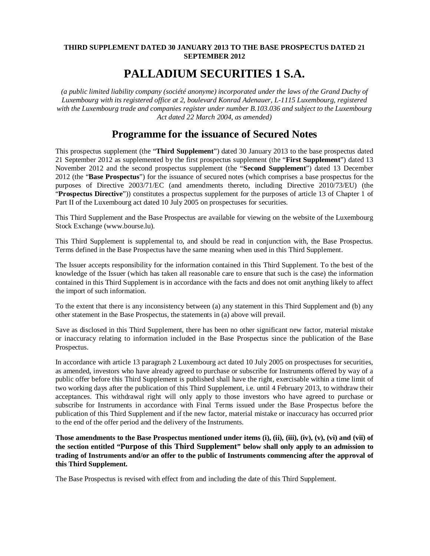# **THIRD SUPPLEMENT DATED 30 JANUARY 2013 TO THE BASE PROSPECTUS DATED 21 SEPTEMBER 2012**

# **PALLADIUM SECURITIES 1 S.A.**

*(a public limited liability company (société anonyme) incorporated under the laws of the Grand Duchy of Luxembourg with its registered office at 2, boulevard Konrad Adenauer, L-1115 Luxembourg, registered with the Luxembourg trade and companies register under number B.103.036 and subject to the Luxembourg Act dated 22 March 2004, as amended)*

# **Programme for the issuance of Secured Notes**

This prospectus supplement (the "**Third Supplement**") dated 30 January 2013 to the base prospectus dated 21 September 2012 as supplemented by the first prospectus supplement (the "**First Supplement**") dated 13 November 2012 and the second prospectus supplement (the "**Second Supplement**") dated 13 December 2012 (the "**Base Prospectus**") for the issuance of secured notes (which comprises a base prospectus for the purposes of Directive 2003/71/EC (and amendments thereto, including Directive 2010/73/EU) (the "**Prospectus Directive**")) constitutes a prospectus supplement for the purposes of article 13 of Chapter 1 of Part II of the Luxembourg act dated 10 July 2005 on prospectuses for securities.

This Third Supplement and the Base Prospectus are available for viewing on the website of the Luxembourg Stock Exchange ([www.bourse.lu\).](http://www.bourse.lu).)

This Third Supplement is supplemental to, and should be read in conjunction with, the Base Prospectus. Terms defined in the Base Prospectus have the same meaning when used in this Third Supplement.

The Issuer accepts responsibility for the information contained in this Third Supplement. To the best of the knowledge of the Issuer (which has taken all reasonable care to ensure that such is the case) the information contained in this Third Supplement is in accordance with the facts and does not omit anything likely to affect the import of such information.

To the extent that there is any inconsistency between (a) any statement in this Third Supplement and (b) any other statement in the Base Prospectus, the statements in (a) above will prevail.

Save as disclosed in this Third Supplement, there has been no other significant new factor, material mistake or inaccuracy relating to information included in the Base Prospectus since the publication of the Base Prospectus.

In accordance with article 13 paragraph 2 Luxembourg act dated 10 July 2005 on prospectuses for securities, as amended, investors who have already agreed to purchase or subscribe for Instruments offered by way of a public offer before this Third Supplement is published shall have the right, exercisable within a time limit of two working days after the publication of this Third Supplement, i.e. until 4 February 2013, to withdraw their acceptances. This withdrawal right will only apply to those investors who have agreed to purchase or subscribe for Instruments in accordance with Final Terms issued under the Base Prospectus before the publication of this Third Supplement and if the new factor, material mistake or inaccuracy has occurred prior to the end of the offer period and the delivery of the Instruments.

**Those amendments to the Base Prospectus mentioned under items (i), (ii), (iii), (iv), (v), (vi) and (vii) of the section entitled "Purpose of this Third Supplement" below shall only apply to an admission to trading of Instruments and/or an offer to the public of Instruments commencing after the approval of this Third Supplement.**

The Base Prospectus is revised with effect from and including the date of this Third Supplement.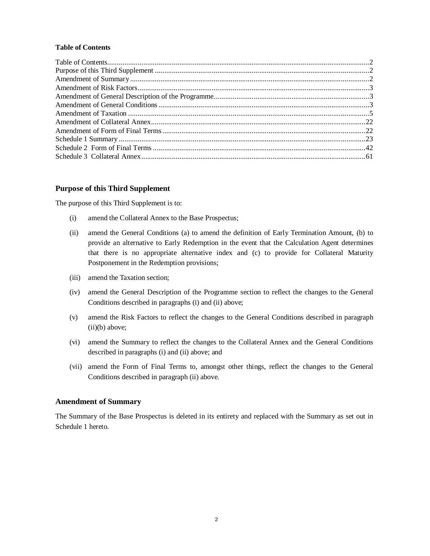## **Table of Contents**

#### **Purpose of this Third Supplement**

The purpose of this Third Supplement is to:

- (i) amend the Collateral Annex to the Base Prospectus;
- (ii) amend the General Conditions (a) to amend the definition of Early Termination Amount, (b) to provide an alternative to Early Redemption in the event that the Calculation Agent determines that there is no appropriate alternative index and (c) to provide for Collateral Maturity Postponement in the Redemption provisions;
- (iii) amend the Taxation section;
- (iv) amend the General Description of the Programme section to reflect the changes to the General Conditions described in paragraphs (i) and (ii) above;
- (v) amend the Risk Factors to reflect the changes to the General Conditions described in paragraph (ii)(b) above;
- (vi) amend the Summary to reflect the changes to the Collateral Annex and the General Conditions described in paragraphs (i) and (ii) above; and
- (vii) amend the Form of Final Terms to, amongst other things, reflect the changes to the General Conditions described in paragraph (ii) above.

## **Amendment of Summary**

The Summary of the Base Prospectus is deleted in its entirety and replaced with the Summary as set out in Schedule 1 hereto.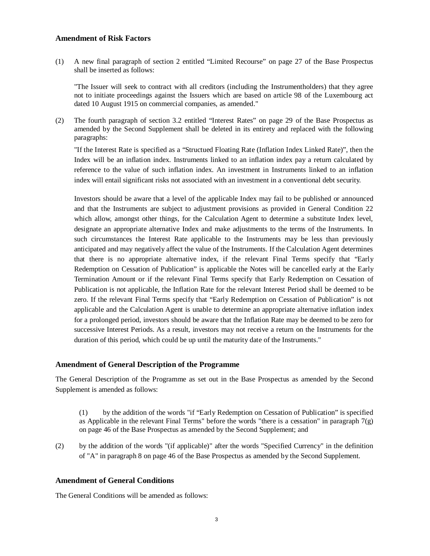# **Amendment of Risk Factors**

(1) A new final paragraph of section 2 entitled "Limited Recourse" on page 27 of the Base Prospectus shall be inserted as follows:

"The Issuer will seek to contract with all creditors (including the Instrumentholders) that they agree not to initiate proceedings against the Issuers which are based on article 98 of the Luxembourg act dated 10 August 1915 on commercial companies, as amended."

(2) The fourth paragraph of section 3.2 entitled "Interest Rates" on page 29 of the Base Prospectus as amended by the Second Supplement shall be deleted in its entirety and replaced with the following paragraphs:

"If the Interest Rate is specified as a "Structued Floating Rate (Inflation Index Linked Rate)", then the Index will be an inflation index. Instruments linked to an inflation index pay a return calculated by reference to the value of such inflation index. An investment in Instruments linked to an inflation index will entail significant risks not associated with an investment in a conventional debt security.

Investors should be aware that a level of the applicable Index may fail to be published or announced and that the Instruments are subject to adjustment provisions as provided in General Condition 22 which allow, amongst other things, for the Calculation Agent to determine a substitute Index level, designate an appropriate alternative Index and make adjustments to the terms of the Instruments. In such circumstances the Interest Rate applicable to the Instruments may be less than previously anticipated and may negatively affect the value of the Instruments. If the Calculation Agent determines that there is no appropriate alternative index, if the relevant Final Terms specify that "Early Redemption on Cessation of Publication" is applicable the Notes will be cancelled early at the Early Termination Amount or if the relevant Final Terms specify that Early Redemption on Cessation of Publication is not applicable, the Inflation Rate for the relevant Interest Period shall be deemed to be zero. If the relevant Final Terms specify that "Early Redemption on Cessation of Publication" is not applicable and the Calculation Agent is unable to determine an appropriate alternative inflation index for a prolonged period, investors should be aware that the Inflation Rate may be deemed to be zero for successive Interest Periods. As a result, investors may not receive a return on the Instruments for the duration of this period, which could be up until the maturity date of the Instruments."

### **Amendment of General Description of the Programme**

The General Description of the Programme as set out in the Base Prospectus as amended by the Second Supplement is amended as follows:

(1) by the addition of the words "if "Early Redemption on Cessation of Publication" is specified as Applicable in the relevant Final Terms" before the words "there is a cessation" in paragraph 7(g) on page 46 of the Base Prospectus as amended by the Second Supplement; and

(2) by the addition of the words "(if applicable)" after the words "Specified Currency" in the definition of "A" in paragraph 8 on page 46 of the Base Prospectus as amended by the Second Supplement.

# **Amendment of General Conditions**

The General Conditions will be amended as follows: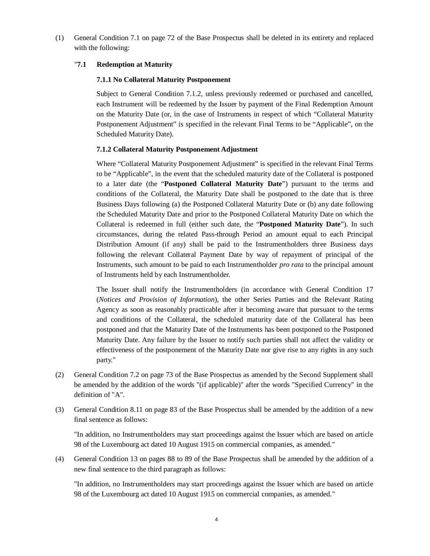(1) General Condition 7.1 on page 72 of the Base Prospectus shall be deleted in its entirety and replaced with the following:

# "**7.1 Redemption at Maturity**

## **7.1.1 No Collateral Maturity Postponement**

Subject to General Condition 7.1.2, unless previously redeemed or purchased and cancelled, each Instrument will be redeemed by the Issuer by payment of the Final Redemption Amount on the Maturity Date (or, in the case of Instruments in respect of which "Collateral Maturity Postponement Adjustment" is specified in the relevant Final Terms to be "Applicable", on the Scheduled Maturity Date).

# **7.1.2 Collateral Maturity Postponement Adjustment**

Where "Collateral Maturity Postponement Adjustment" is specified in the relevant Final Terms to be "Applicable", in the event that the scheduled maturity date of the Collateral is postponed to a later date (the "**Postponed Collateral Maturity Date**") pursuant to the terms and conditions of the Collateral, the Maturity Date shall be postponed to the date that is three Business Days following (a) the Postponed Collateral Maturity Date or (b) any date following the Scheduled Maturity Date and prior to the Postponed Collateral Maturity Date on which the Collateral is redeemed in full (either such date, the "**Postponed Maturity Date**"). In such circumstances, during the related Pass-through Period an amount equal to each Principal Distribution Amount (if any) shall be paid to the Instrumentholders three Business days following the relevant Collateral Payment Date by way of repayment of principal of the Instruments, such amount to be paid to each Instrumentholder *pro rata* to the principal amount of Instruments held by each Instrumentholder.

The Issuer shall notify the Instrumentholders (in accordance with General Condition 17 (*Notices and Provision of Information*), the other Series Parties and the Relevant Rating Agency as soon as reasonably practicable after it becoming aware that pursuant to the terms and conditions of the Collateral, the scheduled maturity date of the Collateral has been postponed and that the Maturity Date of the Instruments has been postponed to the Postponed Maturity Date. Any failure by the Issuer to notify such parties shall not affect the validity or effectiveness of the postponement of the Maturity Date nor give rise to any rights in any such party."

- (2) General Condition 7.2 on page 73 of the Base Prospectus as amended by the Second Supplement shall be amended by the addition of the words "(if applicable)" after the words "Specified Currency" in the definition of "A".
- (3) General Condition 8.11 on page 83 of the Base Prospectus shall be amended by the addition of a new final sentence as follows:

"In addition, no Instrumentholders may start proceedings against the Issuer which are based on article 98 of the Luxembourg act dated 10 August 1915 on commercial companies, as amended."

(4) General Condition 13 on pages 88 to 89 of the Base Prospectus shall be amended by the addition of a new final sentence to the third paragraph as follows:

"In addition, no Instrumentholders may start proceedings against the Issuer which are based on article 98 of the Luxembourg act dated 10 August 1915 on commercial companies, as amended."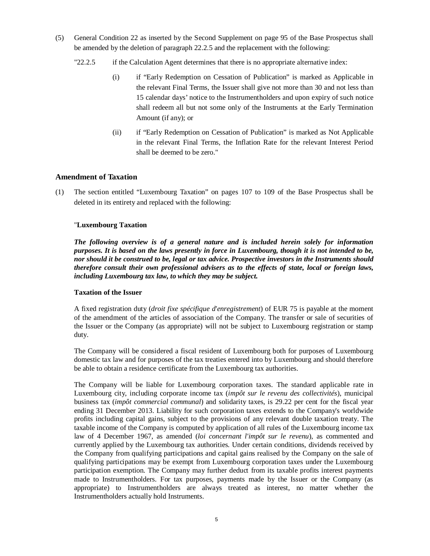- (5) General Condition 22 as inserted by the Second Supplement on page 95 of the Base Prospectus shall be amended by the deletion of paragraph 22.2.5 and the replacement with the following:
	- "22.2.5 if the Calculation Agent determines that there is no appropriate alternative index:
		- (i) if "Early Redemption on Cessation of Publication" is marked as Applicable in the relevant Final Terms, the Issuer shall give not more than 30 and not less than 15 calendar days' notice to the Instrumentholders and upon expiry of such notice shall redeem all but not some only of the Instruments at the Early Termination Amount (if any); or
		- (ii) if "Early Redemption on Cessation of Publication" is marked as Not Applicable in the relevant Final Terms, the Inflation Rate for the relevant Interest Period shall be deemed to be zero."

# **Amendment of Taxation**

(1) The section entitled "Luxembourg Taxation" on pages 107 to 109 of the Base Prospectus shall be deleted in its entirety and replaced with the following:

## "**Luxembourg Taxation**

*The following overview is of a general nature and is included herein solely for information purposes. It is based on the laws presently in force in Luxembourg, though it is not intended to be, nor should it be construed to be, legal or tax advice. Prospective investors in the Instruments should therefore consult their own professional advisers as to the effects of state, local or foreign laws, including Luxembourg tax law, to which they may be subject.*

## **Taxation of the Issuer**

A fixed registration duty (*droit fixe spécifique d'enregistrement*) of EUR 75 is payable at the moment of the amendment of the articles of association of the Company. The transfer or sale of securities of the Issuer or the Company (as appropriate) will not be subject to Luxembourg registration or stamp duty.

The Company will be considered a fiscal resident of Luxembourg both for purposes of Luxembourg domestic tax law and for purposes of the tax treaties entered into by Luxembourg and should therefore be able to obtain a residence certificate from the Luxembourg tax authorities.

The Company will be liable for Luxembourg corporation taxes. The standard applicable rate in Luxembourg city, including corporate income tax (*impôt sur le revenu des collectivités*), municipal business tax (*impôt commercial communal*) and solidarity taxes, is 29.22 per cent for the fiscal year ending 31 December 2013. Liability for such corporation taxes extends to the Company's worldwide profits including capital gains, subject to the provisions of any relevant double taxation treaty. The taxable income of the Company is computed by application of all rules of the Luxembourg income tax law of 4 December 1967, as amended (*loi concernant l'impôt sur le revenu*), as commented and currently applied by the Luxembourg tax authorities. Under certain conditions, dividends received by the Company from qualifying participations and capital gains realised by the Company on the sale of qualifying participations may be exempt from Luxembourg corporation taxes under the Luxembourg participation exemption. The Company may further deduct from its taxable profits interest payments made to Instrumentholders. For tax purposes, payments made by the Issuer or the Company (as appropriate) to Instrumentholders are always treated as interest, no matter whether the Instrumentholders actually hold Instruments.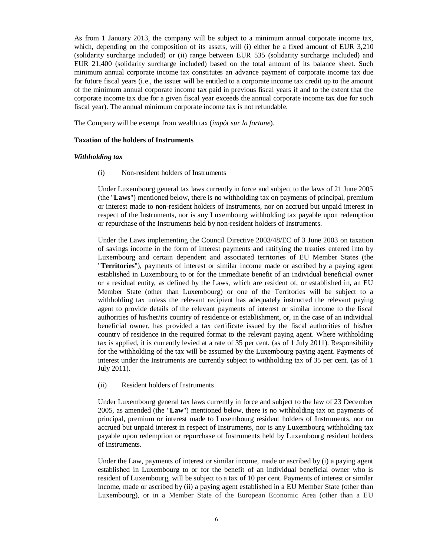As from 1 January 2013, the company will be subject to a minimum annual corporate income tax, which, depending on the composition of its assets, will (i) either be a fixed amount of EUR 3,210 (solidarity surcharge included) or (ii) range between EUR 535 (solidarity surcharge included) and EUR 21,400 (solidarity surcharge included) based on the total amount of its balance sheet. Such minimum annual corporate income tax constitutes an advance payment of corporate income tax due for future fiscal years (i.e., the issuer will be entitled to a corporate income tax credit up to the amount of the minimum annual corporate income tax paid in previous fiscal years if and to the extent that the corporate income tax due for a given fiscal year exceeds the annual corporate income tax due for such fiscal year). The annual minimum corporate income tax is not refundable.

The Company will be exempt from wealth tax (*impôt sur la fortune*).

#### **Taxation of the holders of Instruments**

#### *Withholding tax*

(i) Non-resident holders of Instruments

Under Luxembourg general tax laws currently in force and subject to the laws of 21 June 2005 (the "**Laws**") mentioned below, there is no withholding tax on payments of principal, premium or interest made to non-resident holders of Instruments, nor on accrued but unpaid interest in respect of the Instruments, nor is any Luxembourg withholding tax payable upon redemption or repurchase of the Instruments held by non-resident holders of Instruments.

Under the Laws implementing the Council Directive 2003/48/EC of 3 June 2003 on taxation of savings income in the form of interest payments and ratifying the treaties entered into by Luxembourg and certain dependent and associated territories of EU Member States (the "**Territories**"), payments of interest or similar income made or ascribed by a paying agent established in Luxembourg to or for the immediate benefit of an individual beneficial owner or a residual entity, as defined by the Laws, which are resident of, or established in, an EU Member State (other than Luxembourg) or one of the Territories will be subject to a withholding tax unless the relevant recipient has adequately instructed the relevant paying agent to provide details of the relevant payments of interest or similar income to the fiscal authorities of his/her/its country of residence or establishment, or, in the case of an individual beneficial owner, has provided a tax certificate issued by the fiscal authorities of his/her country of residence in the required format to the relevant paying agent. Where withholding tax is applied, it is currently levied at a rate of 35 per cent. (as of 1 July 2011). Responsibility for the withholding of the tax will be assumed by the Luxembourg paying agent. Payments of interest under the Instruments are currently subject to withholding tax of 35 per cent. (as of 1 July 2011).

(ii) Resident holders of Instruments

Under Luxembourg general tax laws currently in force and subject to the law of 23 December 2005, as amended (the "**Law**") mentioned below, there is no withholding tax on payments of principal, premium or interest made to Luxembourg resident holders of Instruments, nor on accrued but unpaid interest in respect of Instruments, nor is any Luxembourg withholding tax payable upon redemption or repurchase of Instruments held by Luxembourg resident holders of Instruments.

Under the Law, payments of interest or similar income, made or ascribed by (i) a paying agent established in Luxembourg to or for the benefit of an individual beneficial owner who is resident of Luxembourg, will be subject to a tax of 10 per cent. Payments of interest or similar income, made or ascribed by (ii) a paying agent established in a EU Member State (other than Luxembourg), or in a Member State of the European Economic Area (other than a EU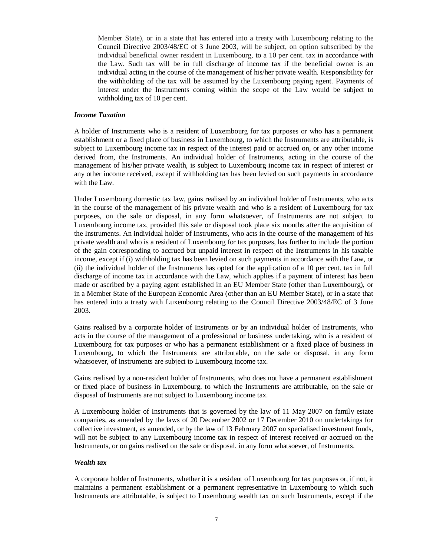Member State), or in a state that has entered into a treaty with Luxembourg relating to the Council Directive 2003/48/EC of 3 June 2003, will be subject, on option subscribed by the individual beneficial owner resident in Luxembourg, to a 10 per cent. tax in accordance with the Law. Such tax will be in full discharge of income tax if the beneficial owner is an individual acting in the course of the management of his/her private wealth. Responsibility for the withholding of the tax will be assumed by the Luxembourg paying agent. Payments of interest under the Instruments coming within the scope of the Law would be subject to withholding tax of 10 per cent.

#### *Income Taxation*

A holder of Instruments who is a resident of Luxembourg for tax purposes or who has a permanent establishment or a fixed place of business in Luxembourg, to which the Instruments are attributable, is subject to Luxembourg income tax in respect of the interest paid or accrued on, or any other income derived from, the Instruments. An individual holder of Instruments, acting in the course of the management of his/her private wealth, is subject to Luxembourg income tax in respect of interest or any other income received, except if withholding tax has been levied on such payments in accordance with the Law.

Under Luxembourg domestic tax law, gains realised by an individual holder of Instruments, who acts in the course of the management of his private wealth and who is a resident of Luxembourg for tax purposes, on the sale or disposal, in any form whatsoever, of Instruments are not subject to Luxembourg income tax, provided this sale or disposal took place six months after the acquisition of the Instruments. An individual holder of Instruments, who acts in the course of the management of his private wealth and who is a resident of Luxembourg for tax purposes, has further to include the portion of the gain corresponding to accrued but unpaid interest in respect of the Instruments in his taxable income, except if (i) withholding tax has been levied on such payments in accordance with the Law, or (ii) the individual holder of the Instruments has opted for the application of a 10 per cent. tax in full discharge of income tax in accordance with the Law, which applies if a payment of interest has been made or ascribed by a paying agent established in an EU Member State (other than Luxembourg), or in a Member State of the European Economic Area (other than an EU Member State), or in a state that has entered into a treaty with Luxembourg relating to the Council Directive 2003/48/EC of 3 June 2003.

Gains realised by a corporate holder of Instruments or by an individual holder of Instruments, who acts in the course of the management of a professional or business undertaking, who is a resident of Luxembourg for tax purposes or who has a permanent establishment or a fixed place of business in Luxembourg, to which the Instruments are attributable, on the sale or disposal, in any form whatsoever, of Instruments are subject to Luxembourg income tax.

Gains realised by a non-resident holder of Instruments, who does not have a permanent establishment or fixed place of business in Luxembourg, to which the Instruments are attributable, on the sale or disposal of Instruments are not subject to Luxembourg income tax.

A Luxembourg holder of Instruments that is governed by the law of 11 May 2007 on family estate companies, as amended by the laws of 20 December 2002 or 17 December 2010 on undertakings for collective investment, as amended, or by the law of 13 February 2007 on specialised investment funds, will not be subject to any Luxembourg income tax in respect of interest received or accrued on the Instruments, or on gains realised on the sale or disposal, in any form whatsoever, of Instruments.

## *Wealth tax*

A corporate holder of Instruments, whether it is a resident of Luxembourg for tax purposes or, if not, it maintains a permanent establishment or a permanent representative in Luxembourg to which such Instruments are attributable, is subject to Luxembourg wealth tax on such Instruments, except if the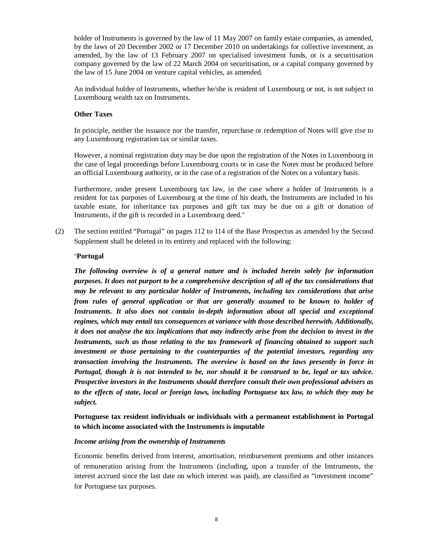holder of Instruments is governed by the law of 11 May 2007 on family estate companies, as amended, by the laws of 20 December 2002 or 17 December 2010 on undertakings for collective investment, as amended, by the law of 13 February 2007 on specialised investment funds, or is a securitisation company governed by the law of 22 March 2004 on securitisation, or a capital company governed by the law of 15 June 2004 on venture capital vehicles, as amended.

An individual holder of Instruments, whether he/she is resident of Luxembourg or not, is not subject to Luxembourg wealth tax on Instruments.

#### **Other Taxes**

In principle, neither the issuance nor the transfer, repurchase or redemption of Notes will give rise to any Luxembourg registration tax or similar taxes.

However, a nominal registration duty may be due upon the registration of the Notes in Luxembourg in the case of legal proceedings before Luxembourg courts or in case the Notes must be produced before an official Luxembourg authority, or in the case of a registration of the Notes on a voluntary basis.

Furthermore, under present Luxembourg tax law, in the case where a holder of Instruments is a resident for tax purposes of Luxembourg at the time of his death, the Instruments are included in his taxable estate, for inheritance tax purposes and gift tax may be due on a gift or donation of Instruments, if the gift is recorded in a Luxembourg deed."

(2) The section entitled "Portugal" on pages 112 to 114 of the Base Prospectus as amended by the Second Supplement shall be deleted in its entirety and replaced with the following:

#### "**Portugal**

*The following overview is of a general nature and is included herein solely for information purposes. It does not purport to be a comprehensive description of all of the tax considerations that may be relevant to any particular holder of Instruments, including tax considerations that arise from rules of general application or that are generally assumed to be known to holder of Instruments. It also does not contain in-depth information about all special and exceptional regimes, which may entail tax consequences at variance with those described herewith. Additionally, it does not analyse the tax implications that may indirectly arise from the decision to invest in the Instruments, such as those relating to the tax framework of financing obtained to support such investment or those pertaining to the counterparties of the potential investors, regarding any transaction involving the Instruments. The overview is based on the laws presently in force in Portugal, though it is not intended to be, nor should it be construed to be, legal or tax advice. Prospective investors in the Instruments should therefore consult their own professional advisers as to the effects of state, local or foreign laws, including Portuguese tax law, to which they may be subject.*

# **Portuguese tax resident individuals or individuals with a permanent establishment in Portugal to which income associated with the Instruments is imputable**

#### *Income arising from the ownership of Instruments*

Economic benefits derived from interest, amortisation, reimbursement premiums and other instances of remuneration arising from the Instruments (including, upon a transfer of the Instruments, the interest accrued since the last date on which interest was paid), are classified as "investment income" for Portuguese tax purposes.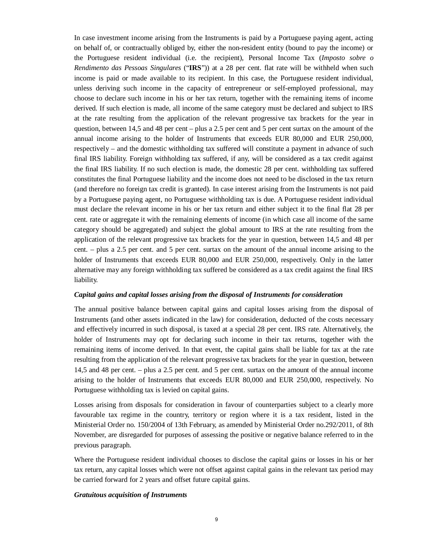In case investment income arising from the Instruments is paid by a Portuguese paying agent, acting on behalf of, or contractually obliged by, either the non-resident entity (bound to pay the income) or the Portuguese resident individual (i.e. the recipient), Personal Income Tax (*Imposto sobre o Rendimento das Pessoas Singulares* ("**IRS**")) at a 28 per cent. flat rate will be withheld when such income is paid or made available to its recipient. In this case, the Portuguese resident individual, unless deriving such income in the capacity of entrepreneur or self-employed professional, may choose to declare such income in his or her tax return, together with the remaining items of income derived. If such election is made, all income of the same category must be declared and subject to IRS at the rate resulting from the application of the relevant progressive tax brackets for the year in question, between 14,5 and 48 per cent – plus a 2.5 per cent and 5 per cent surtax on the amount of the annual income arising to the holder of Instruments that exceeds EUR 80,000 and EUR 250,000, respectively – and the domestic withholding tax suffered will constitute a payment in advance of such final IRS liability. Foreign withholding tax suffered, if any, will be considered as a tax credit against the final IRS liability. If no such election is made, the domestic 28 per cent. withholding tax suffered constitutes the final Portuguese liability and the income does not need to be disclosed in the tax return (and therefore no foreign tax credit is granted). In case interest arising from the Instruments is not paid by a Portuguese paying agent, no Portuguese withholding tax is due. A Portuguese resident individual must declare the relevant income in his or her tax return and either subject it to the final flat 28 per cent. rate or aggregate it with the remaining elements of income (in which case all income of the same category should be aggregated) and subject the global amount to IRS at the rate resulting from the application of the relevant progressive tax brackets for the year in question, between 14,5 and 48 per cent. – plus a 2.5 per cent. and 5 per cent. surtax on the amount of the annual income arising to the holder of Instruments that exceeds EUR 80,000 and EUR 250,000, respectively. Only in the latter alternative may any foreign withholding tax suffered be considered as a tax credit against the final IRS liability.

#### *Capital gains and capital losses arising from the disposal of Instruments for consideration*

The annual positive balance between capital gains and capital losses arising from the disposal of Instruments (and other assets indicated in the law) for consideration, deducted of the costs necessary and effectively incurred in such disposal, is taxed at a special 28 per cent. IRS rate. Alternatively, the holder of Instruments may opt for declaring such income in their tax returns, together with the remaining items of income derived. In that event, the capital gains shall be liable for tax at the rate resulting from the application of the relevant progressive tax brackets for the year in question, between 14,5 and 48 per cent. – plus a 2.5 per cent. and 5 per cent. surtax on the amount of the annual income arising to the holder of Instruments that exceeds EUR 80,000 and EUR 250,000, respectively. No Portuguese withholding tax is levied on capital gains.

Losses arising from disposals for consideration in favour of counterparties subject to a clearly more favourable tax regime in the country, territory or region where it is a tax resident, listed in the Ministerial Order no. 150/2004 of 13th February, as amended by Ministerial Order no.292/2011, of 8th November, are disregarded for purposes of assessing the positive or negative balance referred to in the previous paragraph.

Where the Portuguese resident individual chooses to disclose the capital gains or losses in his or her tax return, any capital losses which were not offset against capital gains in the relevant tax period may be carried forward for 2 years and offset future capital gains.

#### *Gratuitous acquisition of Instruments*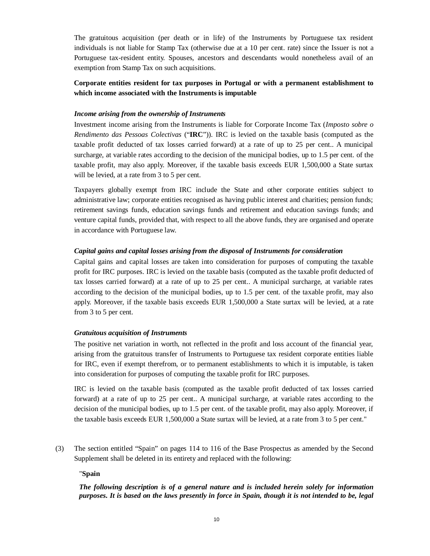The gratuitous acquisition (per death or in life) of the Instruments by Portuguese tax resident individuals is not liable for Stamp Tax (otherwise due at a 10 per cent. rate) since the Issuer is not a Portuguese tax-resident entity. Spouses, ancestors and descendants would nonetheless avail of an exemption from Stamp Tax on such acquisitions.

# **Corporate entities resident for tax purposes in Portugal or with a permanent establishment to which income associated with the Instruments is imputable**

### *Income arising from the ownership of Instruments*

Investment income arising from the Instruments is liable for Corporate Income Tax (*Imposto sobre o Rendimento das Pessoas Colectivas* ("**IRC**")). IRC is levied on the taxable basis (computed as the taxable profit deducted of tax losses carried forward) at a rate of up to 25 per cent.. A municipal surcharge, at variable rates according to the decision of the municipal bodies, up to 1.5 per cent. of the taxable profit, may also apply. Moreover, if the taxable basis exceeds EUR 1,500,000 a State surtax will be levied, at a rate from 3 to 5 per cent.

Taxpayers globally exempt from IRC include the State and other corporate entities subject to administrative law; corporate entities recognised as having public interest and charities; pension funds; retirement savings funds, education savings funds and retirement and education savings funds; and venture capital funds, provided that, with respect to all the above funds, they are organised and operate in accordance with Portuguese law.

#### *Capital gains and capital losses arising from the disposal of Instruments for consideration*

Capital gains and capital losses are taken into consideration for purposes of computing the taxable profit for IRC purposes. IRC is levied on the taxable basis (computed as the taxable profit deducted of tax losses carried forward) at a rate of up to 25 per cent.. A municipal surcharge, at variable rates according to the decision of the municipal bodies, up to 1.5 per cent. of the taxable profit, may also apply. Moreover, if the taxable basis exceeds EUR 1,500,000 a State surtax will be levied, at a rate from 3 to 5 per cent.

#### *Gratuitous acquisition of Instruments*

The positive net variation in worth, not reflected in the profit and loss account of the financial year, arising from the gratuitous transfer of Instruments to Portuguese tax resident corporate entities liable for IRC, even if exempt therefrom, or to permanent establishments to which it is imputable, is taken into consideration for purposes of computing the taxable profit for IRC purposes.

IRC is levied on the taxable basis (computed as the taxable profit deducted of tax losses carried forward) at a rate of up to 25 per cent.. A municipal surcharge, at variable rates according to the decision of the municipal bodies, up to 1.5 per cent. of the taxable profit, may also apply. Moreover, if the taxable basis exceeds EUR 1,500,000 a State surtax will be levied, at a rate from 3 to 5 per cent."

(3) The section entitled "Spain" on pages 114 to 116 of the Base Prospectus as amended by the Second Supplement shall be deleted in its entirety and replaced with the following:

#### "**Spain**

# *The following description is of a general nature and is included herein solely for information purposes. It is based on the laws presently in force in Spain, though it is not intended to be, legal*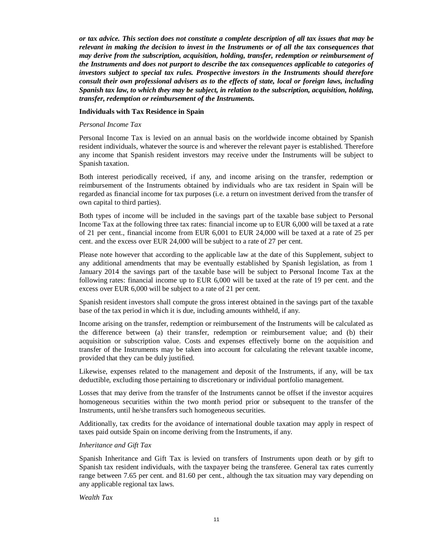*or tax advice. This section does not constitute a complete description of all tax issues that may be relevant in making the decision to invest in the Instruments or of all the tax consequences that may derive from the subscription, acquisition, holding, transfer, redemption or reimbursement of the Instruments and does not purport to describe the tax consequences applicable to categories of investors subject to special tax rules. Prospective investors in the Instruments should therefore consult their own professional advisers as to the effects of state, local or foreign laws, including Spanish tax law, to which they may be subject, in relation to the subscription, acquisition, holding, transfer, redemption or reimbursement of the Instruments.*

#### **Individuals with Tax Residence in Spain**

#### *Personal Income Tax*

Personal Income Tax is levied on an annual basis on the worldwide income obtained by Spanish resident individuals, whatever the source is and wherever the relevant payer is established. Therefore any income that Spanish resident investors may receive under the Instruments will be subject to Spanish taxation.

Both interest periodically received, if any, and income arising on the transfer, redemption or reimbursement of the Instruments obtained by individuals who are tax resident in Spain will be regarded as financial income for tax purposes (i.e. a return on investment derived from the transfer of own capital to third parties).

Both types of income will be included in the savings part of the taxable base subject to Personal Income Tax at the following three tax rates: financial income up to EUR 6,000 will be taxed at a rate of 21 per cent., financial income from EUR 6,001 to EUR 24,000 will be taxed at a rate of 25 per cent. and the excess over EUR 24,000 will be subject to a rate of 27 per cent.

Please note however that according to the applicable law at the date of this Supplement, subject to any additional amendments that may be eventually established by Spanish legislation, as from 1 January 2014 the savings part of the taxable base will be subject to Personal Income Tax at the following rates: financial income up to EUR 6,000 will be taxed at the rate of 19 per cent. and the excess over EUR 6,000 will be subject to a rate of 21 per cent.

Spanish resident investors shall compute the gross interest obtained in the savings part of the taxable base of the tax period in which it is due, including amounts withheld, if any.

Income arising on the transfer, redemption or reimbursement of the Instruments will be calculated as the difference between (a) their transfer, redemption or reimbursement value; and (b) their acquisition or subscription value. Costs and expenses effectively borne on the acquisition and transfer of the Instruments may be taken into account for calculating the relevant taxable income, provided that they can be duly justified.

Likewise, expenses related to the management and deposit of the Instruments, if any, will be tax deductible, excluding those pertaining to discretionary or individual portfolio management.

Losses that may derive from the transfer of the Instruments cannot be offset if the investor acquires homogeneous securities within the two month period prior or subsequent to the transfer of the Instruments, until he/she transfers such homogeneous securities.

Additionally, tax credits for the avoidance of international double taxation may apply in respect of taxes paid outside Spain on income deriving from the Instruments, if any.

#### *Inheritance and Gift Tax*

Spanish Inheritance and Gift Tax is levied on transfers of Instruments upon death or by gift to Spanish tax resident individuals, with the taxpayer being the transferee. General tax rates currently range between 7.65 per cent. and 81.60 per cent., although the tax situation may vary depending on any applicable regional tax laws.

*Wealth Tax*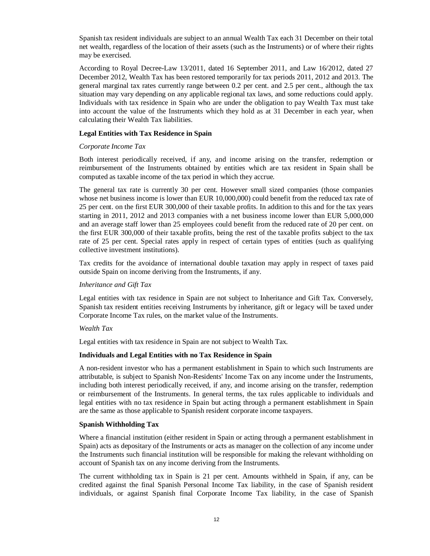Spanish tax resident individuals are subject to an annual Wealth Tax each 31 December on their total net wealth, regardless of the location of their assets (such as the Instruments) or of where their rights may be exercised.

According to Royal Decree-Law 13/2011, dated 16 September 2011, and Law 16/2012, dated 27 December 2012, Wealth Tax has been restored temporarily for tax periods 2011, 2012 and 2013. The general marginal tax rates currently range between 0.2 per cent. and 2.5 per cent., although the tax situation may vary depending on any applicable regional tax laws, and some reductions could apply. Individuals with tax residence in Spain who are under the obligation to pay Wealth Tax must take into account the value of the Instruments which they hold as at 31 December in each year, when calculating their Wealth Tax liabilities.

## **Legal Entities with Tax Residence in Spain**

# *Corporate Income Tax*

Both interest periodically received, if any, and income arising on the transfer, redemption or reimbursement of the Instruments obtained by entities which are tax resident in Spain shall be computed as taxable income of the tax period in which they accrue.

The general tax rate is currently 30 per cent. However small sized companies (those companies whose net business income is lower than EUR 10,000,000) could benefit from the reduced tax rate of 25 per cent. on the first EUR 300,000 of their taxable profits. In addition to this and for the tax years starting in 2011, 2012 and 2013 companies with a net business income lower than EUR 5,000,000 and an average staff lower than 25 employees could benefit from the reduced rate of 20 per cent. on the first EUR 300,000 of their taxable profits, being the rest of the taxable profits subject to the tax rate of 25 per cent. Special rates apply in respect of certain types of entities (such as qualifying collective investment institutions).

Tax credits for the avoidance of international double taxation may apply in respect of taxes paid outside Spain on income deriving from the Instruments, if any.

## *Inheritance and Gift Tax*

Legal entities with tax residence in Spain are not subject to Inheritance and Gift Tax. Conversely, Spanish tax resident entities receiving Instruments by inheritance, gift or legacy will be taxed under Corporate Income Tax rules, on the market value of the Instruments.

## *Wealth Tax*

Legal entities with tax residence in Spain are not subject to Wealth Tax.

## **Individuals and Legal Entities with no Tax Residence in Spain**

A non-resident investor who has a permanent establishment in Spain to which such Instruments are attributable, is subject to Spanish Non-Residents' Income Tax on any income under the Instruments, including both interest periodically received, if any, and income arising on the transfer, redemption or reimbursement of the Instruments. In general terms, the tax rules applicable to individuals and legal entities with no tax residence in Spain but acting through a permanent establishment in Spain are the same as those applicable to Spanish resident corporate income taxpayers.

## **Spanish Withholding Tax**

Where a financial institution (either resident in Spain or acting through a permanent establishment in Spain) acts as depositary of the Instruments or acts as manager on the collection of any income under the Instruments such financial institution will be responsible for making the relevant withholding on account of Spanish tax on any income deriving from the Instruments.

The current withholding tax in Spain is 21 per cent. Amounts withheld in Spain, if any, can be credited against the final Spanish Personal Income Tax liability, in the case of Spanish resident individuals, or against Spanish final Corporate Income Tax liability, in the case of Spanish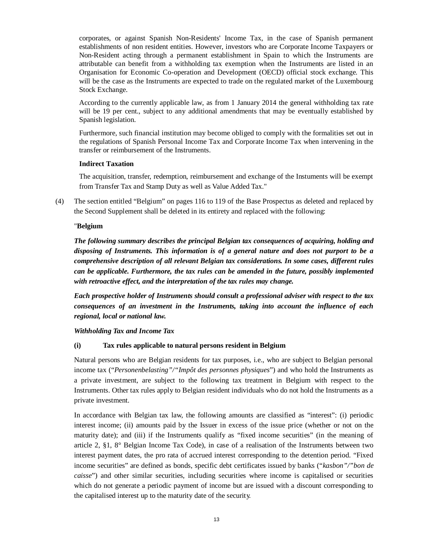corporates, or against Spanish Non-Residents' Income Tax, in the case of Spanish permanent establishments of non resident entities. However, investors who are Corporate Income Taxpayers or Non-Resident acting through a permanent establishment in Spain to which the Instruments are attributable can benefit from a withholding tax exemption when the Instruments are listed in an Organisation for Economic Co-operation and Development (OECD) official stock exchange. This will be the case as the Instruments are expected to trade on the regulated market of the Luxembourg Stock Exchange.

According to the currently applicable law, as from 1 January 2014 the general withholding tax rate will be 19 per cent., subject to any additional amendments that may be eventually established by Spanish legislation.

Furthermore, such financial institution may become obliged to comply with the formalities set out in the regulations of Spanish Personal Income Tax and Corporate Income Tax when intervening in the transfer or reimbursement of the Instruments.

## **Indirect Taxation**

The acquisition, transfer, redemption, reimbursement and exchange of the Instuments will be exempt from Transfer Tax and Stamp Duty as well as Value Added Tax."

(4) The section entitled "Belgium" on pages 116 to 119 of the Base Prospectus as deleted and replaced by the Second Supplement shall be deleted in its entirety and replaced with the following:

# "**Belgium**

*The following summary describes the principal Belgian tax consequences of acquiring, holding and disposing of Instruments. This information is of a general nature and does not purport to be a comprehensive description of all relevant Belgian tax considerations. In some cases, different rules can be applicable. Furthermore, the tax rules can be amended in the future, possibly implemented with retroactive effect, and the interpretation of the tax rules may change.*

*Each prospective holder of Instruments should consult a professional adviser with respect to the tax consequences of an investment in the Instruments, taking into account the influence of each regional, local or national law.*

## *Withholding Tax and Income Tax*

## **(i) Tax rules applicable to natural persons resident in Belgium**

Natural persons who are Belgian residents for tax purposes, i.e., who are subject to Belgian personal income tax ("*Personenbelasting"/"Impôt des personnes physiques*") and who hold the Instruments as a private investment, are subject to the following tax treatment in Belgium with respect to the Instruments. Other tax rules apply to Belgian resident individuals who do not hold the Instruments as a private investment.

In accordance with Belgian tax law, the following amounts are classified as "interest": (i) periodic interest income; (ii) amounts paid by the Issuer in excess of the issue price (whether or not on the maturity date); and (iii) if the Instruments qualify as "fixed income securities" (in the meaning of article 2, §1, 8° Belgian Income Tax Code), in case of a realisation of the Instruments between two interest payment dates, the pro rata of accrued interest corresponding to the detention period. "Fixed income securities" are defined as bonds, specific debt certificates issued by banks ("*kasbon"/"bon de caisse*") and other similar securities, including securities where income is capitalised or securities which do not generate a periodic payment of income but are issued with a discount corresponding to the capitalised interest up to the maturity date of the security.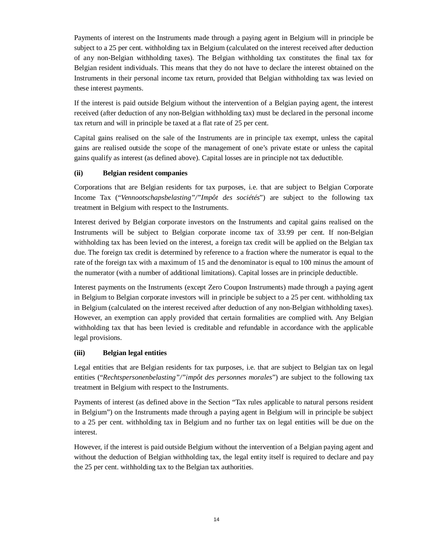Payments of interest on the Instruments made through a paying agent in Belgium will in principle be subject to a 25 per cent. withholding tax in Belgium (calculated on the interest received after deduction of any non-Belgian withholding taxes). The Belgian withholding tax constitutes the final tax for Belgian resident individuals. This means that they do not have to declare the interest obtained on the Instruments in their personal income tax return, provided that Belgian withholding tax was levied on these interest payments.

If the interest is paid outside Belgium without the intervention of a Belgian paying agent, the interest received (after deduction of any non-Belgian withholding tax) must be declared in the personal income tax return and will in principle be taxed at a flat rate of 25 per cent.

Capital gains realised on the sale of the Instruments are in principle tax exempt, unless the capital gains are realised outside the scope of the management of one's private estate or unless the capital gains qualify as interest (as defined above). Capital losses are in principle not tax deductible.

# **(ii) Belgian resident companies**

Corporations that are Belgian residents for tax purposes, i.e. that are subject to Belgian Corporate Income Tax ("*Vennootschapsbelasting"/"Impôt des sociétés*") are subject to the following tax treatment in Belgium with respect to the Instruments.

Interest derived by Belgian corporate investors on the Instruments and capital gains realised on the Instruments will be subject to Belgian corporate income tax of 33.99 per cent. If non-Belgian withholding tax has been levied on the interest, a foreign tax credit will be applied on the Belgian tax due. The foreign tax credit is determined by reference to a fraction where the numerator is equal to the rate of the foreign tax with a maximum of 15 and the denominator is equal to 100 minus the amount of the numerator (with a number of additional limitations). Capital losses are in principle deductible.

Interest payments on the Instruments (except Zero Coupon Instruments) made through a paying agent in Belgium to Belgian corporate investors will in principle be subject to a 25 per cent. withholding tax in Belgium (calculated on the interest received after deduction of any non-Belgian withholding taxes). However, an exemption can apply provided that certain formalities are complied with. Any Belgian withholding tax that has been levied is creditable and refundable in accordance with the applicable legal provisions.

# **(iii) Belgian legal entities**

Legal entities that are Belgian residents for tax purposes, i.e. that are subject to Belgian tax on legal entities ("*Rechtspersonenbelasting"/"impôt des personnes morales*") are subject to the following tax treatment in Belgium with respect to the Instruments.

Payments of interest (as defined above in the Section "Tax rules applicable to natural persons resident in Belgium") on the Instruments made through a paying agent in Belgium will in principle be subject to a 25 per cent. withholding tax in Belgium and no further tax on legal entities will be due on the interest.

However, if the interest is paid outside Belgium without the intervention of a Belgian paying agent and without the deduction of Belgian withholding tax, the legal entity itself is required to declare and pay the 25 per cent. withholding tax to the Belgian tax authorities.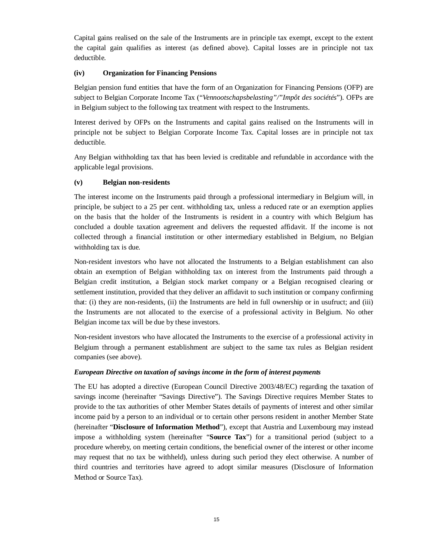Capital gains realised on the sale of the Instruments are in principle tax exempt, except to the extent the capital gain qualifies as interest (as defined above). Capital losses are in principle not tax deductible.

# **(iv) Organization for Financing Pensions**

Belgian pension fund entities that have the form of an Organization for Financing Pensions (OFP) are subject to Belgian Corporate Income Tax ("*Vennootschapsbelasting"/"Impôt des sociétés*"). OFPs are in Belgium subject to the following tax treatment with respect to the Instruments.

Interest derived by OFPs on the Instruments and capital gains realised on the Instruments will in principle not be subject to Belgian Corporate Income Tax. Capital losses are in principle not tax deductible.

Any Belgian withholding tax that has been levied is creditable and refundable in accordance with the applicable legal provisions.

# **(v) Belgian non-residents**

The interest income on the Instruments paid through a professional intermediary in Belgium will, in principle, be subject to a 25 per cent. withholding tax, unless a reduced rate or an exemption applies on the basis that the holder of the Instruments is resident in a country with which Belgium has concluded a double taxation agreement and delivers the requested affidavit. If the income is not collected through a financial institution or other intermediary established in Belgium, no Belgian withholding tax is due.

Non-resident investors who have not allocated the Instruments to a Belgian establishment can also obtain an exemption of Belgian withholding tax on interest from the Instruments paid through a Belgian credit institution, a Belgian stock market company or a Belgian recognised clearing or settlement institution, provided that they deliver an affidavit to such institution or company confirming that: (i) they are non-residents, (ii) the Instruments are held in full ownership or in usufruct; and (iii) the Instruments are not allocated to the exercise of a professional activity in Belgium. No other Belgian income tax will be due by these investors.

Non-resident investors who have allocated the Instruments to the exercise of a professional activity in Belgium through a permanent establishment are subject to the same tax rules as Belgian resident companies (see above).

## *European Directive on taxation of savings income in the form of interest payments*

The EU has adopted a directive (European Council Directive 2003/48/EC) regarding the taxation of savings income (hereinafter "Savings Directive"). The Savings Directive requires Member States to provide to the tax authorities of other Member States details of payments of interest and other similar income paid by a person to an individual or to certain other persons resident in another Member State (hereinafter "**Disclosure of Information Method**"), except that Austria and Luxembourg may instead impose a withholding system (hereinafter "**Source Tax**") for a transitional period (subject to a procedure whereby, on meeting certain conditions, the beneficial owner of the interest or other income may request that no tax be withheld), unless during such period they elect otherwise. A number of third countries and territories have agreed to adopt similar measures (Disclosure of Information Method or Source Tax).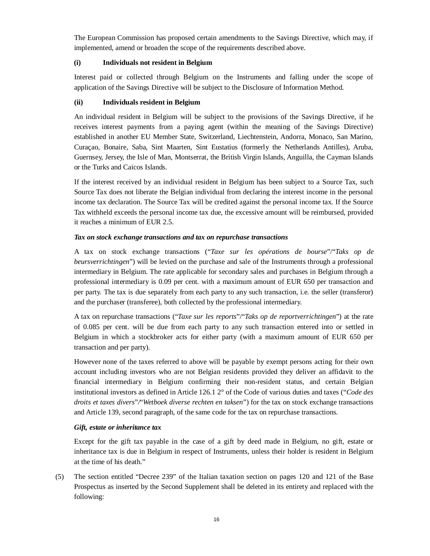The European Commission has proposed certain amendments to the Savings Directive, which may, if implemented, amend or broaden the scope of the requirements described above.

# **(i) Individuals not resident in Belgium**

Interest paid or collected through Belgium on the Instruments and falling under the scope of application of the Savings Directive will be subject to the Disclosure of Information Method.

# **(ii) Individuals resident in Belgium**

An individual resident in Belgium will be subject to the provisions of the Savings Directive, if he receives interest payments from a paying agent (within the meaning of the Savings Directive) established in another EU Member State, Switzerland, Liechtenstein, Andorra, Monaco, San Marino, Curaçao, Bonaire, Saba, Sint Maarten, Sint Eustatius (formerly the Netherlands Antilles), Aruba, Guernsey, Jersey, the Isle of Man, Montserrat, the British Virgin Islands, Anguilla, the Cayman Islands or the Turks and Caicos Islands.

If the interest received by an individual resident in Belgium has been subject to a Source Tax, such Source Tax does not liberate the Belgian individual from declaring the interest income in the personal income tax declaration. The Source Tax will be credited against the personal income tax. If the Source Tax withheld exceeds the personal income tax due, the excessive amount will be reimbursed, provided it reaches a minimum of EUR 2.5.

# *Tax on stock exchange transactions and tax on repurchase transactions*

A tax on stock exchange transactions ("*Taxe sur les opérations de bourse*"/"*Taks op de beursverrichtingen*") will be levied on the purchase and sale of the Instruments through a professional intermediary in Belgium. The rate applicable for secondary sales and purchases in Belgium through a professional intermediary is 0.09 per cent. with a maximum amount of EUR 650 per transaction and per party. The tax is due separately from each party to any such transaction, i.e. the seller (transferor) and the purchaser (transferee), both collected by the professional intermediary.

A tax on repurchase transactions ("*Taxe sur les reports*"/"*Taks op de reportverrichtingen*") at the rate of 0.085 per cent. will be due from each party to any such transaction entered into or settled in Belgium in which a stockbroker acts for either party (with a maximum amount of EUR 650 per transaction and per party).

However none of the taxes referred to above will be payable by exempt persons acting for their own account including investors who are not Belgian residents provided they deliver an affidavit to the financial intermediary in Belgium confirming their non-resident status, and certain Belgian institutional investors as defined in Article 126.1 2° of the Code of various duties and taxes ("*Code des droits et taxes divers*"*/*"*Wetboek diverse rechten en taksen*") for the tax on stock exchange transactions and Article 139, second paragraph, of the same code for the tax on repurchase transactions.

# *Gift, estate or inheritance tax*

Except for the gift tax payable in the case of a gift by deed made in Belgium, no gift, estate or inheritance tax is due in Belgium in respect of Instruments, unless their holder is resident in Belgium at the time of his death."

(5) The section entitled "Decree 239" of the Italian taxation section on pages 120 and 121 of the Base Prospectus as inserted by the Second Supplement shall be deleted in its entirety and replaced with the following: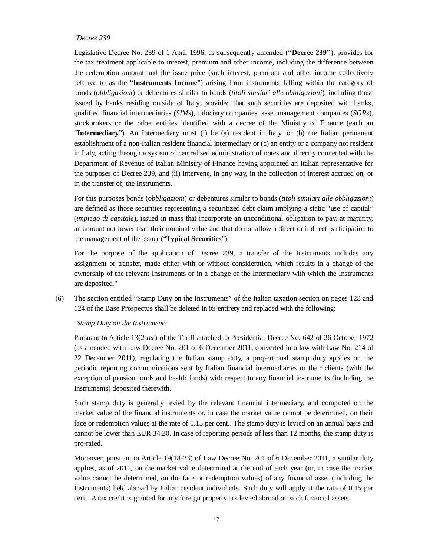#### "*Decree 239*

Legislative Decree No. 239 of 1 April 1996, as subsequently amended (''**Decree 239**''), provides for the tax treatment applicable to interest, premium and other income, including the difference between the redemption amount and the issue price (such interest, premium and other income collectively referred to as the "**Instruments Income**") arising from instruments falling within the category of bonds (*obbligazioni*) or debentures similar to bonds (*titoli similari alle obbligazioni*), including those issued by banks residing outside of Italy, provided that such securities are deposited with banks, qualified financial intermediaries (*SIMs*), fiduciary companies, asset management companies (*SGRs*), stockbrokers or the other entities identified with a decree of the Ministry of Finance (each an "**Intermediary**"). An Intermediary must (i) be (a) resident in Italy, or (b) the Italian permanent establishment of a non-Italian resident financial intermediary or (c) an entity or a company not resident in Italy, acting through a system of centralised administration of notes and directly connected with the Department of Revenue of Italian Ministry of Finance having appointed an Italian representative for the purposes of Decree 239, and (ii) intervene, in any way, in the collection of interest accrued on, or in the transfer of, the Instruments.

For this purposes bonds (*obbligazioni*) or debentures similar to bonds (*titoli similari alle obbligazioni*) are defined as those securities representing a securitized debt claim implying a static "use of capital" (*impiego di capitale*), issued in mass that incorporate an unconditional obligation to pay, at maturity, an amount not lower than their nominal value and that do not allow a direct or indirect participation to the management of the issuer ("**Typical Securities**").

For the purpose of the application of Decree 239, a transfer of the Instruments includes any assignment or transfer, made either with or without consideration, which results in a change of the ownership of the relevant Instruments or in a change of the Intermediary with which the Instruments are deposited."

(6) The section entitled "Stamp Duty on the Instruments" of the Italian taxation section on pages 123 and 124 of the Base Prospectus shall be deleted in its entirety and replaced with the following:

#### "*Stamp Duty on the Instruments*

Pursuant to Article 13(2-*ter*) of the Tariff attached to Presidential Decree No. 642 of 26 October 1972 (as amended with Law Decree No. 201 of 6 December 2011, converted into law with Law No. 214 of 22 December 2011), regulating the Italian stamp duty, a proportional stamp duty applies on the periodic reporting communications sent by Italian financial intermediaries to their clients (with the exception of pension funds and health funds) with respect to any financial instruments (including the Instruments) deposited therewith.

Such stamp duty is generally levied by the relevant financial intermediary, and computed on the market value of the financial instruments or, in case the market value cannot be determined, on their face or redemption values at the rate of 0.15 per cent.. The stamp duty is levied on an annual basis and cannot be lower than EUR 34.20. In case of reporting periods of less than 12 months, the stamp duty is pro-rated.

Moreover, pursuant to Article 19(18-23) of Law Decree No. 201 of 6 December 2011, a similar duty applies, as of 2011, on the market value determined at the end of each year (or, in case the market value cannot be determined, on the face or redemption values) of any financial asset (including the Instruments) held abroad by Italian resident individuals. Such duty will apply at the rate of 0.15 per cent.. A tax credit is granted for any foreign property tax levied abroad on such financial assets.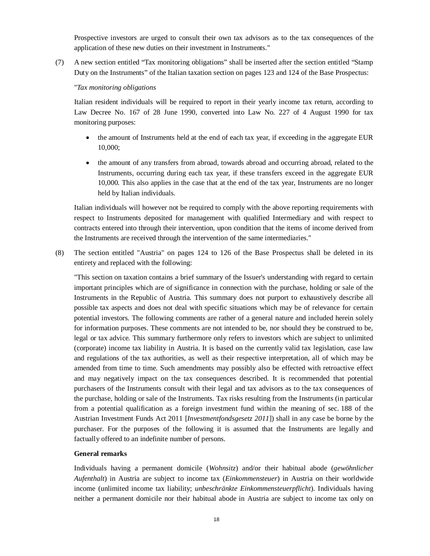Prospective investors are urged to consult their own tax advisors as to the tax consequences of the application of these new duties on their investment in Instruments."

(7) A new section entitled "Tax monitoring obligations" shall be inserted after the section entitled "Stamp Duty on the Instruments" of the Italian taxation section on pages 123 and 124 of the Base Prospectus:

#### "*Tax monitoring obligations*

Italian resident individuals will be required to report in their yearly income tax return, according to Law Decree No. 167 of 28 June 1990, converted into Law No. 227 of 4 August 1990 for tax monitoring purposes:

- the amount of Instruments held at the end of each tax year, if exceeding in the aggregate EUR 10,000;
- the amount of any transfers from abroad, towards abroad and occurring abroad, related to the Instruments, occurring during each tax year, if these transfers exceed in the aggregate EUR 10,000. This also applies in the case that at the end of the tax year, Instruments are no longer held by Italian individuals.

Italian individuals will however not be required to comply with the above reporting requirements with respect to Instruments deposited for management with qualified Intermediary and with respect to contracts entered into through their intervention, upon condition that the items of income derived from the Instruments are received through the intervention of the same intermediaries."

(8) The section entitled "Austria" on pages 124 to 126 of the Base Prospectus shall be deleted in its entirety and replaced with the following:

"This section on taxation contains a brief summary of the Issuer's understanding with regard to certain important principles which are of significance in connection with the purchase, holding or sale of the Instruments in the Republic of Austria. This summary does not purport to exhaustively describe all possible tax aspects and does not deal with specific situations which may be of relevance for certain potential investors. The following comments are rather of a general nature and included herein solely for information purposes. These comments are not intended to be, nor should they be construed to be, legal or tax advice. This summary furthermore only refers to investors which are subject to unlimited (corporate) income tax liability in Austria. It is based on the currently valid tax legislation, case law and regulations of the tax authorities, as well as their respective interpretation, all of which may be amended from time to time. Such amendments may possibly also be effected with retroactive effect and may negatively impact on the tax consequences described. It is recommended that potential purchasers of the Instruments consult with their legal and tax advisors as to the tax consequences of the purchase, holding or sale of the Instruments. Tax risks resulting from the Instruments (in particular from a potential qualification as a foreign investment fund within the meaning of sec. 188 of the Austrian Investment Funds Act 2011 [*Investmentfondsgesetz 2011*]) shall in any case be borne by the purchaser. For the purposes of the following it is assumed that the Instruments are legally and factually offered to an indefinite number of persons.

#### **General remarks**

Individuals having a permanent domicile (*Wohnsitz*) and/or their habitual abode (*gewöhnlicher Aufenthalt*) in Austria are subject to income tax (*Einkommensteuer*) in Austria on their worldwide income (unlimited income tax liability; *unbeschränkte Einkommensteuerpflicht*). Individuals having neither a permanent domicile nor their habitual abode in Austria are subject to income tax only on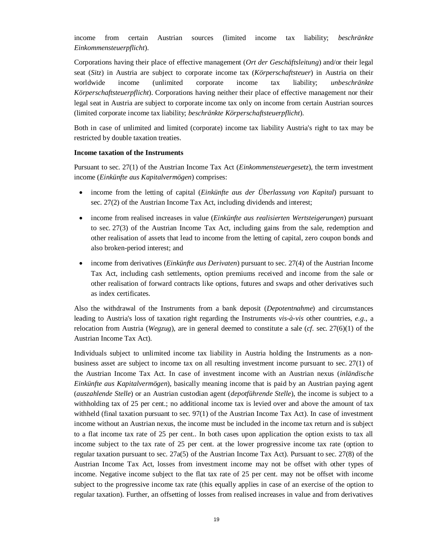income from certain Austrian sources (limited income tax liability; *beschränkte Einkommensteuerpflicht*).

Corporations having their place of effective management (*Ort der Geschäftsleitung*) and/or their legal seat (*Sitz*) in Austria are subject to corporate income tax (*Körperschaftsteuer*) in Austria on their worldwide income (unlimited corporate income tax liability; *unbeschränkte Körperschaftsteuerpflicht*). Corporations having neither their place of effective management nor their legal seat in Austria are subject to corporate income tax only on income from certain Austrian sources (limited corporate income tax liability; *beschränkte Körperschaftsteuerpflicht*).

Both in case of unlimited and limited (corporate) income tax liability Austria's right to tax may be restricted by double taxation treaties.

#### **Income taxation of the Instruments**

Pursuant to sec. 27(1) of the Austrian Income Tax Act (*Einkommensteuergesetz*), the term investment income (*Einkünfte aus Kapitalvermögen*) comprises:

- x income from the letting of capital (*Einkünfte aus der Überlassung von Kapital*) pursuant to sec. 27(2) of the Austrian Income Tax Act, including dividends and interest;
- x income from realised increases in value (*Einkünfte aus realisierten Wertsteigerungen*) pursuant to sec. 27(3) of the Austrian Income Tax Act, including gains from the sale, redemption and other realisation of assets that lead to income from the letting of capital, zero coupon bonds and also broken-period interest; and
- income from derivatives (*Einkünfte aus Derivaten*) pursuant to sec. 27(4) of the Austrian Income Tax Act, including cash settlements, option premiums received and income from the sale or other realisation of forward contracts like options, futures and swaps and other derivatives such as index certificates.

Also the withdrawal of the Instruments from a bank deposit (*Depotentnahme*) and circumstances leading to Austria's loss of taxation right regarding the Instruments *vis-à-vis* other countries, *e.g.*, a relocation from Austria (*Wegzug*), are in general deemed to constitute a sale (*cf.* sec. 27(6)(1) of the Austrian Income Tax Act).

Individuals subject to unlimited income tax liability in Austria holding the Instruments as a nonbusiness asset are subject to income tax on all resulting investment income pursuant to sec. 27(1) of the Austrian Income Tax Act. In case of investment income with an Austrian nexus (*inländische Einkünfte aus Kapitalvermögen*), basically meaning income that is paid by an Austrian paying agent (*auszahlende Stelle*) or an Austrian custodian agent (*depotführende Stelle*), the income is subject to a withholding tax of 25 per cent.; no additional income tax is levied over and above the amount of tax withheld (final taxation pursuant to sec. 97(1) of the Austrian Income Tax Act). In case of investment income without an Austrian nexus, the income must be included in the income tax return and is subject to a flat income tax rate of 25 per cent.. In both cases upon application the option exists to tax all income subject to the tax rate of 25 per cent. at the lower progressive income tax rate (option to regular taxation pursuant to sec. 27a(5) of the Austrian Income Tax Act). Pursuant to sec. 27(8) of the Austrian Income Tax Act, losses from investment income may not be offset with other types of income. Negative income subject to the flat tax rate of 25 per cent. may not be offset with income subject to the progressive income tax rate (this equally applies in case of an exercise of the option to regular taxation). Further, an offsetting of losses from realised increases in value and from derivatives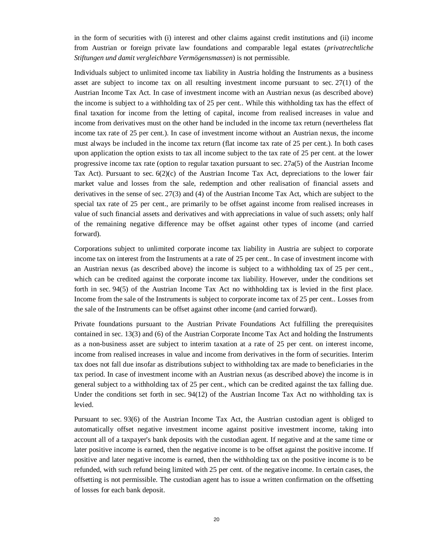in the form of securities with (i) interest and other claims against credit institutions and (ii) income from Austrian or foreign private law foundations and comparable legal estates (*privatrechtliche Stiftungen und damit vergleichbare Vermögensmassen*) is not permissible.

Individuals subject to unlimited income tax liability in Austria holding the Instruments as a business asset are subject to income tax on all resulting investment income pursuant to sec. 27(1) of the Austrian Income Tax Act. In case of investment income with an Austrian nexus (as described above) the income is subject to a withholding tax of 25 per cent.. While this withholding tax has the effect of final taxation for income from the letting of capital, income from realised increases in value and income from derivatives must on the other hand be included in the income tax return (nevertheless flat income tax rate of 25 per cent.). In case of investment income without an Austrian nexus, the income must always be included in the income tax return (flat income tax rate of 25 per cent.). In both cases upon application the option exists to tax all income subject to the tax rate of 25 per cent. at the lower progressive income tax rate (option to regular taxation pursuant to sec. 27a(5) of the Austrian Income Tax Act). Pursuant to sec.  $6(2)(c)$  of the Austrian Income Tax Act, depreciations to the lower fair market value and losses from the sale, redemption and other realisation of financial assets and derivatives in the sense of sec. 27(3) and (4) of the Austrian Income Tax Act, which are subject to the special tax rate of 25 per cent., are primarily to be offset against income from realised increases in value of such financial assets and derivatives and with appreciations in value of such assets; only half of the remaining negative difference may be offset against other types of income (and carried forward).

Corporations subject to unlimited corporate income tax liability in Austria are subject to corporate income tax on interest from the Instruments at a rate of 25 per cent.. In case of investment income with an Austrian nexus (as described above) the income is subject to a withholding tax of 25 per cent., which can be credited against the corporate income tax liability. However, under the conditions set forth in sec. 94(5) of the Austrian Income Tax Act no withholding tax is levied in the first place. Income from the sale of the Instruments is subject to corporate income tax of 25 per cent.. Losses from the sale of the Instruments can be offset against other income (and carried forward).

Private foundations pursuant to the Austrian Private Foundations Act fulfilling the prerequisites contained in sec. 13(3) and (6) of the Austrian Corporate Income Tax Act and holding the Instruments as a non-business asset are subject to interim taxation at a rate of 25 per cent. on interest income, income from realised increases in value and income from derivatives in the form of securities. Interim tax does not fall due insofar as distributions subject to withholding tax are made to beneficiaries in the tax period. In case of investment income with an Austrian nexus (as described above) the income is in general subject to a withholding tax of 25 per cent., which can be credited against the tax falling due. Under the conditions set forth in sec. 94(12) of the Austrian Income Tax Act no withholding tax is levied.

Pursuant to sec. 93(6) of the Austrian Income Tax Act, the Austrian custodian agent is obliged to automatically offset negative investment income against positive investment income, taking into account all of a taxpayer's bank deposits with the custodian agent. If negative and at the same time or later positive income is earned, then the negative income is to be offset against the positive income. If positive and later negative income is earned, then the withholding tax on the positive income is to be refunded, with such refund being limited with 25 per cent. of the negative income. In certain cases, the offsetting is not permissible. The custodian agent has to issue a written confirmation on the offsetting of losses for each bank deposit.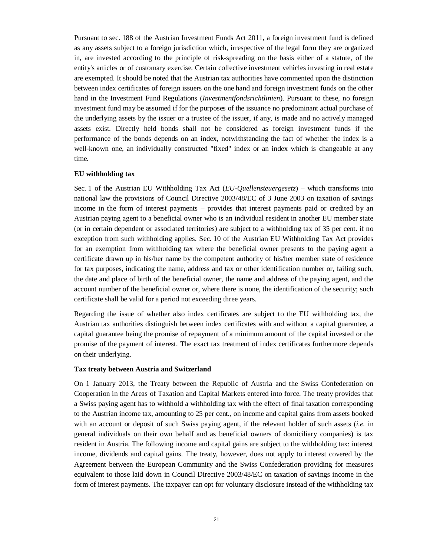Pursuant to sec. 188 of the Austrian Investment Funds Act 2011, a foreign investment fund is defined as any assets subject to a foreign jurisdiction which, irrespective of the legal form they are organized in, are invested according to the principle of risk-spreading on the basis either of a statute, of the entity's articles or of customary exercise. Certain collective investment vehicles investing in real estate are exempted. It should be noted that the Austrian tax authorities have commented upon the distinction between index certificates of foreign issuers on the one hand and foreign investment funds on the other hand in the Investment Fund Regulations (*Investmentfondsrichtlinien*). Pursuant to these, no foreign investment fund may be assumed if for the purposes of the issuance no predominant actual purchase of the underlying assets by the issuer or a trustee of the issuer, if any, is made and no actively managed assets exist. Directly held bonds shall not be considered as foreign investment funds if the performance of the bonds depends on an index, notwithstanding the fact of whether the index is a well-known one, an individually constructed "fixed" index or an index which is changeable at any time.

### **EU withholding tax**

Sec. 1 of the Austrian EU Withholding Tax Act (*EU-Quellensteuergesetz*) – which transforms into national law the provisions of Council Directive 2003/48/EC of 3 June 2003 on taxation of savings income in the form of interest payments – provides that interest payments paid or credited by an Austrian paying agent to a beneficial owner who is an individual resident in another EU member state (or in certain dependent or associated territories) are subject to a withholding tax of 35 per cent. if no exception from such withholding applies. Sec. 10 of the Austrian EU Withholding Tax Act provides for an exemption from withholding tax where the beneficial owner presents to the paying agent a certificate drawn up in his/her name by the competent authority of his/her member state of residence for tax purposes, indicating the name, address and tax or other identification number or, failing such, the date and place of birth of the beneficial owner, the name and address of the paying agent, and the account number of the beneficial owner or, where there is none, the identification of the security; such certificate shall be valid for a period not exceeding three years.

Regarding the issue of whether also index certificates are subject to the EU withholding tax, the Austrian tax authorities distinguish between index certificates with and without a capital guarantee, a capital guarantee being the promise of repayment of a minimum amount of the capital invested or the promise of the payment of interest. The exact tax treatment of index certificates furthermore depends on their underlying.

#### **Tax treaty between Austria and Switzerland**

On 1 January 2013, the Treaty between the Republic of Austria and the Swiss Confederation on Cooperation in the Areas of Taxation and Capital Markets entered into force. The treaty provides that a Swiss paying agent has to withhold a withholding tax with the effect of final taxation corresponding to the Austrian income tax, amounting to 25 per cent., on income and capital gains from assets booked with an account or deposit of such Swiss paying agent, if the relevant holder of such assets (*i.e.* in general individuals on their own behalf and as beneficial owners of domiciliary companies) is tax resident in Austria. The following income and capital gains are subject to the withholding tax: interest income, dividends and capital gains. The treaty, however, does not apply to interest covered by the Agreement between the European Community and the Swiss Confederation providing for measures equivalent to those laid down in Council Directive 2003/48/EC on taxation of savings income in the form of interest payments. The taxpayer can opt for voluntary disclosure instead of the withholding tax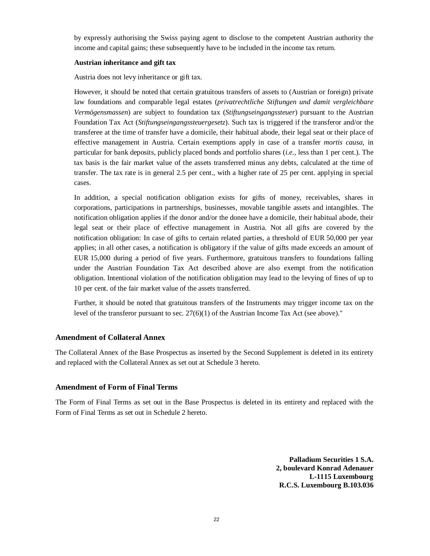by expressly authorising the Swiss paying agent to disclose to the competent Austrian authority the income and capital gains; these subsequently have to be included in the income tax return.

#### **Austrian inheritance and gift tax**

Austria does not levy inheritance or gift tax.

However, it should be noted that certain gratuitous transfers of assets to (Austrian or foreign) private law foundations and comparable legal estates (*privatrechtliche Stiftungen und damit vergleichbare Vermögensmassen*) are subject to foundation tax (*Stiftungseingangssteuer*) pursuant to the Austrian Foundation Tax Act (*Stiftungseingangssteuergesetz*). Such tax is triggered if the transferor and/or the transferee at the time of transfer have a domicile, their habitual abode, their legal seat or their place of effective management in Austria. Certain exemptions apply in case of a transfer *mortis causa*, in particular for bank deposits, publicly placed bonds and portfolio shares (*i.e.*, less than 1 per cent.). The tax basis is the fair market value of the assets transferred minus any debts, calculated at the time of transfer. The tax rate is in general 2.5 per cent., with a higher rate of 25 per cent. applying in special cases.

In addition, a special notification obligation exists for gifts of money, receivables, shares in corporations, participations in partnerships, businesses, movable tangible assets and intangibles. The notification obligation applies if the donor and/or the donee have a domicile, their habitual abode, their legal seat or their place of effective management in Austria. Not all gifts are covered by the notification obligation: In case of gifts to certain related parties, a threshold of EUR 50,000 per year applies; in all other cases, a notification is obligatory if the value of gifts made exceeds an amount of EUR 15,000 during a period of five years. Furthermore, gratuitous transfers to foundations falling under the Austrian Foundation Tax Act described above are also exempt from the notification obligation. Intentional violation of the notification obligation may lead to the levying of fines of up to 10 per cent. of the fair market value of the assets transferred.

Further, it should be noted that gratuitous transfers of the Instruments may trigger income tax on the level of the transferor pursuant to sec. 27(6)(1) of the Austrian Income Tax Act (see above)."

## **Amendment of Collateral Annex**

The Collateral Annex of the Base Prospectus as inserted by the Second Supplement is deleted in its entirety and replaced with the Collateral Annex as set out at Schedule 3 hereto.

## **Amendment of Form of Final Terms**

The Form of Final Terms as set out in the Base Prospectus is deleted in its entirety and replaced with the Form of Final Terms as set out in Schedule 2 hereto.

> **Palladium Securities 1 S.A. 2, boulevard Konrad Adenauer L-1115 Luxembourg R.C.S. Luxembourg B.103.036**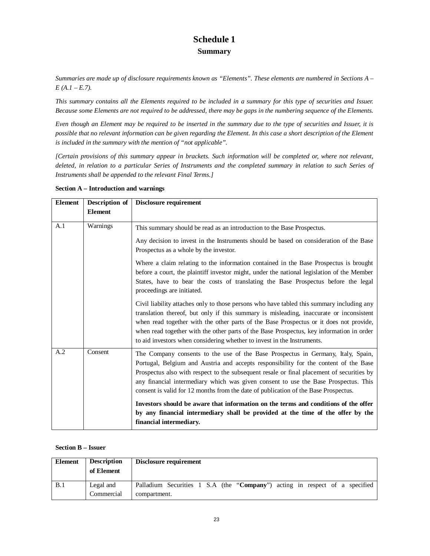# **Schedule 1 Summary**

*Summaries are made up of disclosure requirements known as "Elements". These elements are numbered in Sections A – E (A.1 – E.7).*

*This summary contains all the Elements required to be included in a summary for this type of securities and Issuer. Because some Elements are not required to be addressed, there may be gaps in the numbering sequence of the Elements.*

*Even though an Element may be required to be inserted in the summary due to the type of securities and Issuer, it is possible that no relevant information can be given regarding the Element. In this case a short description of the Element is included in the summary with the mention of "not applicable".*

*[Certain provisions of this summary appear in brackets. Such information will be completed or, where not relevant, deleted, in relation to a particular Series of Instruments and the completed summary in relation to such Series of Instruments shall be appended to the relevant Final Terms.]*

| <b>Element</b> | Description of | <b>Disclosure requirement</b>                                                                                                                                                                                                                                                                                                                                                                                                                         |
|----------------|----------------|-------------------------------------------------------------------------------------------------------------------------------------------------------------------------------------------------------------------------------------------------------------------------------------------------------------------------------------------------------------------------------------------------------------------------------------------------------|
|                | <b>Element</b> |                                                                                                                                                                                                                                                                                                                                                                                                                                                       |
| A.1            | Warnings       | This summary should be read as an introduction to the Base Prospectus.                                                                                                                                                                                                                                                                                                                                                                                |
|                |                | Any decision to invest in the Instruments should be based on consideration of the Base<br>Prospectus as a whole by the investor.                                                                                                                                                                                                                                                                                                                      |
|                |                | Where a claim relating to the information contained in the Base Prospectus is brought<br>before a court, the plaintiff investor might, under the national legislation of the Member<br>States, have to bear the costs of translating the Base Prospectus before the legal<br>proceedings are initiated.                                                                                                                                               |
|                |                | Civil liability attaches only to those persons who have tabled this summary including any<br>translation thereof, but only if this summary is misleading, inaccurate or inconsistent<br>when read together with the other parts of the Base Prospectus or it does not provide,<br>when read together with the other parts of the Base Prospectus, key information in order<br>to aid investors when considering whether to invest in the Instruments. |
| A.2            | Consent        | The Company consents to the use of the Base Prospectus in Germany, Italy, Spain,<br>Portugal, Belgium and Austria and accepts responsibility for the content of the Base<br>Prospectus also with respect to the subsequent resale or final placement of securities by<br>any financial intermediary which was given consent to use the Base Prospectus. This<br>consent is valid for 12 months from the date of publication of the Base Prospectus.   |
|                |                | Investors should be aware that information on the terms and conditions of the offer<br>by any financial intermediary shall be provided at the time of the offer by the<br>financial intermediary.                                                                                                                                                                                                                                                     |

## **Section A – Introduction and warnings**

#### **Section B – Issuer**

| Element | <b>Description</b>      | Disclosure requirement                                                                      |
|---------|-------------------------|---------------------------------------------------------------------------------------------|
|         | of Element              |                                                                                             |
| B.1     | Legal and<br>Commercial | Palladium Securities 1 S.A (the "Company") acting in respect of a specified<br>compartment. |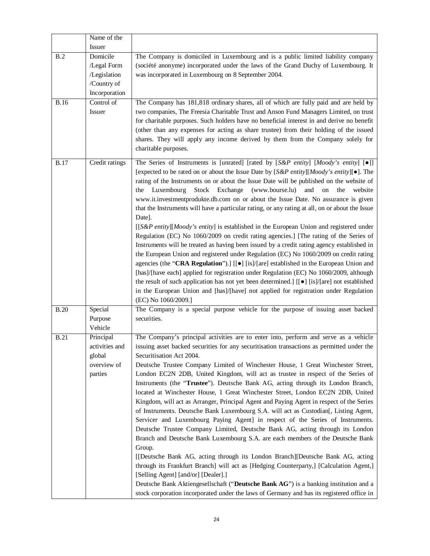|             | Name of the                                                             |                                                                                                                                                                                                                                                                                                                                                                                                                                                                                                                                                                                                                                                                                                                                                                                                                                                                                                                                                                                                                                                                                                                                                                                                                                                                                                                                                                                                                          |
|-------------|-------------------------------------------------------------------------|--------------------------------------------------------------------------------------------------------------------------------------------------------------------------------------------------------------------------------------------------------------------------------------------------------------------------------------------------------------------------------------------------------------------------------------------------------------------------------------------------------------------------------------------------------------------------------------------------------------------------------------------------------------------------------------------------------------------------------------------------------------------------------------------------------------------------------------------------------------------------------------------------------------------------------------------------------------------------------------------------------------------------------------------------------------------------------------------------------------------------------------------------------------------------------------------------------------------------------------------------------------------------------------------------------------------------------------------------------------------------------------------------------------------------|
|             | Issuer                                                                  |                                                                                                                                                                                                                                                                                                                                                                                                                                                                                                                                                                                                                                                                                                                                                                                                                                                                                                                                                                                                                                                                                                                                                                                                                                                                                                                                                                                                                          |
| B.2         | Domicile<br>/Legal Form<br>/Legislation<br>/Country of<br>Incorporation | The Company is domiciled in Luxembourg and is a public limited liability company<br>(société anonyme) incorporated under the laws of the Grand Duchy of Luxembourg. It<br>was incorporated in Luxembourg on 8 September 2004.                                                                                                                                                                                                                                                                                                                                                                                                                                                                                                                                                                                                                                                                                                                                                                                                                                                                                                                                                                                                                                                                                                                                                                                            |
| <b>B.16</b> | Control of<br>Issuer                                                    | The Company has 181,818 ordinary shares, all of which are fully paid and are held by<br>two companies, The Freesia Charitable Trust and Anson Fund Managers Limited, on trust<br>for charitable purposes. Such holders have no beneficial interest in and derive no benefit<br>(other than any expenses for acting as share trustee) from their holding of the issued<br>shares. They will apply any income derived by them from the Company solely for<br>charitable purposes.                                                                                                                                                                                                                                                                                                                                                                                                                                                                                                                                                                                                                                                                                                                                                                                                                                                                                                                                          |
| <b>B.17</b> | Credit ratings                                                          | The Series of Instruments is [unrated] [rated by $[S\&P \text{ entity}]$ [Moody's entity] $[\bullet]]$<br>[expected to be rated on or about the Issue Date by [S&P entity][Moody's entity][ $\bullet$ ]. The<br>rating of the Instruments on or about the Issue Date will be published on the website of<br>Stock Exchange (www.bourse.lu)<br>Luxembourg<br>and<br>on<br>the<br>website<br>the<br>www.it.investmentprodukte.db.com on or about the Issue Date. No assurance is given<br>that the Instruments will have a particular rating, or any rating at all, on or about the Issue<br>Date].<br>[[S&P entity][Moody's entity] is established in the European Union and registered under<br>Regulation (EC) No 1060/2009 on credit rating agencies.] [The rating of the Series of<br>Instruments will be treated as having been issued by a credit rating agency established in<br>the European Union and registered under Regulation (EC) No 1060/2009 on credit rating<br>agencies (the "CRA Regulation").] $[ [ \bullet ]$ [is]/[are] established in the European Union and<br>[has]/[have each] applied for registration under Regulation (EC) No 1060/2009, although<br>the result of such application has not yet been determined.] [[ $\bullet$ ] [is]/[are] not established<br>in the European Union and [has]/[have] not applied for registration under Regulation<br>(EC) No 1060/2009.]                   |
| <b>B.20</b> | Special<br>Purpose<br>Vehicle                                           | The Company is a special purpose vehicle for the purpose of issuing asset backed<br>securities.                                                                                                                                                                                                                                                                                                                                                                                                                                                                                                                                                                                                                                                                                                                                                                                                                                                                                                                                                                                                                                                                                                                                                                                                                                                                                                                          |
| <b>B.21</b> | Principal<br>activities and<br>global<br>overview of<br>parties         | The Company's principal activities are to enter into, perform and serve as a vehicle<br>issuing asset backed securities for any securitisation transactions as permitted under the<br>Securitisation Act 2004.<br>Deutsche Trustee Company Limited of Winchester House, 1 Great Winchester Street,<br>London EC2N 2DB, United Kingdom, will act as trustee in respect of the Series of<br>Instruments (the "Trustee"). Deutsche Bank AG, acting through its London Branch,<br>located at Winchester House, 1 Great Winchester Street, London EC2N 2DB, United<br>Kingdom, will act as Arranger, Principal Agent and Paying Agent in respect of the Series<br>of Instruments. Deutsche Bank Luxembourg S.A. will act as Custodian[, Listing Agent,<br>Servicer and Luxembourg Paying Agent] in respect of the Series of Instruments.<br>Deutsche Trustee Company Limited, Deutsche Bank AG, acting through its London<br>Branch and Deutsche Bank Luxembourg S.A. are each members of the Deutsche Bank<br>Group.<br>[[Deutsche Bank AG, acting through its London Branch][Deutsche Bank AG, acting<br>through its Frankfurt Branch] will act as [Hedging Counterparty,] [Calculation Agent,]<br>[Selling Agent] [and/or] [Dealer].]<br>Deutsche Bank Aktiengesellschaft ("Deutsche Bank AG") is a banking institution and a<br>stock corporation incorporated under the laws of Germany and has its registered office in |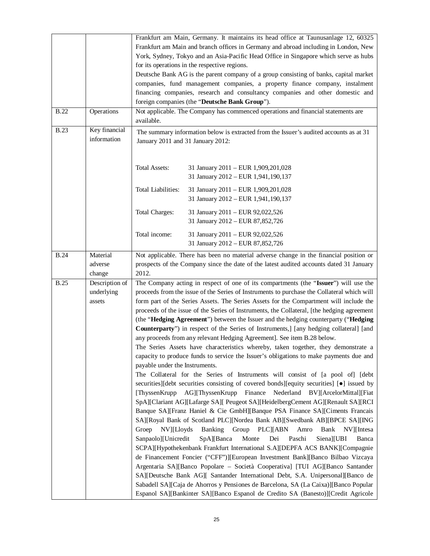|             |                | Frankfurt am Main, Germany. It maintains its head office at Taunusanlage 12, 60325            |
|-------------|----------------|-----------------------------------------------------------------------------------------------|
|             |                | Frankfurt am Main and branch offices in Germany and abroad including in London, New           |
|             |                | York, Sydney, Tokyo and an Asia-Pacific Head Office in Singapore which serve as hubs          |
|             |                | for its operations in the respective regions.                                                 |
|             |                |                                                                                               |
|             |                | Deutsche Bank AG is the parent company of a group consisting of banks, capital market         |
|             |                | companies, fund management companies, a property finance company, instalment                  |
|             |                | financing companies, research and consultancy companies and other domestic and                |
|             |                | foreign companies (the "Deutsche Bank Group").                                                |
| <b>B.22</b> | Operations     | Not applicable. The Company has commenced operations and financial statements are             |
|             |                | available.                                                                                    |
| <b>B.23</b> | Key financial  | The summary information below is extracted from the Issuer's audited accounts as at 31        |
|             | information    | January 2011 and 31 January 2012:                                                             |
|             |                |                                                                                               |
|             |                |                                                                                               |
|             |                | <b>Total Assets:</b><br>31 January 2011 - EUR 1,909,201,028                                   |
|             |                | 31 January 2012 - EUR 1,941,190,137                                                           |
|             |                |                                                                                               |
|             |                | Total Liabilities:<br>31 January 2011 - EUR 1,909,201,028                                     |
|             |                | 31 January 2012 - EUR 1,941,190,137                                                           |
|             |                | <b>Total Charges:</b><br>31 January 2011 - EUR 92,022,526                                     |
|             |                | 31 January 2012 - EUR 87,852,726                                                              |
|             |                |                                                                                               |
|             |                | Total income:<br>31 January 2011 - EUR 92,022,526                                             |
|             |                | 31 January 2012 - EUR 87,852,726                                                              |
| <b>B.24</b> | Material       | Not applicable. There has been no material adverse change in the financial position or        |
|             | adverse        | prospects of the Company since the date of the latest audited accounts dated 31 January       |
|             | change         | 2012.                                                                                         |
| <b>B.25</b> | Description of | The Company acting in respect of one of its compartments (the "Issuer") will use the          |
|             | underlying     | proceeds from the issue of the Series of Instruments to purchase the Collateral which will    |
|             | assets         | form part of the Series Assets. The Series Assets for the Compartment will include the        |
|             |                | proceeds of the issue of the Series of Instruments, the Collateral, [the hedging agreement    |
|             |                | (the "Hedging Agreement") between the Issuer and the hedging counterparty ("Hedging           |
|             |                | <b>Counterparty</b> ") in respect of the Series of Instruments, [any hedging collateral] [and |
|             |                | any proceeds from any relevant Hedging Agreement]. See item B.28 below.                       |
|             |                | The Series Assets have characteristics whereby, taken together, they demonstrate a            |
|             |                | capacity to produce funds to service the Issuer's obligations to make payments due and        |
|             |                | payable under the Instruments.                                                                |
|             |                |                                                                                               |
|             |                | The Collateral for the Series of Instruments will consist of [a pool of] [debt                |
|             |                | securities][debt securities consisting of covered bonds][equity securities] [•] issued by     |
|             |                | AG][ThyssenKrupp Finance<br>Nederland BV][ArcelorMittal][Fiat<br>[ThyssenKrupp]               |
|             |                | SpA][Clariant AG][Lafarge SA][ Peugeot SA][HeidelbergCement AG][Renault SA][RCI               |
|             |                | Banque SA][Franz Haniel & Cie GmbH][Banque PSA Finance SA][Ciments Francais                   |
|             |                | SA][Royal Bank of Scotland PLC][Nordea Bank AB][Swedbank AB][BPCE SA][ING                     |
|             |                | NV][Lloyds]<br>Banking<br>Group PLC][ABN<br>Groep<br>Amro<br>Bank<br>NV][Intesa               |
|             |                | Sanpaolo][Unicredit<br>Paschi<br>SpA][Banca<br>Monte<br>Siena][UBI<br>Dei<br>Banca            |
|             |                | SCPA][Hypothekenbank Frankfurt International S.A][DEPFA ACS BANK][Compagnie                   |
|             |                | de Financement Foncier ("CFF")][European Investment Bank][Banco Bilbao Vizcaya                |
|             |                | Argentaria SA][Banco Popolare - Società Cooperativa] [TUI AG][Banco Santander                 |
|             |                | SA][Deutsche Bank AG][ Santander International Debt, S.A. Unipersonal][Banco de               |
|             |                | Sabadell SA][Caja de Ahorros y Pensiones de Barcelona, SA (La Caixa)][Banco Popular           |
|             |                | Espanol SA][Bankinter SA][Banco Espanol de Credito SA (Banesto)][Credit Agricole              |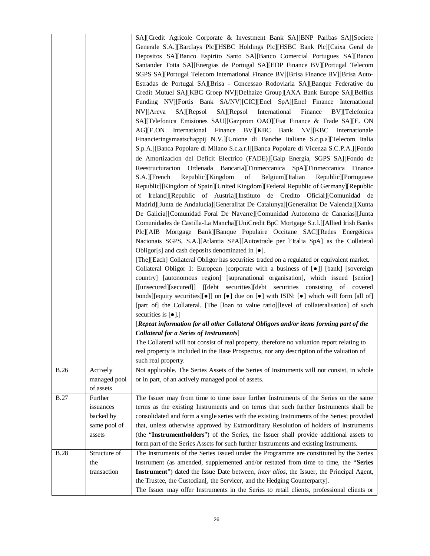|             |              | SA][Credit Agricole Corporate & Investment Bank SA][BNP Paribas SA][Societe                                               |
|-------------|--------------|---------------------------------------------------------------------------------------------------------------------------|
|             |              | Generale S.A.][Barclays Plc][HSBC Holdings Plc][HSBC Bank Plc][Caixa Geral de                                             |
|             |              | Depositos SA][Banco Espirito Santo SA][Banco Comercial Portugues SA][Banco                                                |
|             |              | Santander Totta SA][Energias de Portugal SA][EDP Finance BV][Portugal Telecom                                             |
|             |              | SGPS SA][Portugal Telecom International Finance BV][Brisa Finance BV][Brisa Auto-                                         |
|             |              | Estradas de Portugal SA][Brisa - Concessao Rodoviaria SA][Banque Federative du                                            |
|             |              | Credit Mutuel SA][KBC Groep NV][Delhaize Group][AXA Bank Europe SA][Belfius                                               |
|             |              | Funding NV][Fortis Bank SA/NV][CIC][Enel SpA][Enel Finance International                                                  |
|             |              | NV][Areva<br>$SA$ ][Repsol<br>SA][Repsol International<br>Finance BV][Telefonica                                          |
|             |              | SA][Telefonica Emisiones SAU][Gazprom OAO][Fiat Finance & Trade SA][E. ON                                                 |
|             |              |                                                                                                                           |
|             |              | International Finance BV  KBC Bank NV  KBC Internationale<br>AGJIE.ON                                                     |
|             |              | Financieringsmaatschappij N.V.][Unione di Banche Italiane S.c.p.a][Telecom Italia                                         |
|             |              | S.p.A.][Banca Popolare di Milano S.c.a.r.]][Banca Popolare di Vicenza S.C.P.A.][Fondo                                     |
|             |              | de Amortizacion del Deficit Electrico (FADE)][Galp Energia, SGPS SA][Fondo de                                             |
|             |              | Reestructuracion Ordenada Bancaria][Finmeccanica SpA][Finmeccanica Finance                                                |
|             |              | Republic][Kingdom<br>of<br>S.A.][French<br>Belgium][Italian<br>Republic][Portuguese                                       |
|             |              | Republic][Kingdom of Spain][United Kingdom][Federal Republic of Germany][Republic                                         |
|             |              | of Ireland][Republic of Austria][Instituto de Credito Oficial][Comunidad de                                               |
|             |              | Madrid][Junta de Andalucia][Generalitat De Catalunya][Generalitat De Valencia][Xunta                                      |
|             |              | De Galicia][Comunidad Foral De Navarre][Comunidad Autonoma de Canarias][Junta                                             |
|             |              | Comunidades de Castilla-La Mancha][UniCredit BpC Mortgage S.r.l.][Allied Irish Banks                                      |
|             |              | Plc][AIB Mortgage Bank][Banque Populaire Occitane SAC][Redes Energéticas                                                  |
|             |              | Nacionais SGPS, S.A.][Atlantia SPA][Autostrade per l'Italia SpA] as the Collateral                                        |
|             |              | Obligor[s] and cash deposits denominated in $[•]$ .                                                                       |
|             |              | [The][Each] Collateral Obligor has securities traded on a regulated or equivalent market.                                 |
|             |              | Collateral Obligor 1: European [corporate with a business of [ $\bullet$ ]] [bank] [sovereign                             |
|             |              | country] [autonomous region] [supranational organisation], which issued [senior]                                          |
|             |              | [[unsecured][secured]] [[debt securities][debt securities consisting of covered                                           |
|             |              | bonds][equity securities][ $\bullet$ ]] on $\bullet$ ] due on $\bullet$ ] with ISIN: $\bullet$ ] which will form [all of] |
|             |              | [part of] the Collateral. [The [loan to value ratio][level of collateralisation] of such                                  |
|             |              | securities is $[\bullet]$ .]                                                                                              |
|             |              | [Repeat information for all other Collateral Obligors and/or items forming part of the                                    |
|             |              | <b>Collateral for a Series of Instruments</b> ]                                                                           |
|             |              | The Collateral will not consist of real property, therefore no valuation report relating to                               |
|             |              | real property is included in the Base Prospectus, nor any description of the valuation of                                 |
|             |              | such real property.                                                                                                       |
| <b>B.26</b> | Actively     | Not applicable. The Series Assets of the Series of Instruments will not consist, in whole                                 |
|             | managed pool | or in part, of an actively managed pool of assets.                                                                        |
|             | of assets    |                                                                                                                           |
| <b>B.27</b> | Further      | The Issuer may from time to time issue further Instruments of the Series on the same                                      |
|             | issuances    | terms as the existing Instruments and on terms that such further Instruments shall be                                     |
|             | backed by    | consolidated and form a single series with the existing Instruments of the Series; provided                               |
|             | same pool of | that, unless otherwise approved by Extraordinary Resolution of holders of Instruments                                     |
|             | assets       | (the "Instrumentholders") of the Series, the Issuer shall provide additional assets to                                    |
|             |              | form part of the Series Assets for such further Instruments and existing Instruments.                                     |
| <b>B.28</b> | Structure of | The Instruments of the Series issued under the Programme are constituted by the Series                                    |
|             | the          | Instrument (as amended, supplemented and/or restated from time to time, the "Series                                       |
|             | transaction  | Instrument") dated the Issue Date between, <i>inter alios</i> , the Issuer, the Principal Agent,                          |
|             |              | the Trustee, the Custodian[, the Servicer, and the Hedging Counterparty].                                                 |
|             |              | The Issuer may offer Instruments in the Series to retail clients, professional clients or                                 |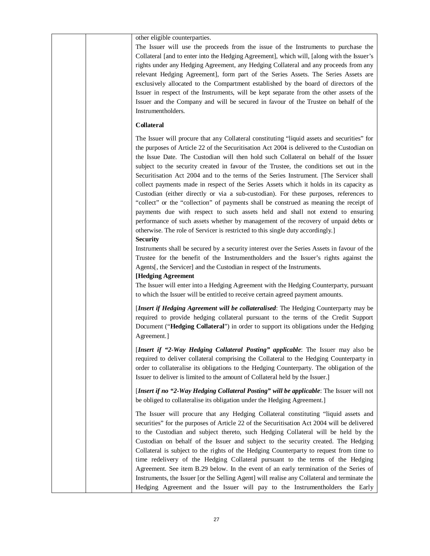| other eligible counterparties.<br>The Issuer will use the proceeds from the issue of the Instruments to purchase the<br>Collateral [and to enter into the Hedging Agreement], which will, [along with the Issuer's<br>rights under any Hedging Agreement, any Hedging Collateral and any proceeds from any<br>relevant Hedging Agreement], form part of the Series Assets. The Series Assets are<br>exclusively allocated to the Compartment established by the board of directors of the<br>Issuer in respect of the Instruments, will be kept separate from the other assets of the<br>Issuer and the Company and will be secured in favour of the Trustee on behalf of the<br>Instrumentholders.                                                                                                                                                                                                                                                                                                                                 |
|-------------------------------------------------------------------------------------------------------------------------------------------------------------------------------------------------------------------------------------------------------------------------------------------------------------------------------------------------------------------------------------------------------------------------------------------------------------------------------------------------------------------------------------------------------------------------------------------------------------------------------------------------------------------------------------------------------------------------------------------------------------------------------------------------------------------------------------------------------------------------------------------------------------------------------------------------------------------------------------------------------------------------------------|
| <b>Collateral</b>                                                                                                                                                                                                                                                                                                                                                                                                                                                                                                                                                                                                                                                                                                                                                                                                                                                                                                                                                                                                                   |
| The Issuer will procure that any Collateral constituting "liquid assets and securities" for<br>the purposes of Article 22 of the Securitisation Act 2004 is delivered to the Custodian on<br>the Issue Date. The Custodian will then hold such Collateral on behalf of the Issuer<br>subject to the security created in favour of the Trustee, the conditions set out in the<br>Securitisation Act 2004 and to the terms of the Series Instrument. [The Servicer shall<br>collect payments made in respect of the Series Assets which it holds in its capacity as<br>Custodian (either directly or via a sub-custodian). For these purposes, references to<br>"collect" or the "collection" of payments shall be construed as meaning the receipt of<br>payments due with respect to such assets held and shall not extend to ensuring<br>performance of such assets whether by management of the recovery of unpaid debts or<br>otherwise. The role of Servicer is restricted to this single duty accordingly.]<br><b>Security</b> |
| Instruments shall be secured by a security interest over the Series Assets in favour of the<br>Trustee for the benefit of the Instrumentholders and the Issuer's rights against the<br>Agents[, the Servicer] and the Custodian in respect of the Instruments.<br>[Hedging Agreement                                                                                                                                                                                                                                                                                                                                                                                                                                                                                                                                                                                                                                                                                                                                                |
| The Issuer will enter into a Hedging Agreement with the Hedging Counterparty, pursuant<br>to which the Issuer will be entitled to receive certain agreed payment amounts.                                                                                                                                                                                                                                                                                                                                                                                                                                                                                                                                                                                                                                                                                                                                                                                                                                                           |
| [Insert if Hedging Agreement will be collateralised: The Hedging Counterparty may be<br>required to provide hedging collateral pursuant to the terms of the Credit Support<br>Document ("Hedging Collateral") in order to support its obligations under the Hedging<br>Agreement.]                                                                                                                                                                                                                                                                                                                                                                                                                                                                                                                                                                                                                                                                                                                                                  |
| [Insert if "2-Way Hedging Collateral Posting" applicable: The Issuer may also be<br>required to deliver collateral comprising the Collateral to the Hedging Counterparty in<br>order to collateralise its obligations to the Hedging Counterparty. The obligation of the<br>Issuer to deliver is limited to the amount of Collateral held by the Issuer.]                                                                                                                                                                                                                                                                                                                                                                                                                                                                                                                                                                                                                                                                           |
| [Insert if no "2-Way Hedging Collateral Posting" will be applicable: The Issuer will not<br>be obliged to collateralise its obligation under the Hedging Agreement.]                                                                                                                                                                                                                                                                                                                                                                                                                                                                                                                                                                                                                                                                                                                                                                                                                                                                |
| The Issuer will procure that any Hedging Collateral constituting "liquid assets and<br>securities" for the purposes of Article 22 of the Securitisation Act 2004 will be delivered<br>to the Custodian and subject thereto, such Hedging Collateral will be held by the<br>Custodian on behalf of the Issuer and subject to the security created. The Hedging<br>Collateral is subject to the rights of the Hedging Counterparty to request from time to<br>time redelivery of the Hedging Collateral pursuant to the terms of the Hedging<br>Agreement. See item B.29 below. In the event of an early termination of the Series of<br>Instruments, the Issuer [or the Selling Agent] will realise any Collateral and terminate the<br>Hedging Agreement and the Issuer will pay to the Instrumentholders the Early                                                                                                                                                                                                                 |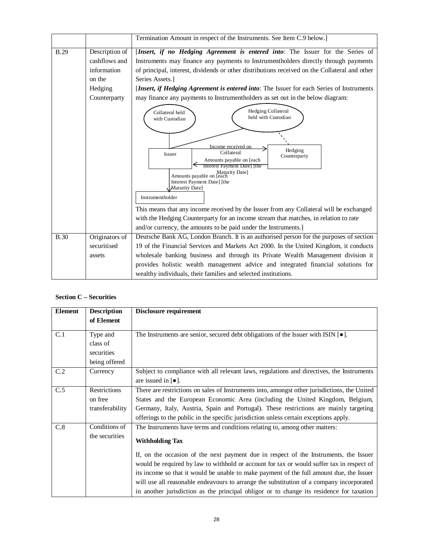|             |                                                                                     | Termination Amount in respect of the Instruments. See Item C.9 below.]                                                                                                                                                                                                                                                                                                                                                                                                                                                                                                                                                                                                                                                                                                                                                                                                                                                                                                                             |
|-------------|-------------------------------------------------------------------------------------|----------------------------------------------------------------------------------------------------------------------------------------------------------------------------------------------------------------------------------------------------------------------------------------------------------------------------------------------------------------------------------------------------------------------------------------------------------------------------------------------------------------------------------------------------------------------------------------------------------------------------------------------------------------------------------------------------------------------------------------------------------------------------------------------------------------------------------------------------------------------------------------------------------------------------------------------------------------------------------------------------|
| <b>B.29</b> | Description of<br>cashflows and<br>information<br>on the<br>Hedging<br>Counterparty | [Insert, if no Hedging Agreement is entered into: The Issuer for the Series of<br>Instruments may finance any payments to Instrumentholders directly through payments<br>of principal, interest, dividends or other distributions received on the Collateral and other<br>Series Assets.<br>[Insert, if Hedging Agreement is entered into: The Issuer for each Series of Instruments<br>may finance any payments to Instrumentholders as set out in the below diagram:<br>Hedging Collateral<br>Collateral held<br>held with Custodian<br>with Custodian<br>Income received on<br>Hedging<br>Collateral<br>Issuer<br>Counterparty<br>Amounts payable on [each<br>Interest Payment Date   the<br>Maturity Date]<br>Amounts payable on [each<br>Interest Payment Date] [the<br>Maturity Date]<br>Instrumentholder<br>This means that any income received by the Issuer from any Collateral will be exchanged<br>with the Hedging Counterparty for an income stream that matches, in relation to rate |
|             |                                                                                     | and/or currency, the amounts to be paid under the Instruments.]                                                                                                                                                                                                                                                                                                                                                                                                                                                                                                                                                                                                                                                                                                                                                                                                                                                                                                                                    |
| <b>B.30</b> | Originators of                                                                      | Deutsche Bank AG, London Branch. It is an authorised person for the purposes of section                                                                                                                                                                                                                                                                                                                                                                                                                                                                                                                                                                                                                                                                                                                                                                                                                                                                                                            |
|             | securitised                                                                         | 19 of the Financial Services and Markets Act 2000. In the United Kingdom, it conducts                                                                                                                                                                                                                                                                                                                                                                                                                                                                                                                                                                                                                                                                                                                                                                                                                                                                                                              |
|             | assets                                                                              | wholesale banking business and through its Private Wealth Management division it<br>provides holistic wealth management advice and integrated financial solutions for<br>wealthy individuals, their families and selected institutions.                                                                                                                                                                                                                                                                                                                                                                                                                                                                                                                                                                                                                                                                                                                                                            |

# **Section C – Securities**

| <b>Element</b>   | <b>Description</b>                                  | Disclosure requirement                                                                                                                                                                                                                                                                                                                                                                                                                                                                                                                                                          |
|------------------|-----------------------------------------------------|---------------------------------------------------------------------------------------------------------------------------------------------------------------------------------------------------------------------------------------------------------------------------------------------------------------------------------------------------------------------------------------------------------------------------------------------------------------------------------------------------------------------------------------------------------------------------------|
|                  | of Element                                          |                                                                                                                                                                                                                                                                                                                                                                                                                                                                                                                                                                                 |
| C.1              | Type and<br>class of<br>securities<br>being offered | The Instruments are senior, secured debt obligations of the Issuer with ISIN $[•]$ .                                                                                                                                                                                                                                                                                                                                                                                                                                                                                            |
| C.2              | Currency                                            | Subject to compliance with all relevant laws, regulations and directives, the Instruments<br>are issued in $\lceil \bullet \rceil$ .                                                                                                                                                                                                                                                                                                                                                                                                                                            |
| $\overline{C.5}$ | Restrictions<br>on free<br>transferability          | There are restrictions on sales of Instruments into, amongst other jurisdictions, the United<br>States and the European Economic Area (including the United Kingdom, Belgium,<br>Germany, Italy, Austria, Spain and Portugal). These restrictions are mainly targeting<br>offerings to the public in the specific jurisdiction unless certain exceptions apply.                                                                                                                                                                                                                 |
| C.8              | Conditions of<br>the securities                     | The Instruments have terms and conditions relating to, among other matters:<br><b>Withholding Tax</b><br>If, on the occasion of the next payment due in respect of the Instruments, the Issuer<br>would be required by law to withhold or account for tax or would suffer tax in respect of<br>its income so that it would be unable to make payment of the full amount due, the Issuer<br>will use all reasonable endeavours to arrange the substitution of a company incorporated<br>in another jurisdiction as the principal obligor or to change its residence for taxation |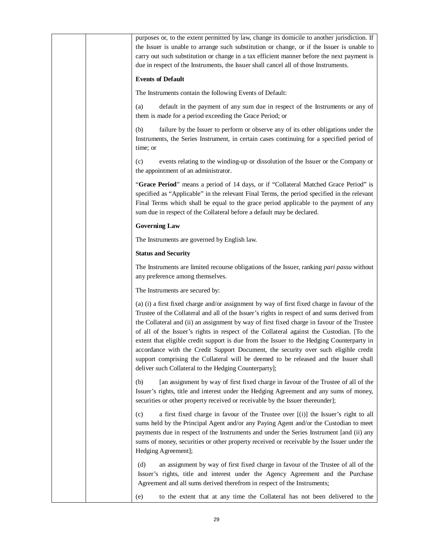|  | purposes or, to the extent permitted by law, change its domicile to another jurisdiction. If<br>the Issuer is unable to arrange such substitution or change, or if the Issuer is unable to<br>carry out such substitution or change in a tax efficient manner before the next payment is<br>due in respect of the Instruments, the Issuer shall cancel all of those Instruments.                                                                                                                                                                                                                                                                                                                                              |
|--|-------------------------------------------------------------------------------------------------------------------------------------------------------------------------------------------------------------------------------------------------------------------------------------------------------------------------------------------------------------------------------------------------------------------------------------------------------------------------------------------------------------------------------------------------------------------------------------------------------------------------------------------------------------------------------------------------------------------------------|
|  | <b>Events of Default</b>                                                                                                                                                                                                                                                                                                                                                                                                                                                                                                                                                                                                                                                                                                      |
|  | The Instruments contain the following Events of Default:                                                                                                                                                                                                                                                                                                                                                                                                                                                                                                                                                                                                                                                                      |
|  | default in the payment of any sum due in respect of the Instruments or any of<br>(a)<br>them is made for a period exceeding the Grace Period; or                                                                                                                                                                                                                                                                                                                                                                                                                                                                                                                                                                              |
|  | failure by the Issuer to perform or observe any of its other obligations under the<br>(b)<br>Instruments, the Series Instrument, in certain cases continuing for a specified period of<br>time; or                                                                                                                                                                                                                                                                                                                                                                                                                                                                                                                            |
|  | events relating to the winding-up or dissolution of the Issuer or the Company or<br>(c)<br>the appointment of an administrator.                                                                                                                                                                                                                                                                                                                                                                                                                                                                                                                                                                                               |
|  | "Grace Period" means a period of 14 days, or if "Collateral Matched Grace Period" is<br>specified as "Applicable" in the relevant Final Terms, the period specified in the relevant<br>Final Terms which shall be equal to the grace period applicable to the payment of any<br>sum due in respect of the Collateral before a default may be declared.                                                                                                                                                                                                                                                                                                                                                                        |
|  | <b>Governing Law</b>                                                                                                                                                                                                                                                                                                                                                                                                                                                                                                                                                                                                                                                                                                          |
|  | The Instruments are governed by English law.                                                                                                                                                                                                                                                                                                                                                                                                                                                                                                                                                                                                                                                                                  |
|  | <b>Status and Security</b>                                                                                                                                                                                                                                                                                                                                                                                                                                                                                                                                                                                                                                                                                                    |
|  | The Instruments are limited recourse obligations of the Issuer, ranking pari passu without<br>any preference among themselves.                                                                                                                                                                                                                                                                                                                                                                                                                                                                                                                                                                                                |
|  | The Instruments are secured by:                                                                                                                                                                                                                                                                                                                                                                                                                                                                                                                                                                                                                                                                                               |
|  | (a) (i) a first fixed charge and/or assignment by way of first fixed charge in favour of the<br>Trustee of the Collateral and all of the Issuer's rights in respect of and sums derived from<br>the Collateral and (ii) an assignment by way of first fixed charge in favour of the Trustee<br>of all of the Issuer's rights in respect of the Collateral against the Custodian. [To the<br>extent that eligible credit support is due from the Issuer to the Hedging Counterparty in<br>accordance with the Credit Support Document, the security over such eligible credit<br>support comprising the Collateral will be deemed to be released and the Issuer shall<br>deliver such Collateral to the Hedging Counterparty]; |
|  | [an assignment by way of first fixed charge in favour of the Trustee of all of the<br>(b)<br>Issuer's rights, title and interest under the Hedging Agreement and any sums of money,<br>securities or other property received or receivable by the Issuer thereunder];                                                                                                                                                                                                                                                                                                                                                                                                                                                         |
|  | a first fixed charge in favour of the Trustee over [(i)] the Issuer's right to all<br>(c)<br>sums held by the Principal Agent and/or any Paying Agent and/or the Custodian to meet<br>payments due in respect of the Instruments and under the Series Instrument [and (ii) any<br>sums of money, securities or other property received or receivable by the Issuer under the<br>Hedging Agreement];                                                                                                                                                                                                                                                                                                                           |
|  | an assignment by way of first fixed charge in favour of the Trustee of all of the<br>(d)<br>Issuer's rights, title and interest under the Agency Agreement and the Purchase<br>Agreement and all sums derived therefrom in respect of the Instruments;                                                                                                                                                                                                                                                                                                                                                                                                                                                                        |
|  | to the extent that at any time the Collateral has not been delivered to the<br>(e)                                                                                                                                                                                                                                                                                                                                                                                                                                                                                                                                                                                                                                            |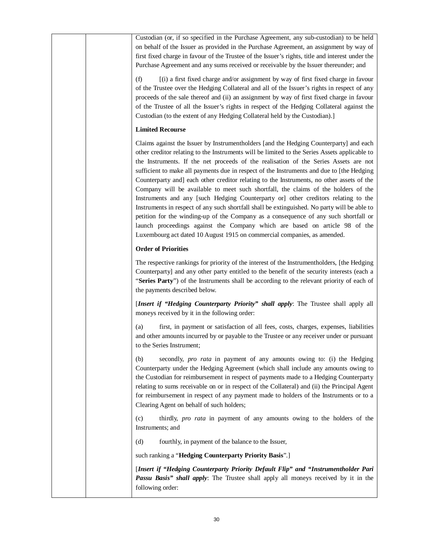| Custodian (or, if so specified in the Purchase Agreement, any sub-custodian) to be held<br>on behalf of the Issuer as provided in the Purchase Agreement, an assignment by way of<br>first fixed charge in favour of the Trustee of the Issuer's rights, title and interest under the<br>Purchase Agreement and any sums received or receivable by the Issuer thereunder; and                                                                                                                                                                                                                                                                                                                                                                                                                                                                                                                                                                                                                            |
|----------------------------------------------------------------------------------------------------------------------------------------------------------------------------------------------------------------------------------------------------------------------------------------------------------------------------------------------------------------------------------------------------------------------------------------------------------------------------------------------------------------------------------------------------------------------------------------------------------------------------------------------------------------------------------------------------------------------------------------------------------------------------------------------------------------------------------------------------------------------------------------------------------------------------------------------------------------------------------------------------------|
| [(i) a first fixed charge and/or assignment by way of first fixed charge in favour<br>(f)<br>of the Trustee over the Hedging Collateral and all of the Issuer's rights in respect of any<br>proceeds of the sale thereof and (ii) an assignment by way of first fixed charge in favour<br>of the Trustee of all the Issuer's rights in respect of the Hedging Collateral against the<br>Custodian (to the extent of any Hedging Collateral held by the Custodian).]                                                                                                                                                                                                                                                                                                                                                                                                                                                                                                                                      |
| <b>Limited Recourse</b>                                                                                                                                                                                                                                                                                                                                                                                                                                                                                                                                                                                                                                                                                                                                                                                                                                                                                                                                                                                  |
| Claims against the Issuer by Instrumentholders [and the Hedging Counterparty] and each<br>other creditor relating to the Instruments will be limited to the Series Assets applicable to<br>the Instruments. If the net proceeds of the realisation of the Series Assets are not<br>sufficient to make all payments due in respect of the Instruments and due to [the Hedging<br>Counterparty and] each other creditor relating to the Instruments, no other assets of the<br>Company will be available to meet such shortfall, the claims of the holders of the<br>Instruments and any [such Hedging Counterparty or] other creditors relating to the<br>Instruments in respect of any such shortfall shall be extinguished. No party will be able to<br>petition for the winding-up of the Company as a consequence of any such shortfall or<br>launch proceedings against the Company which are based on article 98 of the<br>Luxembourg act dated 10 August 1915 on commercial companies, as amended. |
| <b>Order of Priorities</b>                                                                                                                                                                                                                                                                                                                                                                                                                                                                                                                                                                                                                                                                                                                                                                                                                                                                                                                                                                               |
| The respective rankings for priority of the interest of the Instrumentholders, [the Hedging<br>Counterparty] and any other party entitled to the benefit of the security interests (each a<br>"Series Party") of the Instruments shall be according to the relevant priority of each of<br>the payments described below.                                                                                                                                                                                                                                                                                                                                                                                                                                                                                                                                                                                                                                                                                 |
| [Insert if "Hedging Counterparty Priority" shall apply: The Trustee shall apply all<br>moneys received by it in the following order:                                                                                                                                                                                                                                                                                                                                                                                                                                                                                                                                                                                                                                                                                                                                                                                                                                                                     |
| first, in payment or satisfaction of all fees, costs, charges, expenses, liabilities<br>(a)<br>and other amounts incurred by or payable to the Trustee or any receiver under or pursuant<br>to the Series Instrument;                                                                                                                                                                                                                                                                                                                                                                                                                                                                                                                                                                                                                                                                                                                                                                                    |
| secondly, pro rata in payment of any amounts owing to: (i) the Hedging<br>(b)<br>Counterparty under the Hedging Agreement (which shall include any amounts owing to<br>the Custodian for reimbursement in respect of payments made to a Hedging Counterparty<br>relating to sums receivable on or in respect of the Collateral) and (ii) the Principal Agent<br>for reimbursement in respect of any payment made to holders of the Instruments or to a<br>Clearing Agent on behalf of such holders;                                                                                                                                                                                                                                                                                                                                                                                                                                                                                                      |
| thirdly, pro rata in payment of any amounts owing to the holders of the<br>(c)<br>Instruments; and                                                                                                                                                                                                                                                                                                                                                                                                                                                                                                                                                                                                                                                                                                                                                                                                                                                                                                       |
| (d)<br>fourthly, in payment of the balance to the Issuer,                                                                                                                                                                                                                                                                                                                                                                                                                                                                                                                                                                                                                                                                                                                                                                                                                                                                                                                                                |
| such ranking a "Hedging Counterparty Priority Basis".]                                                                                                                                                                                                                                                                                                                                                                                                                                                                                                                                                                                                                                                                                                                                                                                                                                                                                                                                                   |
| [Insert if "Hedging Counterparty Priority Default Flip" and "Instrumentholder Pari<br>Passu Basis" shall apply: The Trustee shall apply all moneys received by it in the<br>following order:                                                                                                                                                                                                                                                                                                                                                                                                                                                                                                                                                                                                                                                                                                                                                                                                             |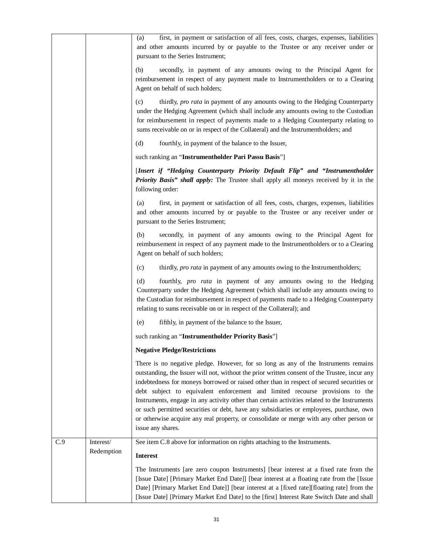|     |            | first, in payment or satisfaction of all fees, costs, charges, expenses, liabilities<br>(a)<br>and other amounts incurred by or payable to the Trustee or any receiver under or<br>pursuant to the Series Instrument;                                                                                                                                                                                                                                                                                                                                                                                                                                                          |
|-----|------------|--------------------------------------------------------------------------------------------------------------------------------------------------------------------------------------------------------------------------------------------------------------------------------------------------------------------------------------------------------------------------------------------------------------------------------------------------------------------------------------------------------------------------------------------------------------------------------------------------------------------------------------------------------------------------------|
|     |            | secondly, in payment of any amounts owing to the Principal Agent for<br>(b)<br>reimbursement in respect of any payment made to Instrumentholders or to a Clearing<br>Agent on behalf of such holders;                                                                                                                                                                                                                                                                                                                                                                                                                                                                          |
|     |            | thirdly, pro rata in payment of any amounts owing to the Hedging Counterparty<br>(c)<br>under the Hedging Agreement (which shall include any amounts owing to the Custodian<br>for reimbursement in respect of payments made to a Hedging Counterparty relating to<br>sums receivable on or in respect of the Collateral) and the Instrumentholders; and                                                                                                                                                                                                                                                                                                                       |
|     |            | (d)<br>fourthly, in payment of the balance to the Issuer,                                                                                                                                                                                                                                                                                                                                                                                                                                                                                                                                                                                                                      |
|     |            | such ranking an "Instrumentholder Pari Passu Basis"]                                                                                                                                                                                                                                                                                                                                                                                                                                                                                                                                                                                                                           |
|     |            | [Insert if "Hedging Counterparty Priority Default Flip" and "Instrumentholder<br>Priority Basis" shall apply: The Trustee shall apply all moneys received by it in the<br>following order:                                                                                                                                                                                                                                                                                                                                                                                                                                                                                     |
|     |            | first, in payment or satisfaction of all fees, costs, charges, expenses, liabilities<br>(a)<br>and other amounts incurred by or payable to the Trustee or any receiver under or<br>pursuant to the Series Instrument;                                                                                                                                                                                                                                                                                                                                                                                                                                                          |
|     |            | secondly, in payment of any amounts owing to the Principal Agent for<br>(b)<br>reimbursement in respect of any payment made to the Instrumentholders or to a Clearing<br>Agent on behalf of such holders;                                                                                                                                                                                                                                                                                                                                                                                                                                                                      |
|     |            | thirdly, pro rata in payment of any amounts owing to the Instrumentholders;<br>(c)                                                                                                                                                                                                                                                                                                                                                                                                                                                                                                                                                                                             |
|     |            | fourthly, <i>pro rata</i> in payment of any amounts owing to the Hedging<br>(d)<br>Counterparty under the Hedging Agreement (which shall include any amounts owing to<br>the Custodian for reimbursement in respect of payments made to a Hedging Counterparty<br>relating to sums receivable on or in respect of the Collateral); and                                                                                                                                                                                                                                                                                                                                         |
|     |            | fifthly, in payment of the balance to the Issuer,<br>(e)                                                                                                                                                                                                                                                                                                                                                                                                                                                                                                                                                                                                                       |
|     |            | such ranking an "Instrumentholder Priority Basis"]                                                                                                                                                                                                                                                                                                                                                                                                                                                                                                                                                                                                                             |
|     |            | <b>Negative Pledge/Restrictions</b>                                                                                                                                                                                                                                                                                                                                                                                                                                                                                                                                                                                                                                            |
|     |            | There is no negative pledge. However, for so long as any of the Instruments remains<br>outstanding, the Issuer will not, without the prior written consent of the Trustee, incur any<br>indebtedness for moneys borrowed or raised other than in respect of secured securities or<br>debt subject to equivalent enforcement and limited recourse provisions to the<br>Instruments, engage in any activity other than certain activities related to the Instruments<br>or such permitted securities or debt, have any subsidiaries or employees, purchase, own<br>or otherwise acquire any real property, or consolidate or merge with any other person or<br>issue any shares. |
| C.9 | Interest/  | See item C.8 above for information on rights attaching to the Instruments.                                                                                                                                                                                                                                                                                                                                                                                                                                                                                                                                                                                                     |
|     | Redemption | <b>Interest</b>                                                                                                                                                                                                                                                                                                                                                                                                                                                                                                                                                                                                                                                                |
|     |            | The Instruments [are zero coupon Instruments] [bear interest at a fixed rate from the<br>[Issue Date] [Primary Market End Date]] [bear interest at a floating rate from the [Issue<br>Date] [Primary Market End Date]] [bear interest at a [fixed rate][floating rate] from the<br>[Issue Date] [Primary Market End Date] to the [first] Interest Rate Switch Date and shall                                                                                                                                                                                                                                                                                                   |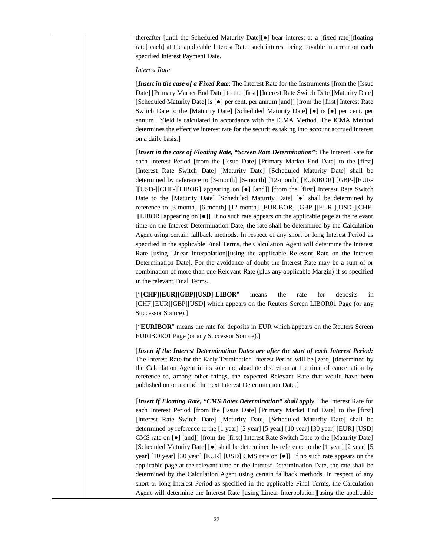| thereafter [until the Scheduled Maturity Date][ $\bullet$ ] bear interest at a [fixed rate][floating<br>rate] each] at the applicable Interest Rate, such interest being payable in arrear on each<br>specified Interest Payment Date.                                                                                                                                                                                                                                                                                                                                                                                                                                                                                                                                                                                                                                                                                                                                                                                                                                                                                                                                                                                                                                                                                              |
|-------------------------------------------------------------------------------------------------------------------------------------------------------------------------------------------------------------------------------------------------------------------------------------------------------------------------------------------------------------------------------------------------------------------------------------------------------------------------------------------------------------------------------------------------------------------------------------------------------------------------------------------------------------------------------------------------------------------------------------------------------------------------------------------------------------------------------------------------------------------------------------------------------------------------------------------------------------------------------------------------------------------------------------------------------------------------------------------------------------------------------------------------------------------------------------------------------------------------------------------------------------------------------------------------------------------------------------|
| <b>Interest Rate</b>                                                                                                                                                                                                                                                                                                                                                                                                                                                                                                                                                                                                                                                                                                                                                                                                                                                                                                                                                                                                                                                                                                                                                                                                                                                                                                                |
| [Insert in the case of a Fixed Rate: The Interest Rate for the Instruments [from the [Issue]<br>Date] [Primary Market End Date] to the [first] [Interest Rate Switch Date][Maturity Date]<br>[Scheduled Maturity Date] is [ $\bullet$ ] per cent. per annum [and]] [from the [first] Interest Rate<br>Switch Date to the [Maturity Date] [Scheduled Maturity Date] [ $\bullet$ ] is [ $\bullet$ ] per cent. per<br>annum]. Yield is calculated in accordance with the ICMA Method. The ICMA Method<br>determines the effective interest rate for the securities taking into account accrued interest<br>on a daily basis.]                                                                                                                                                                                                                                                                                                                                                                                                                                                                                                                                                                                                                                                                                                          |
| [Insert in the case of Floating Rate, "Screen Rate Determination": The Interest Rate for<br>each Interest Period [from the [Issue Date] [Primary Market End Date] to the [first]<br>[Interest Rate Switch Date] [Maturity Date] [Scheduled Maturity Date] shall be<br>determined by reference to [3-month] [6-month] [12-month] [EURIBOR] [GBP-][EUR-<br>[USD-][CHF-][LIBOR] appearing on [ $\bullet$ ] [and]] [from the [first] Interest Rate Switch<br>Date to the [Maturity Date] [Scheduled Maturity Date] [.] shall be determined by<br>reference to [3-month] [6-month] [12-month] [EURIBOR] [GBP-][EUR-][USD-][CHF-<br>][LIBOR] appearing on [ $\bullet$ ]]. If no such rate appears on the applicable page at the relevant<br>time on the Interest Determination Date, the rate shall be determined by the Calculation<br>Agent using certain fallback methods. In respect of any short or long Interest Period as<br>specified in the applicable Final Terms, the Calculation Agent will determine the Interest<br>Rate [using Linear Interpolation][using the applicable Relevant Rate on the Interest<br>Determination Date]. For the avoidance of doubt the Interest Rate may be a sum of or<br>combination of more than one Relevant Rate (plus any applicable Margin) if so specified<br>in the relevant Final Terms. |
| the<br>["[CHF][EUR][GBP][USD]-LIBOR"<br>for<br>deposits<br>means<br>rate<br>in<br>[CHF][EUR][GBP][USD] which appears on the Reuters Screen LIBOR01 Page (or any<br>Successor Source).]                                                                                                                                                                                                                                                                                                                                                                                                                                                                                                                                                                                                                                                                                                                                                                                                                                                                                                                                                                                                                                                                                                                                              |
| ["EURIBOR" means the rate for deposits in EUR which appears on the Reuters Screen<br>EURIBOR01 Page (or any Successor Source).]                                                                                                                                                                                                                                                                                                                                                                                                                                                                                                                                                                                                                                                                                                                                                                                                                                                                                                                                                                                                                                                                                                                                                                                                     |
| [Insert if the Interest Determination Dates are after the start of each Interest Period:<br>The Interest Rate for the Early Termination Interest Period will be [zero] [determined by<br>the Calculation Agent in its sole and absolute discretion at the time of cancellation by<br>reference to, among other things, the expected Relevant Rate that would have been<br>published on or around the next Interest Determination Date.]                                                                                                                                                                                                                                                                                                                                                                                                                                                                                                                                                                                                                                                                                                                                                                                                                                                                                             |
| [Insert if Floating Rate, "CMS Rates Determination" shall apply: The Interest Rate for<br>each Interest Period [from the [Issue Date] [Primary Market End Date] to the [first]<br>[Interest Rate Switch Date] [Maturity Date] [Scheduled Maturity Date] shall be<br>determined by reference to the [1 year] [2 year] [5 year] [10 year] [30 year] [EUR] [USD]<br>CMS rate on [ $\bullet$ ] [and]] [from the [first] Interest Rate Switch Date to the [Maturity Date]<br>[Scheduled Maturity Date] [●] shall be determined by reference to the [1 year] [2 year] [5]<br>year] [10 year] [30 year] [EUR] [USD] CMS rate on [ $\bullet$ ]]. If no such rate appears on the<br>applicable page at the relevant time on the Interest Determination Date, the rate shall be<br>determined by the Calculation Agent using certain fallback methods. In respect of any<br>short or long Interest Period as specified in the applicable Final Terms, the Calculation<br>Agent will determine the Interest Rate [using Linear Interpolation][using the applicable                                                                                                                                                                                                                                                                             |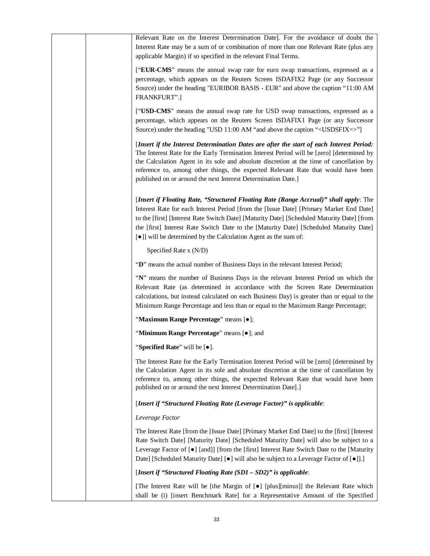| Relevant Rate on the Interest Determination Date]. For the avoidance of doubt the<br>Interest Rate may be a sum of or combination of more than one Relevant Rate (plus any<br>applicable Margin) if so specified in the relevant Final Terms.                                                                                                                                                                                               |
|---------------------------------------------------------------------------------------------------------------------------------------------------------------------------------------------------------------------------------------------------------------------------------------------------------------------------------------------------------------------------------------------------------------------------------------------|
| ["EUR-CMS" means the annual swap rate for euro swap transactions, expressed as a<br>percentage, which appears on the Reuters Screen ISDAFIX2 Page (or any Successor<br>Source) under the heading "EURIBOR BASIS - EUR" and above the caption "11:00 AM<br>FRANKFURT".]                                                                                                                                                                      |
| ["USD-CMS" means the annual swap rate for USD swap transactions, expressed as a<br>percentage, which appears on the Reuters Screen ISDAFIX1 Page (or any Successor<br>Source) under the heading "USD 11:00 AM "and above the caption " <usdsfix=>"]</usdsfix=>                                                                                                                                                                              |
| [Insert if the Interest Determination Dates are after the start of each Interest Period:<br>The Interest Rate for the Early Termination Interest Period will be [zero] [determined by<br>the Calculation Agent in its sole and absolute discretion at the time of cancellation by<br>reference to, among other things, the expected Relevant Rate that would have been<br>published on or around the next Interest Determination Date.]     |
| [Insert if Floating Rate, "Structured Floating Rate (Range Accrual)" shall apply: The<br>Interest Rate for each Interest Period [from the [Issue Date] [Primary Market End Date]<br>to the [first] [Interest Rate Switch Date] [Maturity Date] [Scheduled Maturity Date] [from<br>the [first] Interest Rate Switch Date to the [Maturity Date] [Scheduled Maturity Date]<br>[•]] will be determined by the Calculation Agent as the sum of: |
| Specified Rate x (N/D)                                                                                                                                                                                                                                                                                                                                                                                                                      |
| "D" means the actual number of Business Days in the relevant Interest Period;                                                                                                                                                                                                                                                                                                                                                               |
| "N" means the number of Business Days in the relevant Interest Period on which the<br>Relevant Rate (as determined in accordance with the Screen Rate Determination<br>calculations, but instead calculated on each Business Day) is greater than or equal to the<br>Minimum Range Percentage and less than or equal to the Maximum Range Percentage;                                                                                       |
| "Maximum Range Percentage" means [.];                                                                                                                                                                                                                                                                                                                                                                                                       |
| "Minimum Range Percentage" means [ $\bullet$ ]; and                                                                                                                                                                                                                                                                                                                                                                                         |
| "Specified Rate" will be [ $\bullet$ ].                                                                                                                                                                                                                                                                                                                                                                                                     |
| The Interest Rate for the Early Termination Interest Period will be [zero] [determined by<br>the Calculation Agent in its sole and absolute discretion at the time of cancellation by<br>reference to, among other things, the expected Relevant Rate that would have been<br>published on or around the next Interest Determination Date].]                                                                                                |
| [Insert if "Structured Floating Rate (Leverage Factor)" is applicable:                                                                                                                                                                                                                                                                                                                                                                      |
| Leverage Factor                                                                                                                                                                                                                                                                                                                                                                                                                             |
| The Interest Rate [from the [Issue Date] [Primary Market End Date] to the [first] [Interest<br>Rate Switch Date] [Maturity Date] [Scheduled Maturity Date] will also be subject to a<br>Leverage Factor of [ $\bullet$ ] [and]] [from the [first] Interest Rate Switch Date to the [Maturity<br>Date] [Scheduled Maturity Date] [ $\bullet$ ] will also be subject to a Leverage Factor of [ $\bullet$ ]].]                                 |
| [Insert if "Structured Floating Rate (SD1 - SD2)" is applicable:                                                                                                                                                                                                                                                                                                                                                                            |
| [The Interest Rate will be [the Margin of [ $\bullet$ ] [plus][minus]] the Relevant Rate which<br>shall be (i) [insert Benchmark Rate] for a Representative Amount of the Specified                                                                                                                                                                                                                                                         |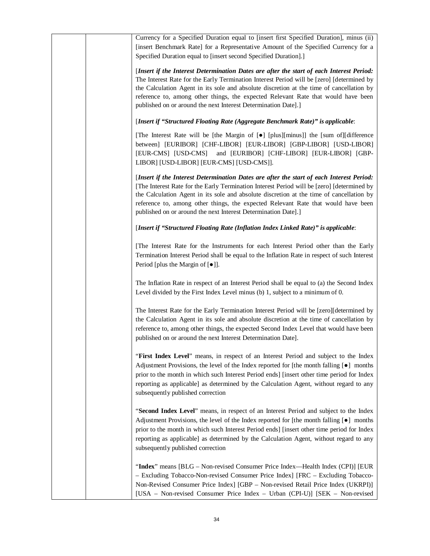| Currency for a Specified Duration equal to [insert first Specified Duration], minus (ii)<br>[insert Benchmark Rate] for a Representative Amount of the Specified Currency for a<br>Specified Duration equal to [insert second Specified Duration].]                                                                                                                                                                                       |
|-------------------------------------------------------------------------------------------------------------------------------------------------------------------------------------------------------------------------------------------------------------------------------------------------------------------------------------------------------------------------------------------------------------------------------------------|
| [Insert if the Interest Determination Dates are after the start of each Interest Period:<br>The Interest Rate for the Early Termination Interest Period will be [zero] [determined by<br>the Calculation Agent in its sole and absolute discretion at the time of cancellation by<br>reference to, among other things, the expected Relevant Rate that would have been<br>published on or around the next Interest Determination Date].]  |
| [Insert if "Structured Floating Rate (Aggregate Benchmark Rate)" is applicable:                                                                                                                                                                                                                                                                                                                                                           |
| [The Interest Rate will be [the Margin of [ $\bullet$ ] [plus][minus]] the [sum of][difference<br>between] [EURIBOR] [CHF-LIBOR] [EUR-LIBOR] [GBP-LIBOR] [USD-LIBOR]<br>[EUR-CMS] [USD-CMS] and [EURIBOR] [CHF-LIBOR] [EUR-LIBOR] [GBP-<br>LIBOR] [USD-LIBOR] [EUR-CMS] [USD-CMS]].                                                                                                                                                       |
| [Insert if the Interest Determination Dates are after the start of each Interest Period:<br>[The Interest Rate for the Early Termination Interest Period will be [zero] [determined by<br>the Calculation Agent in its sole and absolute discretion at the time of cancellation by<br>reference to, among other things, the expected Relevant Rate that would have been<br>published on or around the next Interest Determination Date].] |
| [Insert if "Structured Floating Rate (Inflation Index Linked Rate)" is applicable:                                                                                                                                                                                                                                                                                                                                                        |
| [The Interest Rate for the Instruments for each Interest Period other than the Early<br>Termination Interest Period shall be equal to the Inflation Rate in respect of such Interest<br>Period [plus the Margin of $[•]$ ].                                                                                                                                                                                                               |
| The Inflation Rate in respect of an Interest Period shall be equal to (a) the Second Index<br>Level divided by the First Index Level minus (b) 1, subject to a minimum of 0.                                                                                                                                                                                                                                                              |
| The Interest Rate for the Early Termination Interest Period will be [zero][determined by<br>the Calculation Agent in its sole and absolute discretion at the time of cancellation by<br>reference to, among other things, the expected Second Index Level that would have been<br>published on or around the next Interest Determination Date].                                                                                           |
| "First Index Level" means, in respect of an Interest Period and subject to the Index<br>Adjustment Provisions, the level of the Index reported for [the month falling $[\bullet]$ months<br>prior to the month in which such Interest Period ends] [insert other time period for Index<br>reporting as applicable] as determined by the Calculation Agent, without regard to any<br>subsequently published correction                     |
| "Second Index Level" means, in respect of an Interest Period and subject to the Index<br>Adjustment Provisions, the level of the Index reported for [the month falling $[\bullet]$ months<br>prior to the month in which such Interest Period ends] [insert other time period for Index<br>reporting as applicable] as determined by the Calculation Agent, without regard to any<br>subsequently published correction                    |
| "Index" means [BLG – Non-revised Consumer Price Index—Health Index (CPI)] [EUR<br>- Excluding Tobacco-Non-revised Consumer Price Index] [FRC - Excluding Tobacco-<br>Non-Revised Consumer Price Index] [GBP - Non-revised Retail Price Index (UKRPI)]<br>[USA - Non-revised Consumer Price Index - Urban (CPI-U)] [SEK - Non-revised                                                                                                      |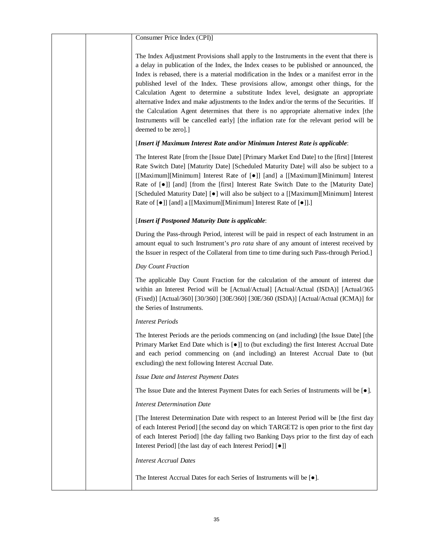|  | Consumer Price Index (CPI)]                                                                                                                                                                                                                                                                                                                                                                                                                                                                                                                                                                                                                                                                                                                                              |
|--|--------------------------------------------------------------------------------------------------------------------------------------------------------------------------------------------------------------------------------------------------------------------------------------------------------------------------------------------------------------------------------------------------------------------------------------------------------------------------------------------------------------------------------------------------------------------------------------------------------------------------------------------------------------------------------------------------------------------------------------------------------------------------|
|  | The Index Adjustment Provisions shall apply to the Instruments in the event that there is<br>a delay in publication of the Index, the Index ceases to be published or announced, the<br>Index is rebased, there is a material modification in the Index or a manifest error in the<br>published level of the Index. These provisions allow, amongst other things, for the<br>Calculation Agent to determine a substitute Index level, designate an appropriate<br>alternative Index and make adjustments to the Index and/or the terms of the Securities. If<br>the Calculation Agent determines that there is no appropriate alternative index [the<br>Instruments will be cancelled early] [the inflation rate for the relevant period will be<br>deemed to be zero].] |
|  | [Insert if Maximum Interest Rate and/or Minimum Interest Rate is applicable:                                                                                                                                                                                                                                                                                                                                                                                                                                                                                                                                                                                                                                                                                             |
|  | The Interest Rate [from the [Issue Date] [Primary Market End Date] to the [first] [Interest<br>Rate Switch Date] [Maturity Date] [Scheduled Maturity Date] will also be subject to a<br>[[Maximum][Minimum] Interest Rate of [ $\bullet$ ]] [and] a [[Maximum][Minimum] Interest<br>Rate of [ $\bullet$ ]] [and] [from the [first] Interest Rate Switch Date to the [Maturity Date]<br>[Scheduled Maturity Date] [•] will also be subject to a [[Maximum][Minimum] Interest<br>Rate of [ $\bullet$ ]] [and] a [[Maximum][Minimum] Interest Rate of [ $\bullet$ ]].]                                                                                                                                                                                                      |
|  | [Insert if Postponed Maturity Date is applicable:                                                                                                                                                                                                                                                                                                                                                                                                                                                                                                                                                                                                                                                                                                                        |
|  | During the Pass-through Period, interest will be paid in respect of each Instrument in an<br>amount equal to such Instrument's <i>pro rata</i> share of any amount of interest received by<br>the Issuer in respect of the Collateral from time to time during such Pass-through Period.]                                                                                                                                                                                                                                                                                                                                                                                                                                                                                |
|  | Day Count Fraction                                                                                                                                                                                                                                                                                                                                                                                                                                                                                                                                                                                                                                                                                                                                                       |
|  | The applicable Day Count Fraction for the calculation of the amount of interest due<br>within an Interest Period will be [Actual/Actual] [Actual/Actual (ISDA)] [Actual/365<br>(Fixed)] [Actual/360] [30/360] [30E/360] [30E/360 (ISDA)] [Actual/Actual (ICMA)] for<br>the Series of Instruments.                                                                                                                                                                                                                                                                                                                                                                                                                                                                        |
|  | <b>Interest Periods</b>                                                                                                                                                                                                                                                                                                                                                                                                                                                                                                                                                                                                                                                                                                                                                  |
|  | The Interest Periods are the periods commencing on (and including) [the Issue Date] [the<br>Primary Market End Date which is $\lceil \bullet \rceil$ to (but excluding) the first Interest Accrual Date<br>and each period commencing on (and including) an Interest Accrual Date to (but<br>excluding) the next following Interest Accrual Date.                                                                                                                                                                                                                                                                                                                                                                                                                        |
|  | Issue Date and Interest Payment Dates                                                                                                                                                                                                                                                                                                                                                                                                                                                                                                                                                                                                                                                                                                                                    |
|  | The Issue Date and the Interest Payment Dates for each Series of Instruments will be $[\bullet]$ .                                                                                                                                                                                                                                                                                                                                                                                                                                                                                                                                                                                                                                                                       |
|  | <b>Interest Determination Date</b>                                                                                                                                                                                                                                                                                                                                                                                                                                                                                                                                                                                                                                                                                                                                       |
|  | [The Interest Determination Date with respect to an Interest Period will be [the first day<br>of each Interest Period] [the second day on which TARGET2 is open prior to the first day<br>of each Interest Period] [the day falling two Banking Days prior to the first day of each<br>Interest Period] [the last day of each Interest Period] [ $\bullet$ ]]                                                                                                                                                                                                                                                                                                                                                                                                            |
|  | <b>Interest Accrual Dates</b>                                                                                                                                                                                                                                                                                                                                                                                                                                                                                                                                                                                                                                                                                                                                            |
|  | The Interest Accrual Dates for each Series of Instruments will be [ $\bullet$ ].                                                                                                                                                                                                                                                                                                                                                                                                                                                                                                                                                                                                                                                                                         |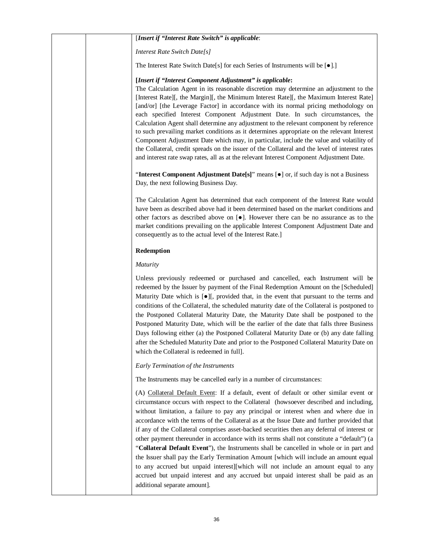### [*Insert if "Interest Rate Switch" is applicable*:

*Interest Rate Switch Date[s]*

The Interest Rate Switch Date[s] for each Series of Instruments will be  $[•]$ .]

#### **[***Insert if "Interest Component Adjustment" is applicable***:**

The Calculation Agent in its reasonable discretion may determine an adjustment to the [Interest Rate][, the Margin][, the Minimum Interest Rate][, the Maximum Interest Rate] [and/or] [the Leverage Factor] in accordance with its normal pricing methodology on each specified Interest Component Adjustment Date. In such circumstances, the Calculation Agent shall determine any adjustment to the relevant component by reference to such prevailing market conditions as it determines appropriate on the relevant Interest Component Adjustment Date which may, in particular, include the value and volatility of the Collateral, credit spreads on the issuer of the Collateral and the level of interest rates and interest rate swap rates, all as at the relevant Interest Component Adjustment Date.

"Interest Component Adjustment Date[s]" means [ $\bullet$ ] or, if such day is not a Business Day, the next following Business Day.

The Calculation Agent has determined that each component of the Interest Rate would have been as described above had it been determined based on the market conditions and other factors as described above on  $\lceil \bullet \rceil$ . However there can be no assurance as to the market conditions prevailing on the applicable Interest Component Adjustment Date and consequently as to the actual level of the Interest Rate.]

#### **Redemption**

#### *Maturity*

Unless previously redeemed or purchased and cancelled, each Instrument will be redeemed by the Issuer by payment of the Final Redemption Amount on the [Scheduled] Maturity Date which is  $\lceil \bullet \rceil$ , provided that, in the event that pursuant to the terms and conditions of the Collateral, the scheduled maturity date of the Collateral is postponed to the Postponed Collateral Maturity Date, the Maturity Date shall be postponed to the Postponed Maturity Date, which will be the earlier of the date that falls three Business Days following either (a) the Postponed Collateral Maturity Date or (b) any date falling after the Scheduled Maturity Date and prior to the Postponed Collateral Maturity Date on which the Collateral is redeemed in full].

#### *Early Termination of the Instruments*

The Instruments may be cancelled early in a number of circumstances:

(A) Collateral Default Event: If a default, event of default or other similar event or circumstance occurs with respect to the Collateral (howsoever described and including, without limitation, a failure to pay any principal or interest when and where due in accordance with the terms of the Collateral as at the Issue Date and further provided that if any of the Collateral comprises asset-backed securities then any deferral of interest or other payment thereunder in accordance with its terms shall not constitute a "default") (a "**Collateral Default Event**"), the Instruments shall be cancelled in whole or in part and the Issuer shall pay the Early Termination Amount [which will include an amount equal to any accrued but unpaid interest][which will not include an amount equal to any accrued but unpaid interest and any accrued but unpaid interest shall be paid as an additional separate amount].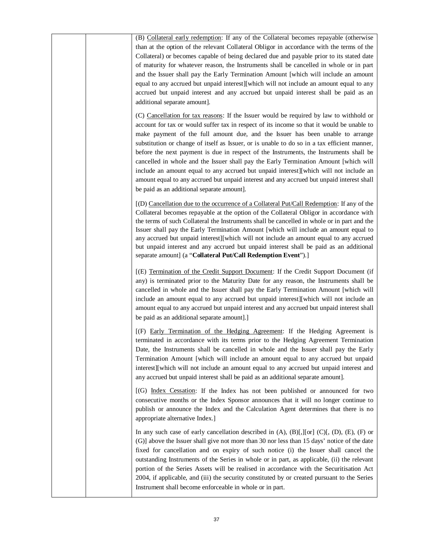| (B) Collateral early redemption: If any of the Collateral becomes repayable (otherwise<br>than at the option of the relevant Collateral Obligor in accordance with the terms of the<br>Collateral) or becomes capable of being declared due and payable prior to its stated date<br>of maturity for whatever reason, the Instruments shall be cancelled in whole or in part<br>and the Issuer shall pay the Early Termination Amount [which will include an amount<br>equal to any accrued but unpaid interest][which will not include an amount equal to any<br>accrued but unpaid interest and any accrued but unpaid interest shall be paid as an<br>additional separate amount].<br>(C) Cancellation for tax reasons: If the Issuer would be required by law to withhold or |
|---------------------------------------------------------------------------------------------------------------------------------------------------------------------------------------------------------------------------------------------------------------------------------------------------------------------------------------------------------------------------------------------------------------------------------------------------------------------------------------------------------------------------------------------------------------------------------------------------------------------------------------------------------------------------------------------------------------------------------------------------------------------------------|
| account for tax or would suffer tax in respect of its income so that it would be unable to<br>make payment of the full amount due, and the Issuer has been unable to arrange<br>substitution or change of itself as Issuer, or is unable to do so in a tax efficient manner,<br>before the next payment is due in respect of the Instruments, the Instruments shall be<br>cancelled in whole and the Issuer shall pay the Early Termination Amount [which will<br>include an amount equal to any accrued but unpaid interest][which will not include an<br>amount equal to any accrued but unpaid interest and any accrued but unpaid interest shall<br>be paid as an additional separate amount].                                                                              |
| [(D) Cancellation due to the occurrence of a Collateral Put/Call Redemption: If any of the<br>Collateral becomes repayable at the option of the Collateral Obligor in accordance with<br>the terms of such Collateral the Instruments shall be cancelled in whole or in part and the<br>Issuer shall pay the Early Termination Amount [which will include an amount equal to<br>any accrued but unpaid interest][which will not include an amount equal to any accrued<br>but unpaid interest and any accrued but unpaid interest shall be paid as an additional<br>separate amount] (a "Collateral Put/Call Redemption Event").]                                                                                                                                               |
| [(E) Termination of the Credit Support Document: If the Credit Support Document (if<br>any) is terminated prior to the Maturity Date for any reason, the Instruments shall be<br>cancelled in whole and the Issuer shall pay the Early Termination Amount [which will<br>include an amount equal to any accrued but unpaid interest][which will not include an<br>amount equal to any accrued but unpaid interest and any accrued but unpaid interest shall<br>be paid as an additional separate amount].]                                                                                                                                                                                                                                                                      |
| [(F) Early Termination of the Hedging Agreement: If the Hedging Agreement is<br>terminated in accordance with its terms prior to the Hedging Agreement Termination<br>Date, the Instruments shall be cancelled in whole and the Issuer shall pay the Early<br>Termination Amount [which will include an amount equal to any accrued but unpaid<br>interest][which will not include an amount equal to any accrued but unpaid interest and<br>any accrued but unpaid interest shall be paid as an additional separate amount].                                                                                                                                                                                                                                                   |
| [(G) Index Cessation: If the Index has not been published or announced for two<br>consecutive months or the Index Sponsor announces that it will no longer continue to<br>publish or announce the Index and the Calculation Agent determines that there is no<br>appropriate alternative Index.]                                                                                                                                                                                                                                                                                                                                                                                                                                                                                |
| In any such case of early cancellation described in $(A)$ , $(B)$ [, ][or] $(C)$ [, $(D)$ , $(E)$ , $(F)$ or<br>(G)] above the Issuer shall give not more than 30 nor less than 15 days' notice of the date<br>fixed for cancellation and on expiry of such notice (i) the Issuer shall cancel the<br>outstanding Instruments of the Series in whole or in part, as applicable, (ii) the relevant<br>portion of the Series Assets will be realised in accordance with the Securitisation Act<br>2004, if applicable, and (iii) the security constituted by or created pursuant to the Series<br>Instrument shall become enforceable in whole or in part.                                                                                                                        |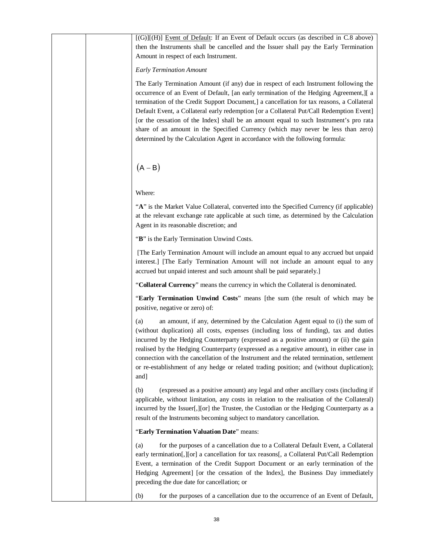$[(G)][(H)]$  Event of Default: If an Event of Default occurs (as described in C.8 above) then the Instruments shall be cancelled and the Issuer shall pay the Early Termination Amount in respect of each Instrument.

## *Early Termination Amount*

The Early Termination Amount (if any) due in respect of each Instrument following the occurrence of an Event of Default, [an early termination of the Hedging Agreement,][ a termination of the Credit Support Document,] a cancellation for tax reasons, a Collateral Default Event, a Collateral early redemption [or a Collateral Put/Call Redemption Event] [or the cessation of the Index] shall be an amount equal to such Instrument's pro rata share of an amount in the Specified Currency (which may never be less than zero) determined by the Calculation Agent in accordance with the following formula:

 $(A - B)$ 

Where:

"A" is the Market Value Collateral, converted into the Specified Currency (if applicable) at the relevant exchange rate applicable at such time, as determined by the Calculation Agent in its reasonable discretion; and

"**B**" is the Early Termination Unwind Costs.

 [The Early Termination Amount will include an amount equal to any accrued but unpaid interest.] [The Early Termination Amount will not include an amount equal to any accrued but unpaid interest and such amount shall be paid separately.]

"**Collateral Currency**" means the currency in which the Collateral is denominated.

"**Early Termination Unwind Costs**" means [the sum (the result of which may be positive, negative or zero) of:

(a) an amount, if any, determined by the Calculation Agent equal to (i) the sum of (without duplication) all costs, expenses (including loss of funding), tax and duties incurred by the Hedging Counterparty (expressed as a positive amount) or (ii) the gain realised by the Hedging Counterparty (expressed as a negative amount), in either case in connection with the cancellation of the Instrument and the related termination, settlement or re-establishment of any hedge or related trading position; and (without duplication); and]

(b) (expressed as a positive amount) any legal and other ancillary costs (including if applicable, without limitation, any costs in relation to the realisation of the Collateral) incurred by the Issuer[,][or] the Trustee, the Custodian or the Hedging Counterparty as a result of the Instruments becoming subject to mandatory cancellation.

## "**Early Termination Valuation Date**" means:

(a) for the purposes of a cancellation due to a Collateral Default Event, a Collateral early termination[,][or] a cancellation for tax reasons[, a Collateral Put/Call Redemption Event, a termination of the Credit Support Document or an early termination of the Hedging Agreement] [or the cessation of the Index], the Business Day immediately preceding the due date for cancellation; or

(b) for the purposes of a cancellation due to the occurrence of an Event of Default,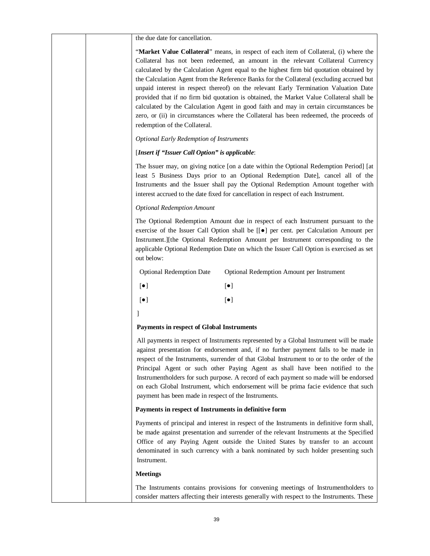| "Market Value Collateral" means, in respect of each item of Collateral, (i) where the    |
|------------------------------------------------------------------------------------------|
| Collateral has not been redeemed, an amount in the relevant Collateral Currency          |
| calculated by the Calculation Agent equal to the highest firm bid quotation obtained by  |
| the Calculation Agent from the Reference Banks for the Collateral (excluding accrued but |
| unpaid interest in respect thereof) on the relevant Early Termination Valuation Date     |
| provided that if no firm bid quotation is obtained, the Market Value Collateral shall be |
| calculated by the Calculation Agent in good faith and may in certain circumstances be    |
| zero, or (ii) in circumstances where the Collateral has been redeemed, the proceeds of   |
| redemption of the Collateral.                                                            |

*Optional Early Redemption of Instruments*

## [*Insert if "Issuer Call Option" is applicable*:

The Issuer may, on giving notice [on a date within the Optional Redemption Period] [at least 5 Business Days prior to an Optional Redemption Date], cancel all of the Instruments and the Issuer shall pay the Optional Redemption Amount together with interest accrued to the date fixed for cancellation in respect of each Instrument.

### *Optional Redemption Amount*

The Optional Redemption Amount due in respect of each Instrument pursuant to the exercise of the Issuer Call Option shall be  $[[\bullet]]$  per cent. per Calculation Amount per Instrument.][the Optional Redemption Amount per Instrument corresponding to the applicable Optional Redemption Date on which the Issuer Call Option is exercised as set out below:

| <b>Optional Redemption Date</b> | <b>Optional Redemption Amount per Instrument</b> |
|---------------------------------|--------------------------------------------------|
|---------------------------------|--------------------------------------------------|

- $\lbrack \bullet \rbrack$   $\lbrack \bullet \rbrack$
- $\left[\bullet\right]$   $\left[\bullet\right]$
- ]

## **Payments in respect of Global Instruments**

All payments in respect of Instruments represented by a Global Instrument will be made against presentation for endorsement and, if no further payment falls to be made in respect of the Instruments, surrender of that Global Instrument to or to the order of the Principal Agent or such other Paying Agent as shall have been notified to the Instrumentholders for such purpose. A record of each payment so made will be endorsed on each Global Instrument, which endorsement will be prima facie evidence that such payment has been made in respect of the Instruments.

## **Payments in respect of Instruments in definitive form**

Payments of principal and interest in respect of the Instruments in definitive form shall, be made against presentation and surrender of the relevant Instruments at the Specified Office of any Paying Agent outside the United States by transfer to an account denominated in such currency with a bank nominated by such holder presenting such Instrument.

## **Meetings**

The Instruments contains provisions for convening meetings of Instrumentholders to consider matters affecting their interests generally with respect to the Instruments. These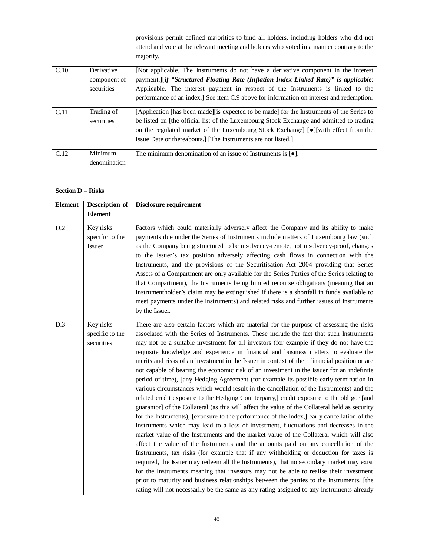|      |                                          | provisions permit defined majorities to bind all holders, including holders who did not<br>attend and vote at the relevant meeting and holders who voted in a manner contrary to the<br>majority.                                                                                                                                                          |
|------|------------------------------------------|------------------------------------------------------------------------------------------------------------------------------------------------------------------------------------------------------------------------------------------------------------------------------------------------------------------------------------------------------------|
| C.10 | Derivative<br>component of<br>securities | [Not applicable. The Instruments do not have a derivative component in the interest<br>payment.][if "Structured Floating Rate (Inflation Index Linked Rate)" is applicable:<br>Applicable. The interest payment in respect of the Instruments is linked to the<br>performance of an index.] See item C.9 above for information on interest and redemption. |
| C.11 | Trading of<br>securities                 | [Application [has been made][is expected to be made] for the Instruments of the Series to<br>be listed on [the official list of the Luxembourg Stock Exchange and admitted to trading<br>on the regulated market of the Luxembourg Stock Exchange] [ $\bullet$ ][with effect from the<br>Issue Date or thereabouts.] [The Instruments are not listed.]     |
| C.12 | Minimum<br>denomination                  | The minimum denomination of an issue of Instruments is $\lceil \bullet \rceil$ .                                                                                                                                                                                                                                                                           |

## **Section D – Risks**

| <b>Element</b> | <b>Description of</b>                      | <b>Disclosure requirement</b>                                                                                                                                                                                                                                                                                                                                                                                                                                                                                                                                                                                                                                                                                                                                                                                                                                                                                                                                                                                                                                                                                                                                                                                                                                                                                                                                                                                                                                                                                                                                                                                                                                                                                                                                                                               |
|----------------|--------------------------------------------|-------------------------------------------------------------------------------------------------------------------------------------------------------------------------------------------------------------------------------------------------------------------------------------------------------------------------------------------------------------------------------------------------------------------------------------------------------------------------------------------------------------------------------------------------------------------------------------------------------------------------------------------------------------------------------------------------------------------------------------------------------------------------------------------------------------------------------------------------------------------------------------------------------------------------------------------------------------------------------------------------------------------------------------------------------------------------------------------------------------------------------------------------------------------------------------------------------------------------------------------------------------------------------------------------------------------------------------------------------------------------------------------------------------------------------------------------------------------------------------------------------------------------------------------------------------------------------------------------------------------------------------------------------------------------------------------------------------------------------------------------------------------------------------------------------------|
|                | <b>Element</b>                             |                                                                                                                                                                                                                                                                                                                                                                                                                                                                                                                                                                                                                                                                                                                                                                                                                                                                                                                                                                                                                                                                                                                                                                                                                                                                                                                                                                                                                                                                                                                                                                                                                                                                                                                                                                                                             |
| D.2            | Key risks<br>specific to the<br>Issuer     | Factors which could materially adversely affect the Company and its ability to make<br>payments due under the Series of Instruments include matters of Luxembourg law (such<br>as the Company being structured to be insolvency-remote, not insolvency-proof, changes<br>to the Issuer's tax position adversely affecting cash flows in connection with the<br>Instruments, and the provisions of the Securitisation Act 2004 providing that Series<br>Assets of a Compartment are only available for the Series Parties of the Series relating to<br>that Compartment), the Instruments being limited recourse obligations (meaning that an<br>Instrumentholder's claim may be extinguished if there is a shortfall in funds available to<br>meet payments under the Instruments) and related risks and further issues of Instruments<br>by the Issuer.                                                                                                                                                                                                                                                                                                                                                                                                                                                                                                                                                                                                                                                                                                                                                                                                                                                                                                                                                    |
| D.3            | Key risks<br>specific to the<br>securities | There are also certain factors which are material for the purpose of assessing the risks<br>associated with the Series of Instruments. These include the fact that such Instruments<br>may not be a suitable investment for all investors (for example if they do not have the<br>requisite knowledge and experience in financial and business matters to evaluate the<br>merits and risks of an investment in the Issuer in context of their financial position or are<br>not capable of bearing the economic risk of an investment in the Issuer for an indefinite<br>period of time), [any Hedging Agreement (for example its possible early termination in<br>various circumstances which would result in the cancellation of the Instruments) and the<br>related credit exposure to the Hedging Counterparty,] credit exposure to the obligor [and<br>guarantor] of the Collateral (as this will affect the value of the Collateral held as security<br>for the Instruments), [exposure to the performance of the Index,] early cancellation of the<br>Instruments which may lead to a loss of investment, fluctuations and decreases in the<br>market value of the Instruments and the market value of the Collateral which will also<br>affect the value of the Instruments and the amounts paid on any cancellation of the<br>Instruments, tax risks (for example that if any withholding or deduction for taxes is<br>required, the Issuer may redeem all the Instruments), that no secondary market may exist<br>for the Instruments meaning that investors may not be able to realise their investment<br>prior to maturity and business relationships between the parties to the Instruments, [the<br>rating will not necessarily be the same as any rating assigned to any Instruments already |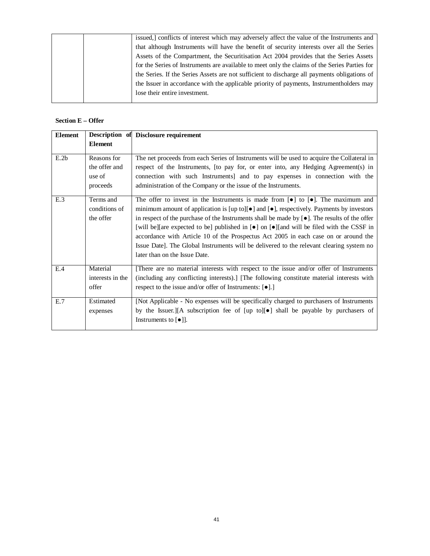|  | issued,] conflicts of interest which may adversely affect the value of the Instruments and    |
|--|-----------------------------------------------------------------------------------------------|
|  | that although Instruments will have the benefit of security interests over all the Series     |
|  | Assets of the Compartment, the Securitisation Act 2004 provides that the Series Assets        |
|  | for the Series of Instruments are available to meet only the claims of the Series Parties for |
|  | the Series. If the Series Assets are not sufficient to discharge all payments obligations of  |
|  | the Issuer in accordance with the applicable priority of payments, Instrumentholders may      |
|  | lose their entire investment.                                                                 |
|  |                                                                                               |

## **Section E – Offer**

| <b>Element</b> |                                                    | <b>Description of Disclosure requirement</b>                                                                                                                                                                                                                                                                                                                                                                                                                                                                                                                                                                                                                                       |  |
|----------------|----------------------------------------------------|------------------------------------------------------------------------------------------------------------------------------------------------------------------------------------------------------------------------------------------------------------------------------------------------------------------------------------------------------------------------------------------------------------------------------------------------------------------------------------------------------------------------------------------------------------------------------------------------------------------------------------------------------------------------------------|--|
|                | <b>Element</b>                                     |                                                                                                                                                                                                                                                                                                                                                                                                                                                                                                                                                                                                                                                                                    |  |
| E.2b           | Reasons for<br>the offer and<br>use of<br>proceeds | The net proceeds from each Series of Instruments will be used to acquire the Collateral in<br>respect of the Instruments, [to pay for, or enter into, any Hedging Agreement(s) in<br>connection with such Instruments] and to pay expenses in connection with the<br>administration of the Company or the issue of the Instruments.                                                                                                                                                                                                                                                                                                                                                |  |
| E.3            | Terms and<br>conditions of<br>the offer            | The offer to invest in the Instruments is made from $\lceil \bullet \rceil$ to $\lceil \bullet \rceil$ . The maximum and<br>minimum amount of application is [up to] $\bullet$ ] and $\bullet$ ], respectively. Payments by investors<br>in respect of the purchase of the Instruments shall be made by $[\bullet]$ . The results of the offer<br>[will be][are expected to be] published in [ $\bullet$ ] on [ $\bullet$ ][and will be filed with the CSSF in<br>accordance with Article 10 of the Prospectus Act 2005 in each case on or around the<br>Issue Date]. The Global Instruments will be delivered to the relevant clearing system no<br>later than on the Issue Date. |  |
| E.4            | Material<br>interests in the<br>offer              | There are no material interests with respect to the issue and/or offer of Instruments<br>(including any conflicting interests).] [The following constitute material interests with<br>respect to the issue and/or offer of Instruments: $[\bullet]$ .]                                                                                                                                                                                                                                                                                                                                                                                                                             |  |
| E.7            | Estimated<br>expenses                              | [Not Applicable - No expenses will be specifically charged to purchasers of Instruments<br>by the Issuer.][A subscription fee of $[up to][\bullet]$ shall be payable by purchasers of<br>Instruments to $\lceil \bullet \rceil$ .                                                                                                                                                                                                                                                                                                                                                                                                                                                  |  |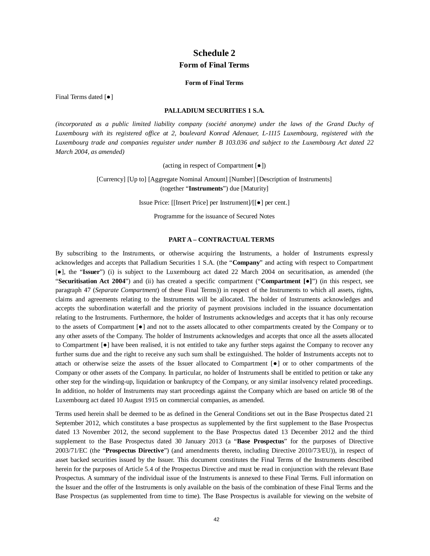# **Schedule 2 Form of Final Terms**

#### **Form of Final Terms**

Final Terms dated [ $\bullet$ ]

## **PALLADIUM SECURITIES 1 S.A.**

*(incorporated as a public limited liability company (société anonyme) under the laws of the Grand Duchy of Luxembourg with its registered office at 2, boulevard Konrad Adenauer, L-1115 Luxembourg, registered with the Luxembourg trade and companies reguister under number B 103.036 and subject to the Luxembourg Act dated 22 March 2004, as amended)*

(acting in respect of Compartment  $[•]$ )

[Currency] [Up to] [Aggregate Nominal Amount] [Number] [Description of Instruments] (together "**Instruments**") due [Maturity]

Issue Price: [[Insert Price] per Instrument]/[[●] per cent.]

Programme for the issuance of Secured Notes

### **PART A – CONTRACTUAL TERMS**

By subscribing to the Instruments, or otherwise acquiring the Instruments, a holder of Instruments expressly acknowledges and accepts that Palladium Securities 1 S.A. (the "**Company**" and acting with respect to Compartment **[•]**, the "**Issuer**") (i) is subject to the Luxembourg act dated 22 March 2004 on securitisation, as amended (the "**Securitisation Act 2004**") and (ii) has created a specific compartment ("**Compartment [Ɣ]**") (in this respect, see paragraph 47 (*Separate Compartment*) of these Final Terms)) in respect of the Instruments to which all assets, rights, claims and agreements relating to the Instruments will be allocated. The holder of Instruments acknowledges and accepts the subordination waterfall and the priority of payment provisions included in the issuance documentation relating to the Instruments. Furthermore, the holder of Instruments acknowledges and accepts that it has only recourse to the assets of Compartment [ $\bullet$ ] and not to the assets allocated to other compartments created by the Company or to any other assets of the Company. The holder of Instruments acknowledges and accepts that once all the assets allocated to Compartment  $\lceil \bullet \rceil$  have been realised, it is not entitled to take any further steps against the Company to recover any further sums due and the right to receive any such sum shall be extinguished. The holder of Instruments accepts not to attach or otherwise seize the assets of the Issuer allocated to Compartment [Ɣ] or to other compartments of the Company or other assets of the Company. In particular, no holder of Instruments shall be entitled to petition or take any other step for the winding-up, liquidation or bankruptcy of the Company, or any similar insolvency related proceedings. In addition, no holder of Instruments may start proceedings against the Company which are based on article 98 of the Luxembourg act dated 10 August 1915 on commercial companies, as amended.

Terms used herein shall be deemed to be as defined in the General Conditions set out in the Base Prospectus dated 21 September 2012, which constitutes a base prospectus as supplemented by the first supplement to the Base Prospectus dated 13 November 2012, the second supplement to the Base Prospectus dated 13 December 2012 and the third supplement to the Base Prospectus dated 30 January 2013 (a "**Base Prospectus**" for the purposes of Directive 2003/71/EC (the "**Prospectus Directive**") (and amendments thereto, including Directive 2010/73/EU)), in respect of asset backed securities issued by the Issuer. This document constitutes the Final Terms of the Instruments described herein for the purposes of Article 5.4 of the Prospectus Directive and must be read in conjunction with the relevant Base Prospectus. A summary of the individual issue of the Instruments is annexed to these Final Terms. Full information on the Issuer and the offer of the Instruments is only available on the basis of the combination of these Final Terms and the Base Prospectus (as supplemented from time to time). The Base Prospectus is available for viewing on the website of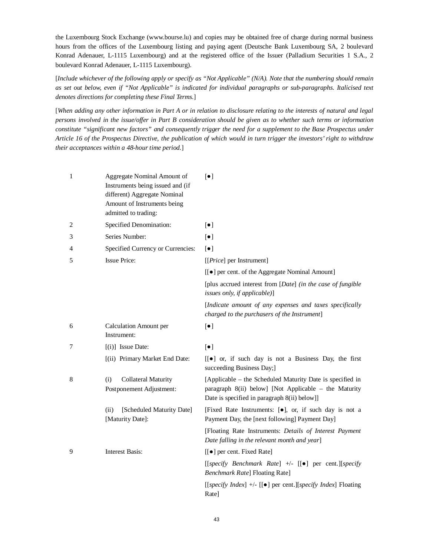the Luxembourg Stock Exchange [\(www.bourse.lu\)](http://www.bourse.lu) and copies may be obtained free of charge during normal business hours from the offices of the Luxembourg listing and paying agent (Deutsche Bank Luxembourg SA, 2 boulevard Konrad Adenauer, L-1115 Luxembourg) and at the registered office of the Issuer (Palladium Securities 1 S.A., 2 boulevard Konrad Adenauer, L-1115 Luxembourg).

[*Include whichever of the following apply or specify as "Not Applicable" (N/A). Note that the numbering should remain as set out below, even if "Not Applicable" is indicated for individual paragraphs or sub-paragraphs. Italicised text denotes directions for completing these Final Terms.*]

[*When adding any other information in Part A or in relation to disclosure relating to the interests of natural and legal persons involved in the issue/offer in Part B consideration should be given as to whether such terms or information constitute "significant new factors" and consequently trigger the need for a supplement to the Base Prospectus under Article 16 of the Prospectus Directive, the publication of which would in turn trigger the investors' right to withdraw their acceptances within a 48-hour time period.*]

| $\mathbf{1}$ | Aggregate Nominal Amount of<br>Instruments being issued and (if<br>different) Aggregate Nominal<br>Amount of Instruments being<br>admitted to trading: | $\lceil \bullet \rceil$                                                                                                                                            |
|--------------|--------------------------------------------------------------------------------------------------------------------------------------------------------|--------------------------------------------------------------------------------------------------------------------------------------------------------------------|
| 2            | Specified Denomination:                                                                                                                                | $\lbrack \bullet \rbrack$                                                                                                                                          |
| 3            | Series Number:                                                                                                                                         | $\lceil \bullet \rceil$                                                                                                                                            |
| 4            | Specified Currency or Currencies:                                                                                                                      | $\lbrack \bullet \rbrack$                                                                                                                                          |
| 5            | <b>Issue Price:</b>                                                                                                                                    | [[ <i>Price</i> ] per Instrument]                                                                                                                                  |
|              |                                                                                                                                                        | [[ $\bullet$ ] per cent. of the Aggregate Nominal Amount]                                                                                                          |
|              |                                                                                                                                                        | [plus accrued interest from [Date] (in the case of fungible<br>issues only, if applicable)]                                                                        |
|              |                                                                                                                                                        | [Indicate amount of any expenses and taxes specifically<br>charged to the purchasers of the Instrument]                                                            |
| 6            | <b>Calculation Amount per</b><br>Instrument:                                                                                                           | $\lceil \bullet \rceil$                                                                                                                                            |
| 7            | $[(i)]$ Issue Date:                                                                                                                                    | $\lbrack \bullet \rbrack$                                                                                                                                          |
|              | [(ii) Primary Market End Date:                                                                                                                         | [[ $\bullet$ ] or, if such day is not a Business Day, the first<br>succeeding Business Day;]                                                                       |
| 8            | <b>Collateral Maturity</b><br>(i)<br>Postponement Adjustment:                                                                                          | [Applicable – the Scheduled Maturity Date is specified in<br>paragraph 8(ii) below] [Not Applicable – the Maturity<br>Date is specified in paragraph 8(ii) below]] |
|              | (ii)<br>[Scheduled Maturity Date]<br>[Maturity Date]:                                                                                                  | [Fixed Rate Instruments: [ $\bullet$ ], or, if such day is not a<br>Payment Day, the [next following] Payment Day]                                                 |
|              |                                                                                                                                                        | [Floating Rate Instruments: Details of Interest Payment<br>Date falling in the relevant month and year]                                                            |
| 9            | <b>Interest Basis:</b>                                                                                                                                 | [[ $\bullet$ ] per cent. Fixed Rate]                                                                                                                               |
|              |                                                                                                                                                        | [[specify Benchmark Rate] +/- [[ $\bullet$ ] per cent.][specify<br><b>Benchmark Rate] Floating Rate]</b>                                                           |
|              |                                                                                                                                                        | [[specify Index] +/- [[ $\bullet$ ] per cent.][specify Index] Floating<br>Rate]                                                                                    |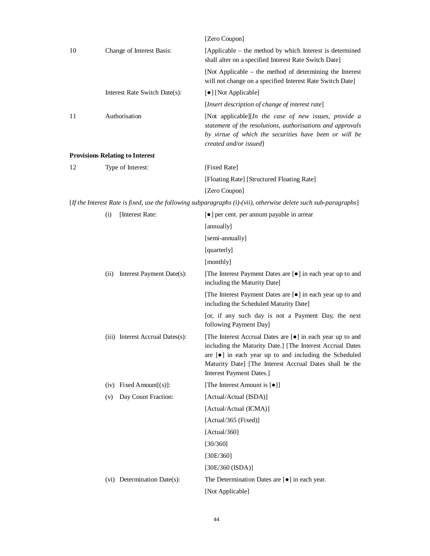|    |      |                                        | [Zero Coupon]                                                                                                                                                                                                                                                                              |
|----|------|----------------------------------------|--------------------------------------------------------------------------------------------------------------------------------------------------------------------------------------------------------------------------------------------------------------------------------------------|
| 10 |      | Change of Interest Basis:              | [Applicable – the method by which Interest is determined<br>shall alter on a specified Interest Rate Switch Date]                                                                                                                                                                          |
|    |      |                                        | [Not Applicable – the method of determining the Interest<br>will not change on a specified Interest Rate Switch Date]                                                                                                                                                                      |
|    |      | Interest Rate Switch Date(s):          | [•] [Not Applicable]                                                                                                                                                                                                                                                                       |
|    |      |                                        | [Insert description of change of interest rate]                                                                                                                                                                                                                                            |
| 11 |      | Authorisation                          | [Not applicable][In the case of new issues, provide a<br>statement of the resolutions, authorisations and approvals<br>by virtue of which the securities have been or will be<br>created and/or issued]                                                                                    |
|    |      | <b>Provisions Relating to Interest</b> |                                                                                                                                                                                                                                                                                            |
| 12 |      | Type of Interest:                      | [Fixed Rate]                                                                                                                                                                                                                                                                               |
|    |      |                                        | [Floating Rate] [Structured Floating Rate]                                                                                                                                                                                                                                                 |
|    |      |                                        | [Zero Coupon]                                                                                                                                                                                                                                                                              |
|    |      |                                        | [If the Interest Rate is fixed, use the following subparagraphs (i)-(vii), otherwise delete such sub-paragraphs]                                                                                                                                                                           |
|    | (i)  | [Interest Rate:                        | [ $\bullet$ ] per cent. per annum payable in arrear                                                                                                                                                                                                                                        |
|    |      |                                        | [annually]                                                                                                                                                                                                                                                                                 |
|    |      |                                        | [semi-annually]                                                                                                                                                                                                                                                                            |
|    |      |                                        | [quarterly]                                                                                                                                                                                                                                                                                |
|    |      |                                        | [monthly]                                                                                                                                                                                                                                                                                  |
|    | (ii) | Interest Payment Date(s):              | [The Interest Payment Dates are [ $\bullet$ ] in each year up to and<br>including the Maturity Date]                                                                                                                                                                                       |
|    |      |                                        | [The Interest Payment Dates are [ $\bullet$ ] in each year up to and<br>including the Scheduled Maturity Date]                                                                                                                                                                             |
|    |      |                                        | [or, if any such day is not a Payment Day, the next<br>following Payment Day]                                                                                                                                                                                                              |
|    |      | (iii) Interest Accrual Dates(s):       | [The Interest Accrual Dates are [ $\bullet$ ] in each year up to and<br>including the Maturity Date.] [The Interest Accrual Dates<br>are $[\bullet]$ in each year up to and including the Scheduled<br>Maturity Date] [The Interest Accrual Dates shall be the<br>Interest Payment Dates.] |
|    |      | $(iv)$ Fixed Amount $[(s)]$ :          | [The Interest Amount is [ $\bullet$ ]]                                                                                                                                                                                                                                                     |
|    | (v)  | Day Count Fraction:                    | [Actual/Actual (ISDA)]                                                                                                                                                                                                                                                                     |
|    |      |                                        | [Actual/Actual (ICMA)]                                                                                                                                                                                                                                                                     |
|    |      |                                        | [Actual/365 (Fixed)]                                                                                                                                                                                                                                                                       |
|    |      |                                        | [Actual/360]                                                                                                                                                                                                                                                                               |
|    |      |                                        | [30/360]                                                                                                                                                                                                                                                                                   |
|    |      |                                        | [30E/360]                                                                                                                                                                                                                                                                                  |
|    |      |                                        | [30E/360 (ISDA)]                                                                                                                                                                                                                                                                           |
|    |      | (vi) Determination Date(s):            | The Determination Dates are $[\bullet]$ in each year.                                                                                                                                                                                                                                      |
|    |      |                                        | [Not Applicable]                                                                                                                                                                                                                                                                           |
|    |      |                                        |                                                                                                                                                                                                                                                                                            |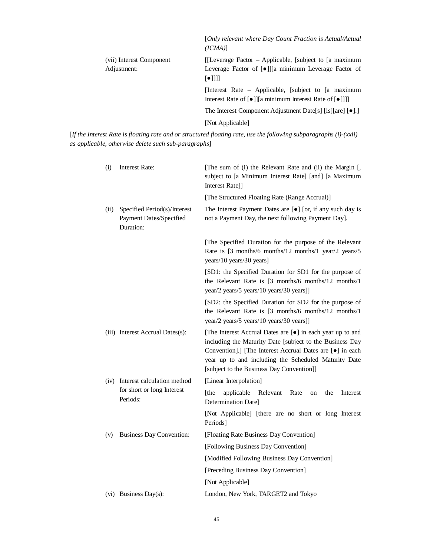|                                         | [Only relevant where Day Count Fraction is Actual/Actual<br>(ICMA)                                                                                   |
|-----------------------------------------|------------------------------------------------------------------------------------------------------------------------------------------------------|
| (vii) Interest Component<br>Adjustment: | [[Leverage Factor – Applicable, [subject to [a maximum]<br>Leverage Factor of [ $\bullet$ ]][a minimum Leverage Factor of<br>$\lceil \bullet \rceil$ |
|                                         | [Interest Rate – Applicable, [subject to [a maximum]<br>Interest Rate of [ $\bullet$ ]][a minimum Interest Rate of [ $\bullet$ ]]]]                  |
|                                         | The Interest Component Adjustment Date[s] [is][are] $\lceil \bullet \rceil$ .]                                                                       |
|                                         | [Not Applicable]                                                                                                                                     |

[*If the Interest Rate is floating rate and or structured floating rate, use the following subparagraphs (i)-(xxii) as applicable, otherwise delete such sub-paragraphs*]

| (i)  | <b>Interest Rate:</b>                                                | [The sum of (i) the Relevant Rate and (ii) the Margin [,<br>subject to [a Minimum Interest Rate] [and] [a Maximum<br>Interest Rate]]                                                                                                                                                                         |
|------|----------------------------------------------------------------------|--------------------------------------------------------------------------------------------------------------------------------------------------------------------------------------------------------------------------------------------------------------------------------------------------------------|
|      |                                                                      | [The Structured Floating Rate (Range Accrual)]                                                                                                                                                                                                                                                               |
| (ii) | Specified Period(s)/Interest<br>Payment Dates/Specified<br>Duration: | The Interest Payment Dates are $[\bullet]$ [or, if any such day is<br>not a Payment Day, the next following Payment Day].                                                                                                                                                                                    |
|      |                                                                      | [The Specified Duration for the purpose of the Relevant<br>Rate is [3 months/6 months/12 months/1 year/2 years/5<br>years/10 years/30 years]                                                                                                                                                                 |
|      |                                                                      | [SD1: the Specified Duration for SD1 for the purpose of<br>the Relevant Rate is [3 months/6 months/12 months/1<br>year/2 years/5 years/10 years/30 years]]                                                                                                                                                   |
|      |                                                                      | [SD2: the Specified Duration for SD2 for the purpose of<br>the Relevant Rate is [3 months/6 months/12 months/1<br>year/2 years/5 years/10 years/30 years]]                                                                                                                                                   |
|      | (iii) Interest Accrual Dates(s):                                     | [The Interest Accrual Dates are [ $\bullet$ ] in each year up to and<br>including the Maturity Date [subject to the Business Day<br>Convention].] [The Interest Accrual Dates are [ $\bullet$ ] in each<br>year up to and including the Scheduled Maturity Date<br>[subject to the Business Day Convention]] |
|      | (iv) Interest calculation method                                     | [Linear Interpolation]                                                                                                                                                                                                                                                                                       |
|      | for short or long Interest<br>Periods:                               | [the<br>applicable<br>Relevant<br>Rate<br>the<br>Interest<br>on<br>Determination Date]                                                                                                                                                                                                                       |
|      |                                                                      | [Not Applicable] [there are no short or long Interest<br>Periods]                                                                                                                                                                                                                                            |
| (v)  | <b>Business Day Convention:</b>                                      | [Floating Rate Business Day Convention]                                                                                                                                                                                                                                                                      |
|      |                                                                      | [Following Business Day Convention]                                                                                                                                                                                                                                                                          |
|      |                                                                      | [Modified Following Business Day Convention]                                                                                                                                                                                                                                                                 |
|      |                                                                      | [Preceding Business Day Convention]                                                                                                                                                                                                                                                                          |
|      |                                                                      | [Not Applicable]                                                                                                                                                                                                                                                                                             |
|      | (vi) Business Day(s):                                                | London, New York, TARGET2 and Tokyo                                                                                                                                                                                                                                                                          |
|      |                                                                      |                                                                                                                                                                                                                                                                                                              |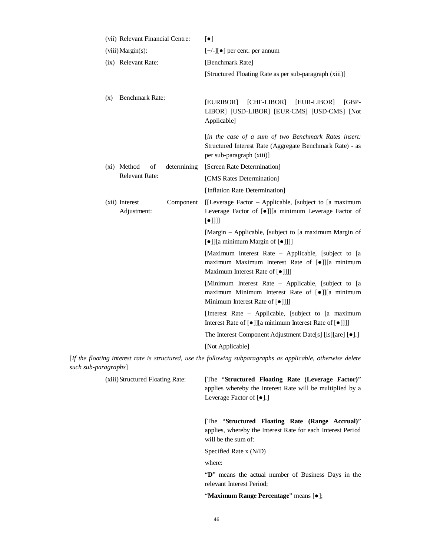|                      | (vii) Relevant Financial Centre: |             | $\left[\bullet\right]$                                                                                                                                                 |
|----------------------|----------------------------------|-------------|------------------------------------------------------------------------------------------------------------------------------------------------------------------------|
| (viii) Margin(s):    |                                  |             | $[+/]-$ ] per cent. per annum                                                                                                                                          |
|                      | (ix) Relevant Rate:              |             | [Benchmark Rate]                                                                                                                                                       |
|                      |                                  |             | [Structured Floating Rate as per sub-paragraph (xiii)]                                                                                                                 |
| (x)                  | Benchmark Rate:                  |             | [EURIBOR]<br>[CHF-LIBOR]<br>[EUR-LIBOR]<br>[GBP-<br>LIBOR] [USD-LIBOR] [EUR-CMS] [USD-CMS] [Not<br>Applicable]                                                         |
|                      |                                  |             | [in the case of a sum of two Benchmark Rates insert:<br>Structured Interest Rate (Aggregate Benchmark Rate) - as<br>per sub-paragraph (xiii)]                          |
|                      | (xi) Method<br>of                | determining | [Screen Rate Determination]                                                                                                                                            |
|                      | Relevant Rate:                   |             | [CMS Rates Determination]                                                                                                                                              |
|                      |                                  |             | [Inflation Rate Determination]                                                                                                                                         |
|                      | (xii) Interest<br>Adjustment:    | Component   | [[Leverage Factor – Applicable, [subject to [a maximum]<br>Leverage Factor of [ $\bullet$ ]][a minimum Leverage Factor of<br>$\lbrack \bullet \rbrack \rbrack \rbrack$ |
|                      |                                  |             | [Margin – Applicable, [subject to [a maximum Margin of<br>[•]][a minimum Margin of [•]]]]                                                                              |
|                      |                                  |             | [Maximum Interest Rate - Applicable, [subject to [a<br>maximum Maximum Interest Rate of [•]][a minimum<br>Maximum Interest Rate of [ $\bullet$ ]]]                     |
|                      |                                  |             | [Minimum Interest Rate - Applicable, [subject to [a<br>maximum Minimum Interest Rate of [ $\bullet$ ]][a minimum<br>Minimum Interest Rate of [ $\bullet$ ]]]           |
|                      |                                  |             | [Interest Rate – Applicable, [subject to [a maximum]<br>Interest Rate of [ $\bullet$ ]][a minimum Interest Rate of [ $\bullet$ ]]]]                                    |
|                      |                                  |             | The Interest Component Adjustment Date[s] [is][are] [ $\bullet$ ].]                                                                                                    |
|                      |                                  |             | [Not Applicable]                                                                                                                                                       |
| such sub-paragraphs] |                                  |             | [If the floating interest rate is structured, use the following subparagraphs as applicable, otherwise delete                                                          |
|                      | (xiii) Structured Floating Rate: |             | [The "Structured Floating Rate (Leverage Factor)"<br>applies whereby the Interest Rate will be multiplied by a<br>Leverage Factor of $[•]$ .]                          |
|                      |                                  |             | [The "Structured Floating Rate (Range Accrual)"<br>applies, whereby the Interest Rate for each Interest Period<br>will be the sum of:                                  |
|                      |                                  |             | Specified Rate x (N/D)                                                                                                                                                 |
|                      |                                  |             | where:                                                                                                                                                                 |
|                      |                                  |             | "D" means the actual number of Business Days in the<br>relevant Interest Period;                                                                                       |
|                      |                                  |             | "Maximum Range Percentage" means [ $\bullet$ ];                                                                                                                        |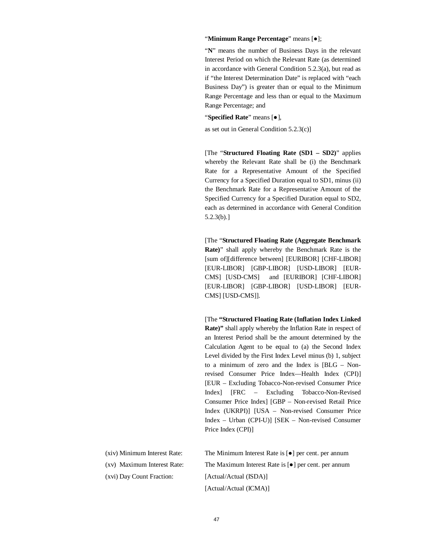#### "Minimum Range Percentage" means [ $\bullet$ ];

"**N**" means the number of Business Days in the relevant Interest Period on which the Relevant Rate (as determined in accordance with General Condition 5.2.3(a), but read as if "the Interest Determination Date" is replaced with "each Business Day") is greater than or equal to the Minimum Range Percentage and less than or equal to the Maximum Range Percentage; and

"**Specified Rate**" means  $\lceil \bullet \rceil$ ,

as set out in General Condition 5.2.3(c)]

[The "**Structured Floating Rate (SD1 – SD2)**" applies whereby the Relevant Rate shall be (i) the Benchmark Rate for a Representative Amount of the Specified Currency for a Specified Duration equal to SD1, minus (ii) the Benchmark Rate for a Representative Amount of the Specified Currency for a Specified Duration equal to SD2, each as determined in accordance with General Condition 5.2.3(b).]

[The "**Structured Floating Rate (Aggregate Benchmark Rate)**" shall apply whereby the Benchmark Rate is the [sum of][difference between] [EURIBOR] [CHF-LIBOR] [EUR-LIBOR] [GBP-LIBOR] [USD-LIBOR] [EUR-CMS] [USD-CMS] and [EURIBOR] [CHF-LIBOR] [EUR-LIBOR] [GBP-LIBOR] [USD-LIBOR] [EUR-CMS] [USD-CMS]].

[The **"Structured Floating Rate (Inflation Index Linked Rate)"** shall apply whereby the Inflation Rate in respect of an Interest Period shall be the amount determined by the Calculation Agent to be equal to (a) the Second Index Level divided by the First Index Level minus (b) 1, subject to a minimum of zero and the Index is [BLG – Nonrevised Consumer Price Index—Health Index (CPI)] [EUR – Excluding Tobacco-Non-revised Consumer Price Index] [FRC – Excluding Tobacco-Non-Revised Consumer Price Index] [GBP – Non-revised Retail Price Index (UKRPI)] [USA – Non-revised Consumer Price Index – Urban (CPI-U)] [SEK – Non-revised Consumer Price Index (CPI)]

| (xiv) Minimum Interest Rate: | The Minimum Interest Rate is $\lceil \bullet \rceil$ per cent. per annum |
|------------------------------|--------------------------------------------------------------------------|
| (xv) Maximum Interest Rate:  | The Maximum Interest Rate is $\lceil \bullet \rceil$ per cent. per annum |
| (xvi) Day Count Fraction:    | [Actual/Actual (ISDA)]                                                   |
|                              | [Actual/Actual (ICMA)]                                                   |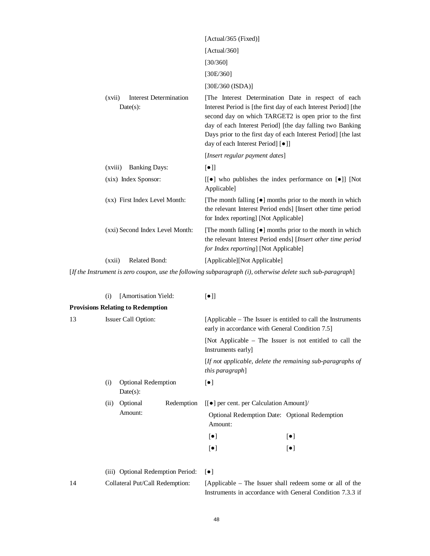|                                                        | [Actual/365 (Fixed)]                                                                                                                                                                                                                                                                                                                                 |
|--------------------------------------------------------|------------------------------------------------------------------------------------------------------------------------------------------------------------------------------------------------------------------------------------------------------------------------------------------------------------------------------------------------------|
|                                                        | [Actual/360]                                                                                                                                                                                                                                                                                                                                         |
|                                                        | [30/360]                                                                                                                                                                                                                                                                                                                                             |
|                                                        | [30E/360]                                                                                                                                                                                                                                                                                                                                            |
|                                                        | [30E/360 (ISDA)]                                                                                                                                                                                                                                                                                                                                     |
| <b>Interest Determination</b><br>(xvii)<br>$Date(s)$ : | [The Interest Determination Date in respect of each<br>Interest Period is [the first day of each Interest Period] [the<br>second day on which TARGET2 is open prior to the first<br>day of each Interest Period] [the day falling two Banking<br>Days prior to the first day of each Interest Period [the last]<br>day of each Interest Period] [·]] |
|                                                        | [Insert regular payment dates]                                                                                                                                                                                                                                                                                                                       |
| <b>Banking Days:</b><br>(xviii)                        | $\lceil \bullet \rceil$                                                                                                                                                                                                                                                                                                                              |
| (xix) Index Sponsor:                                   | $\lceil \cdot \rceil$ who publishes the index performance on $\lceil \cdot \rceil$ [Not]<br>Applicable]                                                                                                                                                                                                                                              |
| (xx) First Index Level Month:                          | [The month falling $[•]$ months prior to the month in which<br>the relevant Interest Period ends [Insert other time period<br>for Index reporting [Not Applicable]                                                                                                                                                                                   |
| (xxi) Second Index Level Month:                        | [The month falling $[•]$ months prior to the month in which<br>the relevant Interest Period ends] [Insert other time period<br><i>for Index reporting</i> ] [Not Applicable]                                                                                                                                                                         |
| <b>Related Bond:</b><br>(xxii)                         | [Applicable][Not Applicable]                                                                                                                                                                                                                                                                                                                         |

[*If the Instrument is zero coupon, use the following subparagraph (i), otherwise delete such sub-paragraph*]

|    | (i)                        | [Amortisation Yield:                     |                                                                                                                 | $\lbrack \bullet \rbrack \rbrack$                                                                                     |                                                            |
|----|----------------------------|------------------------------------------|-----------------------------------------------------------------------------------------------------------------|-----------------------------------------------------------------------------------------------------------------------|------------------------------------------------------------|
|    |                            | <b>Provisions Relating to Redemption</b> |                                                                                                                 |                                                                                                                       |                                                            |
| 13 | <b>Issuer Call Option:</b> |                                          | [Applicable – The Issuer is entitled to call the Instruments<br>early in accordance with General Condition 7.5] |                                                                                                                       |                                                            |
|    |                            |                                          |                                                                                                                 | Instruments early]                                                                                                    | [Not Applicable – The Issuer is not entitled to call the   |
|    |                            |                                          |                                                                                                                 | this paragraph]                                                                                                       | [If not applicable, delete the remaining sub-paragraphs of |
|    | (i)                        | <b>Optional Redemption</b><br>Date(s):   |                                                                                                                 | $\left[\bullet\right]$                                                                                                |                                                            |
|    | (ii)                       | Optional<br>Redemption                   | $[[\bullet]]$ per cent. per Calculation Amount]/                                                                |                                                                                                                       |                                                            |
|    |                            | Amount:                                  |                                                                                                                 | Optional Redemption Date: Optional Redemption<br>Amount:                                                              |                                                            |
|    |                            |                                          |                                                                                                                 | $\left[\bullet\right]$                                                                                                | $\lbrack \bullet \rbrack$                                  |
|    |                            |                                          |                                                                                                                 | $\left[\bullet\right]$                                                                                                | $\lbrack \bullet \rbrack$                                  |
|    |                            | (iii) Optional Redemption Period:        |                                                                                                                 | $[\bullet]$                                                                                                           |                                                            |
| 14 |                            | Collateral Put/Call Redemption:          |                                                                                                                 | [Applicable – The Issuer shall redeem some or all of the<br>Instruments in accordance with General Condition 7.3.3 if |                                                            |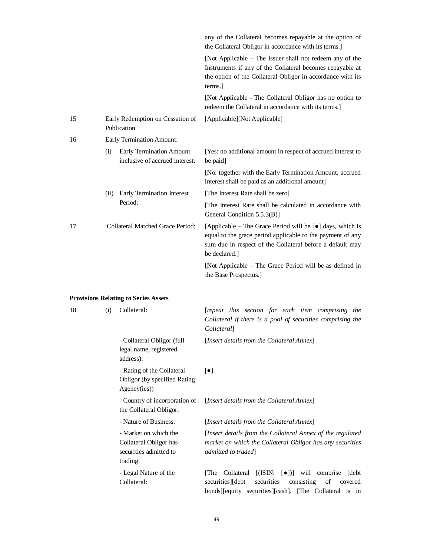|    |      |                                                            | any of the Collateral becomes repayable at the option of<br>the Collateral Obligor in accordance with its terms.]                                                                                                         |
|----|------|------------------------------------------------------------|---------------------------------------------------------------------------------------------------------------------------------------------------------------------------------------------------------------------------|
|    |      |                                                            | [Not Applicable – The Issuer shall not redeem any of the<br>Instruments if any of the Collateral becomes repayable at<br>the option of the Collateral Obligor in accordance with its<br>terms.                            |
|    |      |                                                            | [Not Applicable - The Collateral Obligor has no option to<br>redeem the Collateral in accordance with its terms.]                                                                                                         |
| 15 |      | Early Redemption on Cessation of<br>Publication            | [Applicable][Not Applicable]                                                                                                                                                                                              |
| 16 |      | Early Termination Amount:                                  |                                                                                                                                                                                                                           |
|    | (i)  | Early Termination Amount<br>inclusive of accrued interest: | [Yes: no additional amount in respect of accrued interest to<br>be paid.                                                                                                                                                  |
|    |      |                                                            | [No: together with the Early Termination Amount, accrued<br>interest shall be paid as an additional amount]                                                                                                               |
|    | (ii) | <b>Early Termination Interest</b>                          | [The Interest Rate shall be zero]                                                                                                                                                                                         |
|    |      | Period:                                                    | The Interest Rate shall be calculated in accordance with<br>General Condition 5.5.3(B)]                                                                                                                                   |
| 17 |      | Collateral Matched Grace Period:                           | [Applicable – The Grace Period will be $\lceil \bullet \rceil$ days, which is<br>equal to the grace period applicable to the payment of any<br>sum due in respect of the Collateral before a default may<br>be declared.] |
|    |      |                                                            | [Not Applicable – The Grace Period will be as defined in<br>the Base Prospectus.                                                                                                                                          |

## **Provisions Relating to Series Assets**

| 18 | (i) | Collateral:                                                                           | [repeat this section for each item comprising the<br>Collateral if there is a pool of securities comprising the<br><i>Collateral</i>                                                       |
|----|-----|---------------------------------------------------------------------------------------|--------------------------------------------------------------------------------------------------------------------------------------------------------------------------------------------|
|    |     | - Collateral Obligor (full<br>legal name, registered<br>address):                     | [Insert details from the Collateral Annex]                                                                                                                                                 |
|    |     | - Rating of the Collateral<br><b>Obligor</b> (by specified Rating<br>Agency(ies))     | $\lceil \bullet \rceil$                                                                                                                                                                    |
|    |     | - Country of incorporation of<br>the Collateral Obligor:                              | [Insert details from the Collateral Annex]                                                                                                                                                 |
|    |     | - Nature of Business:                                                                 | [Insert details from the Collateral Annex]                                                                                                                                                 |
|    |     | - Market on which the<br>Collateral Obligor has<br>securities admitted to<br>trading: | [Insert details from the Collateral Annex of the regulated<br>market on which the Collateral Obligor has any securities<br>admitted to traded                                              |
|    |     | - Legal Nature of the<br>Collateral:                                                  | [The Collateral [(ISIN: [ $\bullet$ ])] will comprise<br>[debt]<br>securities<br>securities][debt<br>consisting<br>of<br>covered<br>bonds][equity securities][cash]. [The Collateral is in |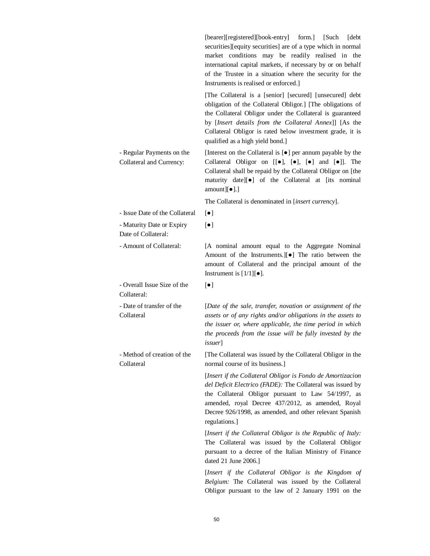|                                                       | [bearer][registered][book-entry] form.] [Such<br>debt<br>securities][equity securities] are of a type which in normal<br>market conditions may be readily realised in the<br>international capital markets, if necessary by or on behalf<br>of the Trustee in a situation where the security for the<br>Instruments is realised or enforced.   |
|-------------------------------------------------------|------------------------------------------------------------------------------------------------------------------------------------------------------------------------------------------------------------------------------------------------------------------------------------------------------------------------------------------------|
|                                                       | [The Collateral is a [senior] [secured] [unsecured] debt<br>obligation of the Collateral Obligor.] [The obligations of<br>the Collateral Obligor under the Collateral is guaranteed<br>by [Insert details from the Collateral Annex]] [As the<br>Collateral Obligor is rated below investment grade, it is<br>qualified as a high yield bond.] |
| - Regular Payments on the<br>Collateral and Currency: | [Interest on the Collateral is [ $\bullet$ ] per annum payable by the<br>Collateral Obligor on $[[\bullet]$ , $[\bullet]$ , $[\bullet]$ and $[\bullet]$ . The<br>Collateral shall be repaid by the Collateral Obligor on [the<br>maturity date][ $\bullet$ ] of the Collateral at [its nominal<br>amount] $[•]$ .]                             |
|                                                       | The Collateral is denominated in [insert currency].                                                                                                                                                                                                                                                                                            |
| - Issue Date of the Collateral                        | $[\bullet]$                                                                                                                                                                                                                                                                                                                                    |
| - Maturity Date or Expiry<br>Date of Collateral:      | $\lceil \bullet \rceil$                                                                                                                                                                                                                                                                                                                        |
| - Amount of Collateral:                               | [A nominal amount equal to the Aggregate Nominal<br>Amount of the Instruments.][ $\bullet$ ] The ratio between the<br>amount of Collateral and the principal amount of the<br>Instrument is $[1/1][\bullet]$ .                                                                                                                                 |
| - Overall Issue Size of the<br>Collateral:            | $\lceil \bullet \rceil$                                                                                                                                                                                                                                                                                                                        |
| - Date of transfer of the<br>Collateral               | [Date of the sale, transfer, novation or assignment of the<br>assets or of any rights and/or obligations in the assets to<br>the issuer or, where applicable, the time period in which<br>the proceeds from the issue will be fully invested by the<br><i>issuer</i>                                                                           |
| - Method of creation of the<br>Collateral             | [The Collateral was issued by the Collateral Obligor in the<br>normal course of its business.]                                                                                                                                                                                                                                                 |
|                                                       | [Insert if the Collateral Obligor is Fondo de Amortizacion<br>del Deficit Electrico (FADE): The Collateral was issued by<br>the Collateral Obligor pursuant to Law 54/1997, as<br>amended, royal Decree 437/2012, as amended, Royal<br>Decree 926/1998, as amended, and other relevant Spanish<br>regulations.]                                |
|                                                       | [Insert if the Collateral Obligor is the Republic of Italy:<br>The Collateral was issued by the Collateral Obligor<br>pursuant to a decree of the Italian Ministry of Finance<br>dated 21 June 2006.]                                                                                                                                          |
|                                                       | [Insert if the Collateral Obligor is the Kingdom of<br>Belgium: The Collateral was issued by the Collateral<br>Obligor pursuant to the law of 2 January 1991 on the                                                                                                                                                                            |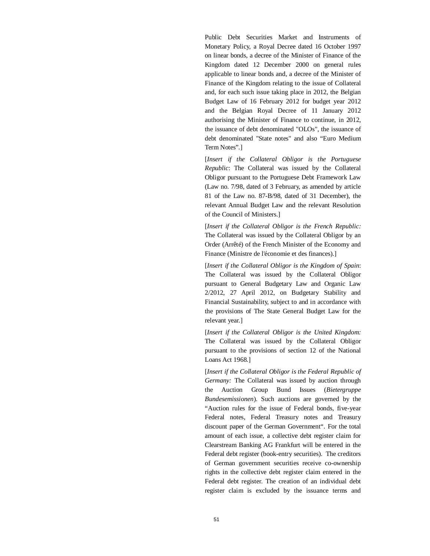Public Debt Securities Market and Instruments of Monetary Policy, a Royal Decree dated 16 October 1997 on linear bonds, a decree of the Minister of Finance of the Kingdom dated 12 December 2000 on general rules applicable to linear bonds and, a decree of the Minister of Finance of the Kingdom relating to the issue of Collateral and, for each such issue taking place in 2012, the Belgian Budget Law of 16 February 2012 for budget year 2012 and the Belgian Royal Decree of 11 January 2012 authorising the Minister of Finance to continue, in 2012, the issuance of debt denominated "OLOs", the issuance of debt denominated "State notes" and also "Euro Medium Term Notes".]

[*Insert if the Collateral Obligor is the Portuguese Republic*: The Collateral was issued by the Collateral Obligor pursuant to the Portuguese Debt Framework Law (Law no. 7/98, dated of 3 February, as amended by article 81 of the Law no. 87-B/98, dated of 31 December), the relevant Annual Budget Law and the relevant Resolution of the Council of Ministers.]

[*Insert if the Collateral Obligor is the French Republic:* The Collateral was issued by the Collateral Obligor by an Order (Arrêté) of the French Minister of the Economy and Finance (Ministre de l'économie et des finances).]

[*Insert if the Collateral Obligor is the Kingdom of Spain*: The Collateral was issued by the Collateral Obligor pursuant to General Budgetary Law and Organic Law 2/2012, 27 April 2012, on Budgetary Stability and Financial Sustainability, subject to and in accordance with the provisions of The State General Budget Law for the relevant year.]

[*Insert if the Collateral Obligor is the United Kingdom:* The Collateral was issued by the Collateral Obligor pursuant to the provisions of section 12 of the National Loans Act 1968.]

[*Insert if the Collateral Obligor is the Federal Republic of Germany:* The Collateral was issued by auction through the Auction Group Bund Issues (*Bietergruppe Bundesemissionen*). Such auctions are governed by the "Auction rules for the issue of Federal bonds, five-year Federal notes, Federal Treasury notes and Treasury discount paper of the German Government". For the total amount of each issue, a collective debt register claim for Clearstream Banking AG Frankfurt will be entered in the Federal debt register (book-entry securities). The creditors of German government securities receive co-ownership rights in the collective debt register claim entered in the Federal debt register. The creation of an individual debt register claim is excluded by the issuance terms and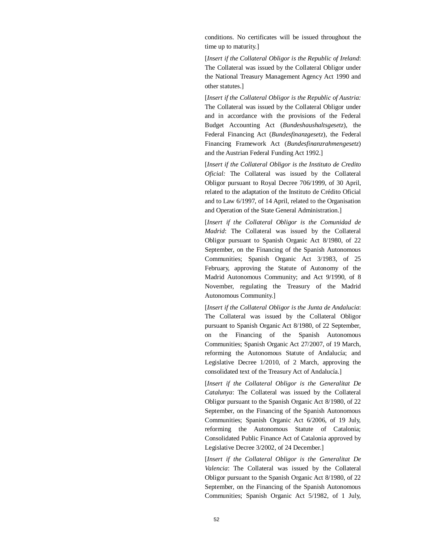conditions. No certificates will be issued throughout the time up to maturity.]

[*Insert if the Collateral Obligor is the Republic of Ireland*: The Collateral was issued by the Collateral Obligor under the National Treasury Management Agency Act 1990 and other statutes.]

[*Insert if the Collateral Obligor is the Republic of Austria:* The Collateral was issued by the Collateral Obligor under and in accordance with the provisions of the Federal Budget Accounting Act (*Bundeshaushaltsgesetz*), the Federal Financing Act (*Bundesfinanzgesetz*), the Federal Financing Framework Act (*Bundesfinanzrahmengesetz*) and the Austrian Federal Funding Act 1992.]

[*Insert if the Collateral Obligor is the Instituto de Credito Oficial:* The Collateral was issued by the Collateral Obligor pursuant to Royal Decree 706/1999, of 30 April, related to the adaptation of the Instituto de Crédito Oficial and to Law 6/1997, of 14 April, related to the Organisation and Operation of the State General Administration.]

[*Insert if the Collateral Obligor is the Comunidad de Madrid*: The Collateral was issued by the Collateral Obligor pursuant to Spanish Organic Act 8/1980, of 22 September, on the Financing of the Spanish Autonomous Communities; Spanish Organic Act 3/1983, of 25 February, approving the Statute of Autonomy of the Madrid Autonomous Community; and Act 9/1990, of 8 November, regulating the Treasury of the Madrid Autonomous Community.]

[*Insert if the Collateral Obligor is the Junta de Andalucia*: The Collateral was issued by the Collateral Obligor pursuant to Spanish Organic Act 8/1980, of 22 September, on the Financing of the Spanish Autonomous Communities; Spanish Organic Act 27/2007, of 19 March, reforming the Autonomous Statute of Andalucía; and Legislative Decree 1/2010, of 2 March, approving the consolidated text of the Treasury Act of Andalucía.]

[*Insert if the Collateral Obligor is the Generalitat De Catalunya*: The Collateral was issued by the Collateral Obligor pursuant to the Spanish Organic Act 8/1980, of 22 September, on the Financing of the Spanish Autonomous Communities; Spanish Organic Act 6/2006, of 19 July, reforming the Autonomous Statute of Catalonia; Consolidated Public Finance Act of Catalonia approved by Legislative Decree 3/2002, of 24 December.]

[*Insert if the Collateral Obligor is the Generalitat De Valencia*: The Collateral was issued by the Collateral Obligor pursuant to the Spanish Organic Act 8/1980, of 22 September, on the Financing of the Spanish Autonomous Communities; Spanish Organic Act 5/1982, of 1 July,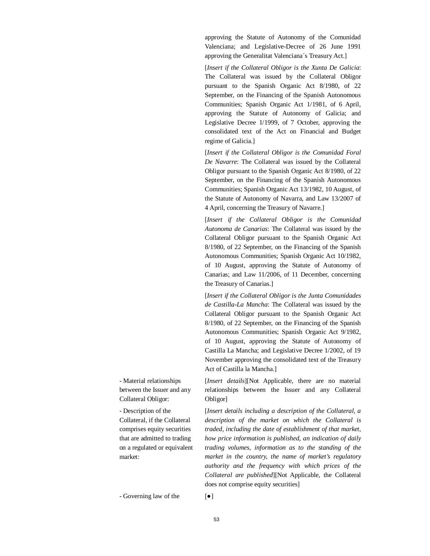approving the Statute of Autonomy of the Comunidad Valenciana; and Legislative-Decree of 26 June 1991 approving the Generalitat Valenciana´s Treasury Act.]

[*Insert if the Collateral Obligor is the Xunta De Galicia*: The Collateral was issued by the Collateral Obligor pursuant to the Spanish Organic Act 8/1980, of 22 September, on the Financing of the Spanish Autonomous Communities; Spanish Organic Act 1/1981, of 6 April, approving the Statute of Autonomy of Galicia; and Legislative Decree 1/1999, of 7 October, approving the consolidated text of the Act on Financial and Budget regime of Galicia.]

[*Insert if the Collateral Obligor is the Comunidad Foral De Navarre*: The Collateral was issued by the Collateral Obligor pursuant to the Spanish Organic Act 8/1980, of 22 September, on the Financing of the Spanish Autonomous Communities; Spanish Organic Act 13/1982, 10 August, of the Statute of Autonomy of Navarra, and Law 13/2007 of 4 April, concerning the Treasury of Navarre.]

[*Insert if the Collateral Obligor is the Comunidad Autonoma de Canarias*: The Collateral was issued by the Collateral Obligor pursuant to the Spanish Organic Act 8/1980, of 22 September, on the Financing of the Spanish Autonomous Communities; Spanish Organic Act 10/1982, of 10 August, approving the Statute of Autonomy of Canarias; and Law 11/2006, of 11 December, concerning the Treasury of Canarias.]

[*Insert if the Collateral Obligor is the Junta Comunidades de Castilla-La Mancha*: The Collateral was issued by the Collateral Obligor pursuant to the Spanish Organic Act 8/1980, of 22 September, on the Financing of the Spanish Autonomous Communities; Spanish Organic Act 9/1982, of 10 August, approving the Statute of Autonomy of Castilla La Mancha; and Legislative Decree 1/2002, of 19 November approving the consolidated text of the Treasury Act of Castilla la Mancha.]

[*Insert details*][Not Applicable, there are no material relationships between the Issuer and any Collateral Obligor]

[*Insert details including a description of the Collateral, a description of the market on which the Collateral is traded, including the date of establishment of that market, how price information is published, an indication of daily trading volumes, information as to the standing of the market in the country, the name of market's regulatory authority and the frequency with which prices of the Collateral are published*][Not Applicable, the Collateral does not comprise equity securities]

- Material relationships between the Issuer and any Collateral Obligor:

- Description of the Collateral, if the Collateral comprises equity securities that are admitted to trading on a regulated or equivalent market:

 $-Governing$  law of the  $[\bullet]$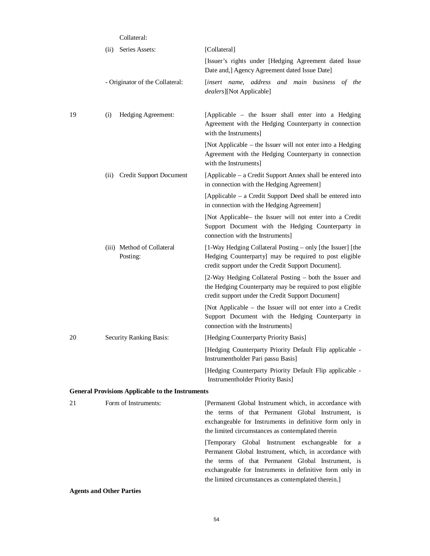|    | Collateral:                                             |                                                                                                                                                                                                                                                                                  |
|----|---------------------------------------------------------|----------------------------------------------------------------------------------------------------------------------------------------------------------------------------------------------------------------------------------------------------------------------------------|
|    | Series Assets:<br>(ii)                                  | [Collateral]                                                                                                                                                                                                                                                                     |
|    |                                                         | [Issuer's rights under [Hedging Agreement dated Issue<br>Date and, Agency Agreement dated Issue Date]                                                                                                                                                                            |
|    | - Originator of the Collateral:                         | [insert name, address and main business of the<br>dealers][Not Applicable]                                                                                                                                                                                                       |
| 19 | Hedging Agreement:<br>(i)                               | [Applicable – the Issuer shall enter into a Hedging<br>Agreement with the Hedging Counterparty in connection<br>with the Instruments]                                                                                                                                            |
|    |                                                         | [Not Applicable – the Issuer will not enter into a Hedging<br>Agreement with the Hedging Counterparty in connection<br>with the Instruments]                                                                                                                                     |
|    | (ii) Credit Support Document                            | [Applicable – a Credit Support Annex shall be entered into<br>in connection with the Hedging Agreement]                                                                                                                                                                          |
|    |                                                         | [Applicable – a Credit Support Deed shall be entered into<br>in connection with the Hedging Agreement]                                                                                                                                                                           |
|    |                                                         | [Not Applicable- the Issuer will not enter into a Credit<br>Support Document with the Hedging Counterparty in<br>connection with the Instruments]                                                                                                                                |
|    | (iii) Method of Collateral<br>Posting:                  | [1-Way Hedging Collateral Posting – only [the Issuer] [the<br>Hedging Counterparty] may be required to post eligible<br>credit support under the Credit Support Document].                                                                                                       |
|    |                                                         | [2-Way Hedging Collateral Posting – both the Issuer and<br>the Hedging Counterparty may be required to post eligible<br>credit support under the Credit Support Document]                                                                                                        |
|    |                                                         | [Not Applicable – the Issuer will not enter into a Credit<br>Support Document with the Hedging Counterparty in<br>connection with the Instruments]                                                                                                                               |
| 20 | Security Ranking Basis:                                 | [Hedging Counterparty Priority Basis]                                                                                                                                                                                                                                            |
|    |                                                         | [Hedging Counterparty Priority Default Flip applicable -<br>Instrumentholder Pari passu Basis]                                                                                                                                                                                   |
|    |                                                         | [Hedging Counterparty Priority Default Flip applicable -<br>Instrumentholder Priority Basis]                                                                                                                                                                                     |
|    | <b>General Provisions Applicable to the Instruments</b> |                                                                                                                                                                                                                                                                                  |
| 21 | Form of Instruments:                                    | [Permanent Global Instrument which, in accordance with<br>the terms of that Permanent Global Instrument, is<br>exchangeable for Instruments in definitive form only in<br>the limited circumstances as contemplated therein                                                      |
|    |                                                         | [Temporary Global Instrument exchangeable for a<br>Permanent Global Instrument, which, in accordance with<br>the terms of that Permanent Global Instrument, is<br>exchangeable for Instruments in definitive form only in<br>the limited circumstances as contemplated therein.] |

**Agents and Other Parties**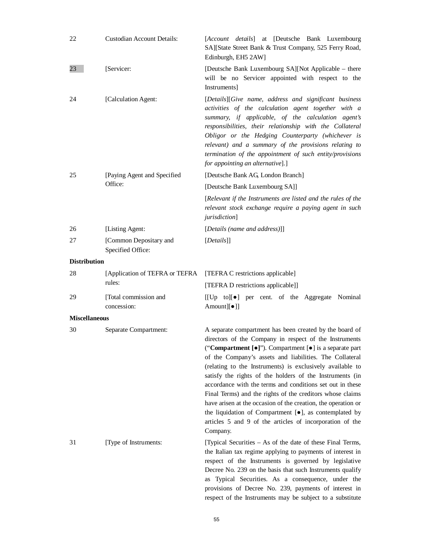| 22                   | <b>Custodian Account Details:</b>           | [Account details] at [Deutsche Bank Luxembourg<br>SA][State Street Bank & Trust Company, 525 Ferry Road,<br>Edinburgh, EH5 2AW]                                                                                                                                                                                                                                                                                                                                                                                                                                                                                                                                                                                      |
|----------------------|---------------------------------------------|----------------------------------------------------------------------------------------------------------------------------------------------------------------------------------------------------------------------------------------------------------------------------------------------------------------------------------------------------------------------------------------------------------------------------------------------------------------------------------------------------------------------------------------------------------------------------------------------------------------------------------------------------------------------------------------------------------------------|
| 23                   | [Servicer:                                  | [Deutsche Bank Luxembourg SA][Not Applicable - there<br>will be no Servicer appointed with respect to the<br><b>Instruments</b>                                                                                                                                                                                                                                                                                                                                                                                                                                                                                                                                                                                      |
| 24                   | [Calculation Agent:                         | [Details][Give name, address and significant business<br>activities of the calculation agent together with a<br>summary, if applicable, of the calculation agent's<br>responsibilities, their relationship with the Collateral<br>Obligor or the Hedging Counterparty (whichever is<br>relevant) and a summary of the provisions relating to<br>termination of the appointment of such entity/provisions<br>for appointing an alternative].]                                                                                                                                                                                                                                                                         |
| 25                   | [Paying Agent and Specified                 | [Deutsche Bank AG, London Branch]                                                                                                                                                                                                                                                                                                                                                                                                                                                                                                                                                                                                                                                                                    |
|                      | Office:                                     | [Deutsche Bank Luxembourg SA]]                                                                                                                                                                                                                                                                                                                                                                                                                                                                                                                                                                                                                                                                                       |
|                      |                                             | [Relevant if the Instruments are listed and the rules of the<br>relevant stock exchange require a paying agent in such<br>jurisdiction]                                                                                                                                                                                                                                                                                                                                                                                                                                                                                                                                                                              |
| 26                   | [Listing Agent:                             | [Details (name and address)]]                                                                                                                                                                                                                                                                                                                                                                                                                                                                                                                                                                                                                                                                                        |
| 27                   | [Common Depositary and<br>Specified Office: | [Details]]                                                                                                                                                                                                                                                                                                                                                                                                                                                                                                                                                                                                                                                                                                           |
| <b>Distribution</b>  |                                             |                                                                                                                                                                                                                                                                                                                                                                                                                                                                                                                                                                                                                                                                                                                      |
| 28                   | [Application of TEFRA or TEFRA<br>rules:    | [TEFRA C restrictions applicable]                                                                                                                                                                                                                                                                                                                                                                                                                                                                                                                                                                                                                                                                                    |
|                      |                                             | [TEFRA D restrictions applicable]]                                                                                                                                                                                                                                                                                                                                                                                                                                                                                                                                                                                                                                                                                   |
| 29                   | [Total commission and<br>concession:        | [[Up to][•] per cent. of the Aggregate Nominal<br>Amount][ $\bullet$ ]]                                                                                                                                                                                                                                                                                                                                                                                                                                                                                                                                                                                                                                              |
| <b>Miscellaneous</b> |                                             |                                                                                                                                                                                                                                                                                                                                                                                                                                                                                                                                                                                                                                                                                                                      |
| 30                   | Separate Compartment:                       | A separate compartment has been created by the board of<br>directors of the Company in respect of the Instruments<br>("Compartment [ $\bullet$ ]"). Compartment [ $\bullet$ ] is a separate part<br>of the Company's assets and liabilities. The Collateral<br>(relating to the Instruments) is exclusively available to<br>satisfy the rights of the holders of the Instruments (in<br>accordance with the terms and conditions set out in these<br>Final Terms) and the rights of the creditors whose claims<br>have arisen at the occasion of the creation, the operation or<br>the liquidation of Compartment $[•]$ , as contemplated by<br>articles 5 and 9 of the articles of incorporation of the<br>Company. |
| 31                   | [Type of Instruments:                       | [Typical Securities – As of the date of these Final Terms,<br>the Italian tax regime applying to payments of interest in<br>respect of the Instruments is governed by legislative<br>Decree No. 239 on the basis that such Instruments qualify<br>as Typical Securities. As a consequence, under the<br>provisions of Decree No. 239, payments of interest in<br>respect of the Instruments may be subject to a substitute                                                                                                                                                                                                                                                                                           |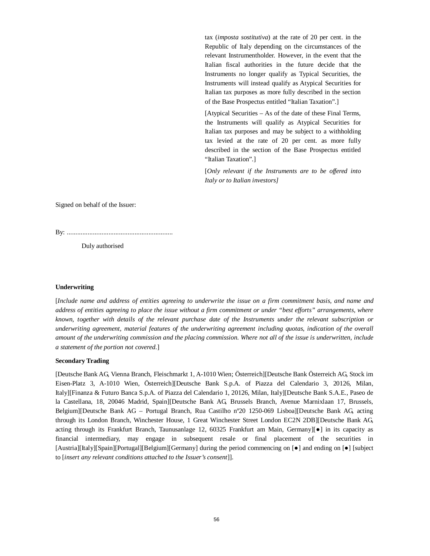tax (*imposta sostitutiva*) at the rate of 20 per cent. in the Republic of Italy depending on the circumstances of the relevant Instrumentholder. However, in the event that the Italian fiscal authorities in the future decide that the Instruments no longer qualify as Typical Securities, the Instruments will instead qualify as Atypical Securities for Italian tax purposes as more fully described in the section of the Base Prospectus entitled "Italian Taxation".]

[Atypical Securities – As of the date of these Final Terms, the Instruments will qualify as Atypical Securities for Italian tax purposes and may be subject to a withholding tax levied at the rate of 20 per cent. as more fully described in the section of the Base Prospectus entitled "Italian Taxation".]

[*Only relevant if the Instruments are to be offered into Italy or to Italian investors]*

Signed on behalf of the Issuer:

By: .............................................................

Duly authorised

#### **Underwriting**

[*Include name and address of entities agreeing to underwrite the issue on a firm commitment basis, and name and address of entities agreeing to place the issue without a firm commitment or under "best efforts" arrangements, where known, together with details of the relevant purchase date of the Instruments under the relevant subscription or underwriting agreement, material features of the underwriting agreement including quotas, indication of the overall amount of the underwriting commission and the placing commission. Where not all of the issue is underwritten, include a statement of the portion not covered.*]

#### **Secondary Trading**

[Deutsche Bank AG, Vienna Branch, Fleischmarkt 1, A-1010 Wien; Österreich][Deutsche Bank Österreich AG, Stock im Eisen-Platz 3, A-1010 Wien, Österreich][Deutsche Bank S.p.A. of Piazza del Calendario 3, 20126, Milan, Italy][Finanza & Futuro Banca S.p.A. of Piazza del Calendario 1, 20126, Milan, Italy][Deutsche Bank S.A.E., Paseo de la Castellana, 18, 20046 Madrid, Spain][Deutsche Bank AG, Brussels Branch, Avenue Marnixlaan 17, Brussels, Belgium][Deutsche Bank AG – Portugal Branch, Rua Castilho nº20 1250-069 Lisboa][Deutsche Bank AG, acting through its London Branch, Winchester House, 1 Great Winchester Street London EC2N 2DB][Deutsche Bank AG, acting through its Frankfurt Branch, Taunusanlage 12, 60325 Frankfurt am Main, Germany][ $\bullet$ ] in its capacity as financial intermediary, may engage in subsequent resale or final placement of the securities in [Austria][Italy][Spain][Portugal][Belgium][Germany] during the period commencing on [ $\bullet$ ] and ending on [ $\bullet$ ] [subject to [*insert any relevant conditions attached to the Issuer's consent*]].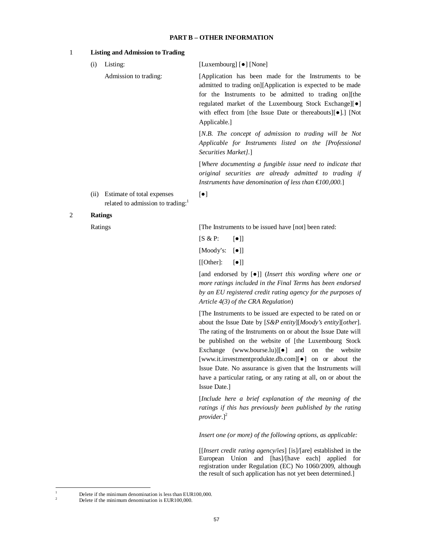## **PART B – OTHER INFORMATION**

### 1 **Listing and Admission to Trading**

| (i) | Listing:              | [Luxembourg] [ $\bullet$ ] [None]                                                                                  |
|-----|-----------------------|--------------------------------------------------------------------------------------------------------------------|
|     | Admission to trading: | [Application has been made for the Instruments to be<br>admitted to trading on][Application is expected to be made |
|     |                       | for the Instruments to be admitted to trading on the                                                               |
|     |                       | regulated market of the Luxembourg Stock Exchange [ $\bullet$ ]                                                    |
|     |                       | with effect from [the Issue Date or thereabouts][ $\bullet$ ].] [Not                                               |
|     |                       | Applicable.                                                                                                        |
|     |                       | $[N.B.$ The concept of admission to trading will be Not                                                            |
|     |                       | Applicable for Instruments listed on the [Professional                                                             |

*Securities Market].*]

[*Where documenting a fungible issue need to indicate that original securities are already admitted to trading if Instruments have denomination of less than €100,000.*]

(ii) Estimate of total expenses related to admission to trading:<sup>1</sup>

## 2 **Ratings**

Ratings [The Instruments to be issued have [not] been rated:

 $[S & P: \lceil \bullet \rceil]$ 

 $\lceil \bullet \rceil$ 

 $[Mody's: [\bullet]]$ 

 $[[Other]: [•]]$ 

[and endorsed by [Ɣ]] (*Insert this wording where one or more ratings included in the Final Terms has been endorsed by an EU registered credit rating agency for the purposes of Article 4(3) of the CRA Regulation*)

[The Instruments to be issued are expected to be rated on or about the Issue Date by [*S&P entity*][*Moody's entity*][*other*]. The rating of the Instruments on or about the Issue Date will be published on the website of [the Luxembourg Stock Exchange [\(www.bourse.lu\)](http://www.bourse.lu) $\delta$ ] and on the website [[www.it.investmentprodukte.db.com\]](http://www.it.investmentprodukte.db.com)[ $\bullet$ ] on or about the Issue Date. No assurance is given that the Instruments will have a particular rating, or any rating at all, on or about the Issue Date.]

[*Include here a brief explanation of the meaning of the ratings if this has previously been published by the rating* provider.]<sup>2</sup>

*Insert one (or more) of the following options, as applicable:*

[[*Insert credit rating agency/ies*] [is]/[are] established in the European Union and [has]/[have each] applied for registration under Regulation (EC) No 1060/2009, although the result of such application has not yet been determined.]

Delete if the minimum denomination is less than EUR100,000.

Delete if the minimum denomination is EUR100,000.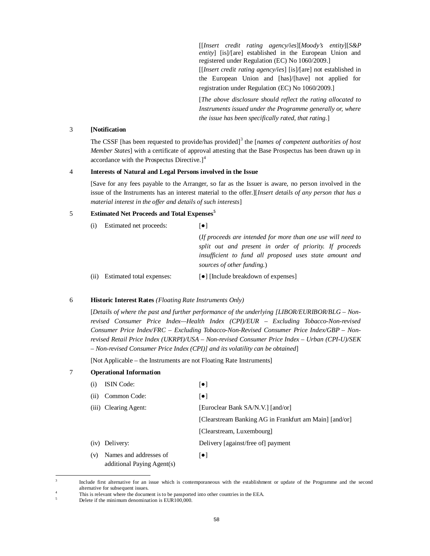[[*Insert credit rating agency/ies*][*Moody's entity*][*S&P entity*] [is]/[are] established in the European Union and registered under Regulation (EC) No 1060/2009.]

[[*Insert credit rating agency/ies*] [is]/[are] not established in the European Union and [has]/[have] not applied for registration under Regulation (EC) No 1060/2009.]

[*The above disclosure should reflect the rating allocated to Instruments issued under the Programme generally or, where the issue has been specifically rated, that rating.*]

## 3 **[Notification**

The CSSF [has been requested to provide/has provided]<sup>3</sup> the [*names of competent authorities of host Member States*] with a certificate of approval attesting that the Base Prospectus has been drawn up in accordance with the Prospectus Directive.]<sup>4</sup>

## 4 **Interests of Natural and Legal Persons involved in the Issue**

[Save for any fees payable to the Arranger, so far as the Issuer is aware, no person involved in the issue of the Instruments has an interest material to the offer.][*Insert details of any person that has a material interest in the offer and details of such interests*]

## 5 **Estimated Net Proceeds and Total Expenses<sup>5</sup>**

| (i)  | Estimated net proceeds:   | $\lceil \bullet \rceil$                                                                                                                          |
|------|---------------------------|--------------------------------------------------------------------------------------------------------------------------------------------------|
|      |                           | (If proceeds are intended for more than one use will need to                                                                                     |
|      |                           | split out and present in order of priority. If proceeds<br>insufficient to fund all proposed uses state amount and<br>sources of other funding.) |
| (ii) | Estimated total expenses: | [•] [Include breakdown of expenses]                                                                                                              |

### 6 **Historic Interest Rates** *(Floating Rate Instruments Only)*

[*Details of where the past and further performance of the underlying [LIBOR/EURIBOR/BLG – Nonrevised Consumer Price Index—Health Index (CPI)/EUR – Excluding Tobacco-Non-revised Consumer Price Index/FRC – Excluding Tobacco-Non-Revised Consumer Price Index/GBP – Nonrevised Retail Price Index (UKRPI)/USA – Non-revised Consumer Price Index – Urban (CPI-U)/SEK – Non-revised Consumer Price Index (CPI)] and its volatility can be obtained*]

[Not Applicable – the Instruments are not Floating Rate Instruments]

## 7 **Operational Information**

| $\left(1\right)$ | <b>ISIN</b> Code:                                    | $\lceil \bullet \rceil$                                |
|------------------|------------------------------------------------------|--------------------------------------------------------|
| (i)              | Common Code:                                         | $\lceil \bullet \rceil$                                |
|                  | (iii) Clearing Agent:                                | [Euroclear Bank SA/N.V.] [and/or]                      |
|                  |                                                      | [Clearstream Banking AG in Frankfurt am Main] [and/or] |
|                  |                                                      | [Clearstream, Luxembourg]                              |
|                  | (iv) Delivery:                                       | Delivery [against/free of] payment                     |
| (v)              | Names and addresses of<br>additional Paying Agent(s) | $\lceil \bullet \rceil$                                |

<sup>3</sup> Include first alternative for an issue which is contemporaneous with the establishment or update of the Programme and the second alternative for subsequent issues.

This is relevant where the document is to be passported into other countries in the EEA.

<sup>5</sup> Delete if the minimum denomination is EUR100,000.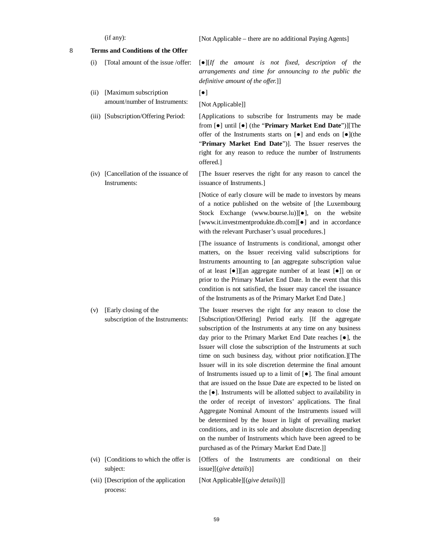|   |      | (if any):                                                 | [Not Applicable – there are no additional Paying Agents]                                                                                                                                                                                                                                                                                                                                                                                                                                                                                                                                                                                                                                                                                                                                                                                                                                                                                                                                                                                             |
|---|------|-----------------------------------------------------------|------------------------------------------------------------------------------------------------------------------------------------------------------------------------------------------------------------------------------------------------------------------------------------------------------------------------------------------------------------------------------------------------------------------------------------------------------------------------------------------------------------------------------------------------------------------------------------------------------------------------------------------------------------------------------------------------------------------------------------------------------------------------------------------------------------------------------------------------------------------------------------------------------------------------------------------------------------------------------------------------------------------------------------------------------|
| 8 |      | Terms and Conditions of the Offer                         |                                                                                                                                                                                                                                                                                                                                                                                                                                                                                                                                                                                                                                                                                                                                                                                                                                                                                                                                                                                                                                                      |
|   | (i)  | [Total amount of the issue /offer:                        | $\lbrack\bullet\rbrack\lbrack\textit{If}$ the amount is not fixed, description of the<br>arrangements and time for announcing to the public the<br>definitive amount of the offer.]]                                                                                                                                                                                                                                                                                                                                                                                                                                                                                                                                                                                                                                                                                                                                                                                                                                                                 |
|   | (ii) | [Maximum subscription                                     | $\left[\bullet\right]$                                                                                                                                                                                                                                                                                                                                                                                                                                                                                                                                                                                                                                                                                                                                                                                                                                                                                                                                                                                                                               |
|   |      | amount/number of Instruments:                             | [Not Applicable]]                                                                                                                                                                                                                                                                                                                                                                                                                                                                                                                                                                                                                                                                                                                                                                                                                                                                                                                                                                                                                                    |
|   |      | (iii) [Subscription/Offering Period:                      | [Applications to subscribe for Instruments may be made<br>from [ $\bullet$ ] until [ $\bullet$ ] (the "Primary Market End Date")][The<br>offer of the Instruments starts on $[\bullet]$ and ends on $[\bullet]$ (the<br>"Primary Market End Date")]. The Issuer reserves the<br>right for any reason to reduce the number of Instruments<br>offered.]                                                                                                                                                                                                                                                                                                                                                                                                                                                                                                                                                                                                                                                                                                |
|   |      | (iv) [Cancellation of the issuance of<br>Instruments:     | [The Issuer reserves the right for any reason to cancel the<br>issuance of Instruments.]                                                                                                                                                                                                                                                                                                                                                                                                                                                                                                                                                                                                                                                                                                                                                                                                                                                                                                                                                             |
|   |      |                                                           | [Notice of early closure will be made to investors by means<br>of a notice published on the website of [the Luxembourg<br>Stock Exchange (www.bourse.lu)][•], on the website<br>[www.it.investmentprodukte.db.com][ $\bullet$ ] and in accordance<br>with the relevant Purchaser's usual procedures.]                                                                                                                                                                                                                                                                                                                                                                                                                                                                                                                                                                                                                                                                                                                                                |
|   |      |                                                           | [The issuance of Instruments is conditional, amongst other<br>matters, on the Issuer receiving valid subscriptions for<br>Instruments amounting to [an aggregate subscription value<br>of at least [ $\bullet$ ]][an aggregate number of at least [ $\bullet$ ]] on or<br>prior to the Primary Market End Date. In the event that this<br>condition is not satisfied, the Issuer may cancel the issuance<br>of the Instruments as of the Primary Market End Date.]                                                                                                                                                                                                                                                                                                                                                                                                                                                                                                                                                                                   |
|   | (v)  | [Early closing of the<br>subscription of the Instruments: | The Issuer reserves the right for any reason to close the<br>[Subscription/Offering] Period early. [If the aggregate<br>subscription of the Instruments at any time on any business<br>day prior to the Primary Market End Date reaches [ $\bullet$ ], the<br>Issuer will close the subscription of the Instruments at such<br>time on such business day, without prior notification.][The<br>Issuer will in its sole discretion determine the final amount<br>of Instruments issued up to a limit of $[•]$ . The final amount<br>that are issued on the Issue Date are expected to be listed on<br>the [ $\bullet$ ]. Instruments will be allotted subject to availability in<br>the order of receipt of investors' applications. The final<br>Aggregate Nominal Amount of the Instruments issued will<br>be determined by the Issuer in light of prevailing market<br>conditions, and in its sole and absolute discretion depending<br>on the number of Instruments which have been agreed to be<br>purchased as of the Primary Market End Date.]] |
|   |      | (vi) [Conditions to which the offer is<br>subject:        | [Offers of the Instruments are conditional on<br>their<br>issue][(give details)]                                                                                                                                                                                                                                                                                                                                                                                                                                                                                                                                                                                                                                                                                                                                                                                                                                                                                                                                                                     |
|   |      | (vii) [Description of the application<br>process:         | [Not Applicable][(give details)]]                                                                                                                                                                                                                                                                                                                                                                                                                                                                                                                                                                                                                                                                                                                                                                                                                                                                                                                                                                                                                    |
|   |      |                                                           |                                                                                                                                                                                                                                                                                                                                                                                                                                                                                                                                                                                                                                                                                                                                                                                                                                                                                                                                                                                                                                                      |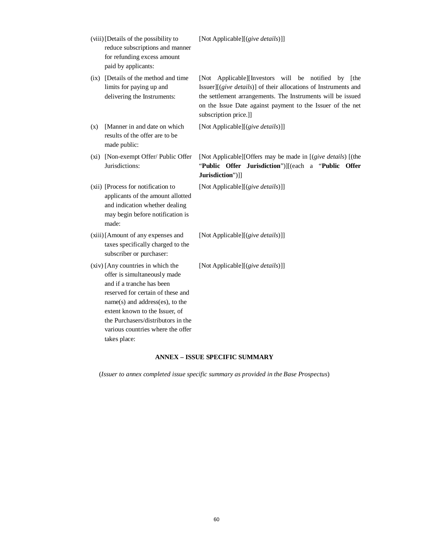| (viii) [Details of the possibility to<br>reduce subscriptions and manner<br>for refunding excess amount<br>paid by applicants:                                                                                                                                                                      | [Not Applicable][(give details)]]                                                                                                                                                                                                                                            |
|-----------------------------------------------------------------------------------------------------------------------------------------------------------------------------------------------------------------------------------------------------------------------------------------------------|------------------------------------------------------------------------------------------------------------------------------------------------------------------------------------------------------------------------------------------------------------------------------|
| (ix) [Details of the method and time<br>limits for paying up and<br>delivering the Instruments:                                                                                                                                                                                                     | [Not Applicable][Investors will be notified by [the<br>Issuer][(give details)] of their allocations of Instruments and<br>the settlement arrangements. The Instruments will be issued<br>on the Issue Date against payment to the Issuer of the net<br>subscription price.]] |
| [Manner in and date on which<br>(x)<br>results of the offer are to be<br>made public:                                                                                                                                                                                                               | [Not Applicable][(give details)]]                                                                                                                                                                                                                                            |
| [Non-exempt Offer/ Public Offer<br>(xi)<br>Jurisdictions:                                                                                                                                                                                                                                           | [Not Applicable][Offers may be made in [(give details) [(the<br>"Public Offer Jurisdiction")][(each a "Public Offer<br>Jurisdiction")]]                                                                                                                                      |
| (xii) [Process for notification to<br>applicants of the amount allotted<br>and indication whether dealing<br>may begin before notification is<br>made:                                                                                                                                              | [Not Applicable][(give details)]]                                                                                                                                                                                                                                            |
| (xiii) [Amount of any expenses and<br>taxes specifically charged to the<br>subscriber or purchaser:                                                                                                                                                                                                 | [Not Applicable][(give details)]]                                                                                                                                                                                                                                            |
| (xiv) [Any countries in which the<br>offer is simultaneously made<br>and if a tranche has been<br>reserved for certain of these and<br>name(s) and address(es), to the<br>extent known to the Issuer, of<br>the Purchasers/distributors in the<br>various countries where the offer<br>takes place: | [Not Applicable][(give details)]]                                                                                                                                                                                                                                            |

## **ANNEX – ISSUE SPECIFIC SUMMARY**

(*Issuer to annex completed issue specific summary as provided in the Base Prospectus*)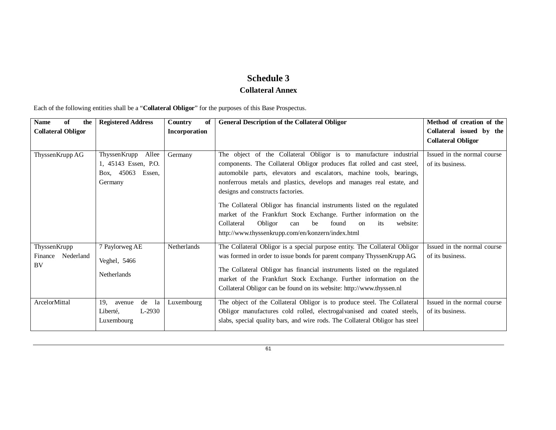# **Schedule 3 Collateral Annex**

Each of the following entities shall be a "**Collateral Obligor**" for the purposes of this Base Prospectus.

| of<br><b>Name</b><br>the                          | <b>Registered Address</b>                                                     | Country<br>of | <b>General Description of the Collateral Obligor</b>                                                                                                                                                                                                                                                                                                                                                                                                                                                                                                                                                                         | Method of creation of the                       |
|---------------------------------------------------|-------------------------------------------------------------------------------|---------------|------------------------------------------------------------------------------------------------------------------------------------------------------------------------------------------------------------------------------------------------------------------------------------------------------------------------------------------------------------------------------------------------------------------------------------------------------------------------------------------------------------------------------------------------------------------------------------------------------------------------------|-------------------------------------------------|
| <b>Collateral Obligor</b>                         |                                                                               | Incorporation |                                                                                                                                                                                                                                                                                                                                                                                                                                                                                                                                                                                                                              | Collateral issued by the                        |
|                                                   |                                                                               |               |                                                                                                                                                                                                                                                                                                                                                                                                                                                                                                                                                                                                                              | <b>Collateral Obligor</b>                       |
| Thyssen Krupp AG                                  | ThyssenKrupp Allee<br>1, 45143 Essen, P.O.<br>Box, 45063<br>Essen,<br>Germany | Germany       | The object of the Collateral Obligor is to manufacture industrial<br>components. The Collateral Obligor produces flat rolled and cast steel,<br>automobile parts, elevators and escalators, machine tools, bearings,<br>nonferrous metals and plastics, develops and manages real estate, and<br>designs and constructs factories.<br>The Collateral Obligor has financial instruments listed on the regulated<br>market of the Frankfurt Stock Exchange. Further information on the<br>Collateral<br>Obligor<br>website:<br>found<br>can<br>be<br>its<br><sub>on</sub><br>http://www.thyssenkrupp.com/en/konzern/index.html | Issued in the normal course<br>of its business. |
| ThyssenKrupp<br>Finance<br>Nederland<br><b>BV</b> | 7 Paylorweg AE<br>Veghel, 5466<br><b>Netherlands</b>                          | Netherlands   | The Collateral Obligor is a special purpose entity. The Collateral Obligor<br>was formed in order to issue bonds for parent company ThyssenKrupp AG.<br>The Collateral Obligor has financial instruments listed on the regulated<br>market of the Frankfurt Stock Exchange. Further information on the<br>Collateral Obligor can be found on its website: http://www.thyssen.nl                                                                                                                                                                                                                                              | Issued in the normal course<br>of its business. |
| ArcelorMittal                                     | 19.<br>de la<br>avenue<br>L-2930<br>Liberté,<br>Luxembourg                    | Luxembourg    | The object of the Collateral Obligor is to produce steel. The Collateral<br>Obligor manufactures cold rolled, electrogalvanised and coated steels,<br>slabs, special quality bars, and wire rods. The Collateral Obligor has steel                                                                                                                                                                                                                                                                                                                                                                                           | Issued in the normal course<br>of its business. |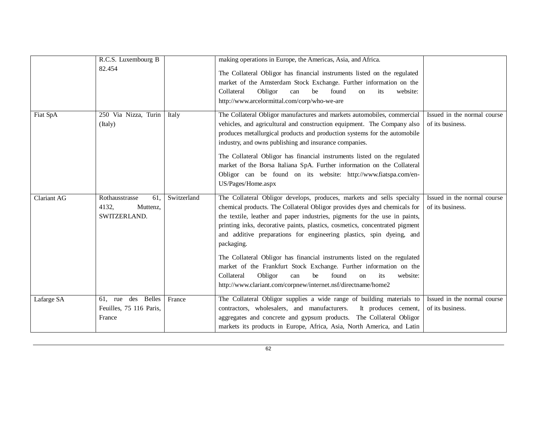|                    | R.C.S. Luxembourg B<br>82.454                              |             | making operations in Europe, the Americas, Asia, and Africa.<br>The Collateral Obligor has financial instruments listed on the regulated<br>market of the Amsterdam Stock Exchange. Further information on the<br>Collateral<br>Obligor<br>be<br>found<br>website:<br>can<br>its<br>on<br>http://www.arcelormittal.com/corp/who-we-are                                                                                                                                                                                                                                                                                                                                                                  |                                                 |
|--------------------|------------------------------------------------------------|-------------|---------------------------------------------------------------------------------------------------------------------------------------------------------------------------------------------------------------------------------------------------------------------------------------------------------------------------------------------------------------------------------------------------------------------------------------------------------------------------------------------------------------------------------------------------------------------------------------------------------------------------------------------------------------------------------------------------------|-------------------------------------------------|
| Fiat SpA           | 250 Via Nizza, Turin<br>(Italy)                            | Italy       | The Collateral Obligor manufactures and markets automobiles, commercial<br>vehicles, and agricultural and construction equipment. The Company also<br>produces metallurgical products and production systems for the automobile<br>industry, and owns publishing and insurance companies.<br>The Collateral Obligor has financial instruments listed on the regulated<br>market of the Borsa Italiana SpA. Further information on the Collateral<br>Obligor can be found on its website: http://www.fiatspa.com/en-<br>US/Pages/Home.aspx                                                                                                                                                               | Issued in the normal course<br>of its business. |
| <b>Clariant AG</b> | Rothausstrasse<br>61.<br>4132.<br>Muttenz,<br>SWITZERLAND. | Switzerland | The Collateral Obligor develops, produces, markets and sells specialty<br>chemical products. The Collateral Obligor provides dyes and chemicals for<br>the textile, leather and paper industries, pigments for the use in paints,<br>printing inks, decorative paints, plastics, cosmetics, concentrated pigment<br>and additive preparations for engineering plastics, spin dyeing, and<br>packaging.<br>The Collateral Obligor has financial instruments listed on the regulated<br>market of the Frankfurt Stock Exchange. Further information on the<br>Collateral<br>Obligor<br>found<br>can<br>be<br>website:<br>$\alpha$<br>its<br>http://www.clariant.com/corpnew/internet.nsf/directname/home2 | Issued in the normal course<br>of its business. |
| Lafarge SA         | 61, rue des Belles<br>Feuilles, 75 116 Paris,<br>France    | France      | The Collateral Obligor supplies a wide range of building materials to<br>contractors, wholesalers, and manufacturers.<br>It produces cement,<br>aggregates and concrete and gypsum products. The Collateral Obligor<br>markets its products in Europe, Africa, Asia, North America, and Latin                                                                                                                                                                                                                                                                                                                                                                                                           | Issued in the normal course<br>of its business. |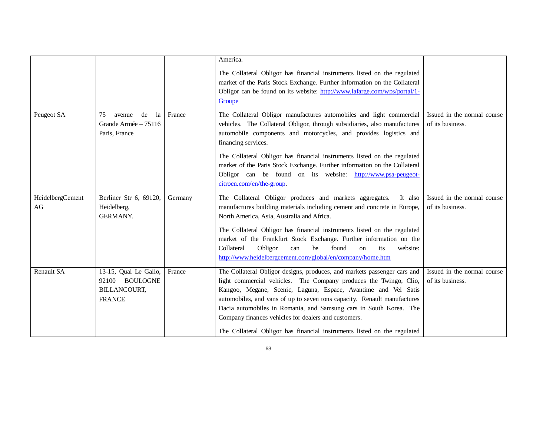|                        |                                                                                 |         | America.<br>The Collateral Obligor has financial instruments listed on the regulated<br>market of the Paris Stock Exchange. Further information on the Collateral<br>Obligor can be found on its website: http://www.lafarge.com/wps/portal/1-<br>Groupe                                                                                                                                                                                                                                              |                                                 |
|------------------------|---------------------------------------------------------------------------------|---------|-------------------------------------------------------------------------------------------------------------------------------------------------------------------------------------------------------------------------------------------------------------------------------------------------------------------------------------------------------------------------------------------------------------------------------------------------------------------------------------------------------|-------------------------------------------------|
| Peugeot SA             | 75<br>avenue<br>de<br>la<br>Grande Armée - 75116<br>Paris, France               | France  | The Collateral Obligor manufactures automobiles and light commercial<br>vehicles. The Collateral Obligor, through subsidiaries, also manufactures<br>automobile components and motorcycles, and provides logistics and<br>financing services.<br>The Collateral Obligor has financial instruments listed on the regulated<br>market of the Paris Stock Exchange. Further information on the Collateral<br>Obligor can be found on its website: http://www.psa-peugeot-<br>citroen.com/en/the-group.   | Issued in the normal course<br>of its business. |
| HeidelbergCement<br>AG | Berliner Str 6, 69120,<br>Heidelberg,<br><b>GERMANY.</b>                        | Germany | The Collateral Obligor produces and markets aggregates.<br>It also<br>manufactures building materials including cement and concrete in Europe,<br>North America, Asia, Australia and Africa.<br>The Collateral Obligor has financial instruments listed on the regulated<br>market of the Frankfurt Stock Exchange. Further information on the<br>Collateral<br>Obligor<br>found<br>be<br>website:<br>can<br><sub>on</sub><br>its<br>http://www.heidelbergcement.com/global/en/company/home.htm       | Issued in the normal course<br>of its business. |
| <b>Renault SA</b>      | 13-15, Quai Le Gallo,<br>92100 BOULOGNE<br><b>BILLANCOURT,</b><br><b>FRANCE</b> | France  | The Collateral Obligor designs, produces, and markets passenger cars and<br>light commercial vehicles. The Company produces the Twingo, Clio,<br>Kangoo, Megane, Scenic, Laguna, Espace, Avantime and Vel Satis<br>automobiles, and vans of up to seven tons capacity. Renault manufactures<br>Dacia automobiles in Romania, and Samsung cars in South Korea. The<br>Company finances vehicles for dealers and customers.<br>The Collateral Obligor has financial instruments listed on the regulated | Issued in the normal course<br>of its business. |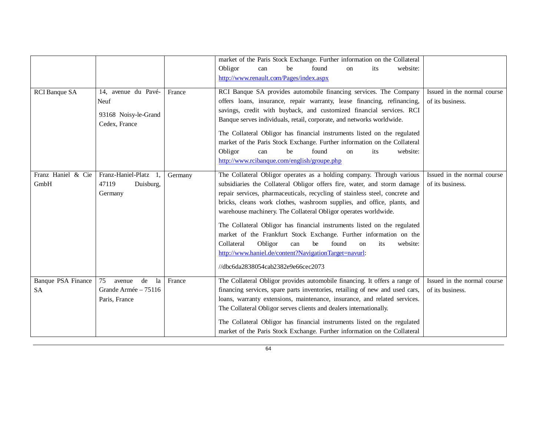|                                 |                                                                      |         | market of the Paris Stock Exchange. Further information on the Collateral<br>Obligor<br>be<br>found<br>website:<br>its<br>can<br>on<br>http://www.renault.com/Pages/index.aspx                                                                                                                                                                                                                                                                                                                                                                                                                                                                                                                           |                                                 |
|---------------------------------|----------------------------------------------------------------------|---------|----------------------------------------------------------------------------------------------------------------------------------------------------------------------------------------------------------------------------------------------------------------------------------------------------------------------------------------------------------------------------------------------------------------------------------------------------------------------------------------------------------------------------------------------------------------------------------------------------------------------------------------------------------------------------------------------------------|-------------------------------------------------|
| <b>RCI</b> Banque SA            | 14, avenue du Pavé-<br>Neuf<br>93168 Noisy-le-Grand<br>Cedex, France | France  | RCI Banque SA provides automobile financing services. The Company<br>offers loans, insurance, repair warranty, lease financing, refinancing,<br>savings, credit with buyback, and customized financial services. RCI<br>Banque serves individuals, retail, corporate, and networks worldwide.<br>The Collateral Obligor has financial instruments listed on the regulated<br>market of the Paris Stock Exchange. Further information on the Collateral<br>found<br>Obligor<br>be<br>website:<br>can<br>on<br>its<br>http://www.rcibanque.com/english/groupe.php                                                                                                                                          | Issued in the normal course<br>of its business. |
| Franz Haniel & Cie<br>GmbH      | Franz-Haniel-Platz<br>-1.<br>47119<br>Duisburg,<br>Germany           | Germany | The Collateral Obligor operates as a holding company. Through various<br>subsidiaries the Collateral Obligor offers fire, water, and storm damage<br>repair services, pharmaceuticals, recycling of stainless steel, concrete and<br>bricks, cleans work clothes, washroom supplies, and office, plants, and<br>warehouse machinery. The Collateral Obligor operates worldwide.<br>The Collateral Obligor has financial instruments listed on the regulated<br>market of the Frankfurt Stock Exchange. Further information on the<br>Collateral<br>Obligor<br>found<br>website:<br>can<br>be<br>its<br>on<br>http://www.haniel.de/content?NavigationTarget=navurl:<br>//dbc6da2838054cab2382e9e66cec2073 | Issued in the normal course<br>of its business. |
| Banque PSA Finance<br><b>SA</b> | 75<br>de<br>la<br>avenue<br>Grande Armée - 75116<br>Paris, France    | France  | The Collateral Obligor provides automobile financing. It offers a range of<br>financing services, spare parts inventories, retailing of new and used cars,<br>loans, warranty extensions, maintenance, insurance, and related services.<br>The Collateral Obligor serves clients and dealers internationally.<br>The Collateral Obligor has financial instruments listed on the regulated<br>market of the Paris Stock Exchange. Further information on the Collateral                                                                                                                                                                                                                                   | Issued in the normal course<br>of its business. |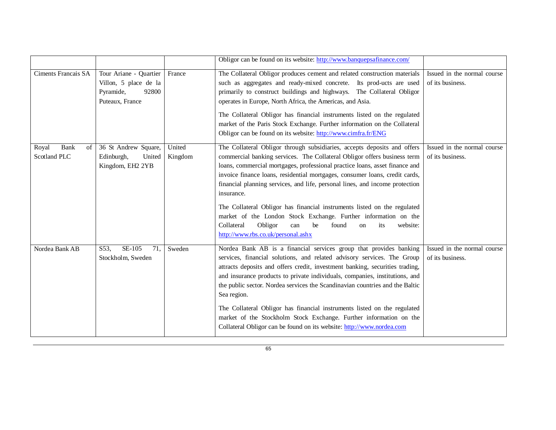|                                     |                                                                                          |                   | Obligor can be found on its website: http://www.banquepsafinance.com/                                                                                                                                                                                                                                                                                                                                                                                                                                                                                                                                                                                                         |                                                 |
|-------------------------------------|------------------------------------------------------------------------------------------|-------------------|-------------------------------------------------------------------------------------------------------------------------------------------------------------------------------------------------------------------------------------------------------------------------------------------------------------------------------------------------------------------------------------------------------------------------------------------------------------------------------------------------------------------------------------------------------------------------------------------------------------------------------------------------------------------------------|-------------------------------------------------|
| <b>Ciments Francais SA</b>          | Tour Ariane - Quartier<br>Villon, 5 place de la<br>Pyramide,<br>92800<br>Puteaux, France | France            | The Collateral Obligor produces cement and related construction materials<br>such as aggregates and ready-mixed concrete. Its prod-ucts are used<br>primarily to construct buildings and highways. The Collateral Obligor<br>operates in Europe, North Africa, the Americas, and Asia.<br>The Collateral Obligor has financial instruments listed on the regulated<br>market of the Paris Stock Exchange. Further information on the Collateral<br>Obligor can be found on its website: http://www.cimfra.fr/ENG                                                                                                                                                              | Issued in the normal course<br>of its business. |
| Bank<br>Royal<br>of<br>Scotland PLC | 36 St Andrew Square,<br>Edinburgh,<br>United<br>Kingdom, EH2 2YB                         | United<br>Kingdom | The Collateral Obligor through subsidiaries, accepts deposits and offers<br>commercial banking services. The Collateral Obligor offers business term<br>loans, commercial mortgages, professional practice loans, asset finance and<br>invoice finance loans, residential mortgages, consumer loans, credit cards,<br>financial planning services, and life, personal lines, and income protection<br>insurance.<br>The Collateral Obligor has financial instruments listed on the regulated<br>market of the London Stock Exchange. Further information on the<br>Collateral<br>Obligor<br>found<br>be<br>website:<br>can<br>on<br>its<br>http://www.rbs.co.uk/personal.ashx | Issued in the normal course<br>of its business. |
| Nordea Bank AB                      | SE-105<br>S53,<br>71,<br>Stockholm, Sweden                                               | Sweden            | Nordea Bank AB is a financial services group that provides banking<br>services, financial solutions, and related advisory services. The Group<br>attracts deposits and offers credit, investment banking, securities trading,<br>and insurance products to private individuals, companies, institutions, and<br>the public sector. Nordea services the Scandinavian countries and the Baltic<br>Sea region.<br>The Collateral Obligor has financial instruments listed on the regulated<br>market of the Stockholm Stock Exchange. Further information on the<br>Collateral Obligor can be found on its website: http://www.nordea.com                                        | Issued in the normal course<br>of its business. |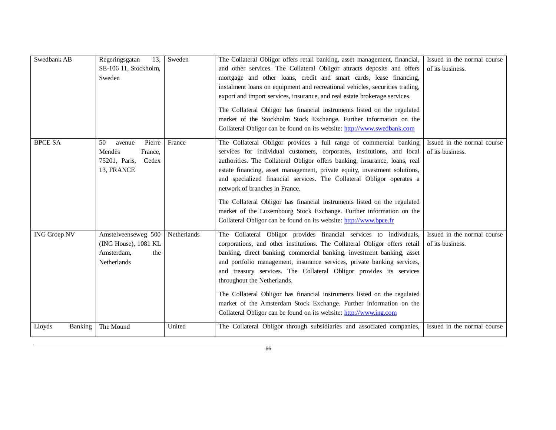| Swedbank AB         | 13,<br>Regeringsgatan<br>SE-106 11, Stockholm,<br>Sweden                            | Sweden      | The Collateral Obligor offers retail banking, asset management, financial,<br>and other services. The Collateral Obligor attracts deposits and offers<br>mortgage and other loans, credit and smart cards, lease financing,<br>instalment loans on equipment and recreational vehicles, securities trading,<br>export and import services, insurance, and real estate brokerage services.<br>The Collateral Obligor has financial instruments listed on the regulated<br>market of the Stockholm Stock Exchange. Further information on the<br>Collateral Obligor can be found on its website: http://www.swedbank.com                      | Issued in the normal course<br>of its business. |
|---------------------|-------------------------------------------------------------------------------------|-------------|---------------------------------------------------------------------------------------------------------------------------------------------------------------------------------------------------------------------------------------------------------------------------------------------------------------------------------------------------------------------------------------------------------------------------------------------------------------------------------------------------------------------------------------------------------------------------------------------------------------------------------------------|-------------------------------------------------|
| <b>BPCE SA</b>      | 50<br>Pierre<br>avenue<br>Mendès<br>France,<br>75201, Paris,<br>Cedex<br>13, FRANCE | France      | The Collateral Obligor provides a full range of commercial banking<br>services for individual customers, corporates, institutions, and local<br>authorities. The Collateral Obligor offers banking, insurance, loans, real<br>estate financing, asset management, private equity, investment solutions,<br>and specialized financial services. The Collateral Obligor operates a<br>network of branches in France.<br>The Collateral Obligor has financial instruments listed on the regulated<br>market of the Luxembourg Stock Exchange. Further information on the<br>Collateral Obligor can be found on its website: http://www.bpce.fr | Issued in the normal course<br>of its business. |
| <b>ING Groep NV</b> | Amstelveenseweg 500<br>(ING House), 1081 KL<br>Amsterdam,<br>the<br>Netherlands     | Netherlands | The Collateral Obligor provides financial services to individuals,<br>corporations, and other institutions. The Collateral Obligor offers retail<br>banking, direct banking, commercial banking, investment banking, asset<br>and portfolio management, insurance services, private banking services,<br>and treasury services. The Collateral Obligor provides its services<br>throughout the Netherlands.<br>The Collateral Obligor has financial instruments listed on the regulated<br>market of the Amsterdam Stock Exchange. Further information on the<br>Collateral Obligor can be found on its website: http://www.ing.com         | Issued in the normal course<br>of its business. |
| Banking<br>Lloyds   | The Mound                                                                           | United      | The Collateral Obligor through subsidiaries and associated companies,                                                                                                                                                                                                                                                                                                                                                                                                                                                                                                                                                                       | Issued in the normal course                     |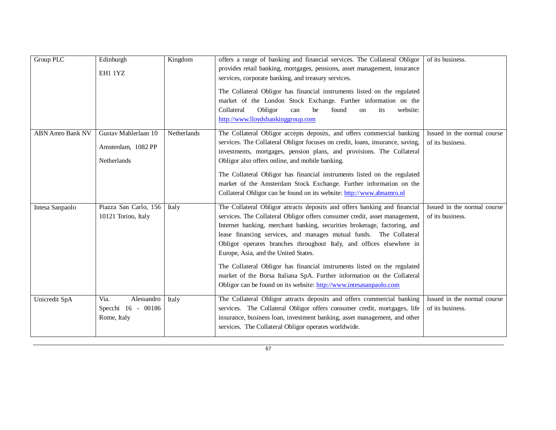| <b>Group PLC</b>        | Edinburgh<br>EH1 1YZ                                      | Kingdom     | offers a range of banking and financial services. The Collateral Obligor<br>provides retail banking, mortgages, pensions, asset management, insurance<br>services, corporate banking, and treasury services.<br>The Collateral Obligor has financial instruments listed on the regulated<br>market of the London Stock Exchange. Further information on the<br>Obligor<br>Collateral<br>can<br>be<br>found<br>its<br>website:<br>on<br>http://www.lloydsbankinggroup.com                                                                                                                                                                               | of its business.                                |
|-------------------------|-----------------------------------------------------------|-------------|--------------------------------------------------------------------------------------------------------------------------------------------------------------------------------------------------------------------------------------------------------------------------------------------------------------------------------------------------------------------------------------------------------------------------------------------------------------------------------------------------------------------------------------------------------------------------------------------------------------------------------------------------------|-------------------------------------------------|
| <b>ABN Amro Bank NV</b> | Gustav Mahlerlaan 10<br>Amsterdam, 1082 PP<br>Netherlands | Netherlands | The Collateral Obligor accepts deposits, and offers commercial banking<br>services. The Collateral Obligor focuses on credit, loans, insurance, saving,<br>investments, mortgages, pension plans, and provisions. The Collateral<br>Obligor also offers online, and mobile banking.<br>The Collateral Obligor has financial instruments listed on the regulated<br>market of the Amsterdam Stock Exchange. Further information on the<br>Collateral Obligor can be found on its website: http://www.abnamro.nl                                                                                                                                         | Issued in the normal course<br>of its business. |
| Intesa Sanpaolo         | Piazza San Carlo, 156<br>10121 Torino, Italy              | Italy       | The Collateral Obligor attracts deposits and offers banking and financial<br>services. The Collateral Obligor offers consumer credit, asset management,<br>Internet banking, merchant banking, securities brokerage, factoring, and<br>lease financing services, and manages mutual funds. The Collateral<br>Obligor operates branches throughout Italy, and offices elsewhere in<br>Europe, Asia, and the United States.<br>The Collateral Obligor has financial instruments listed on the regulated<br>market of the Borsa Italiana SpA. Further information on the Collateral<br>Obligor can be found on its website: http://www.intesasanpaolo.com | Issued in the normal course<br>of its business. |
| Unicredit SpA           | Via.<br>Alessandro<br>Specchi 16 - 00186<br>Rome, Italy   | Italy       | The Collateral Obligor attracts deposits and offers commercial banking<br>services. The Collateral Obligor offers consumer credit, mortgages, life<br>insurance, business loan, investment banking, asset management, and other<br>services. The Collateral Obligor operates worldwide.                                                                                                                                                                                                                                                                                                                                                                | Issued in the normal course<br>of its business. |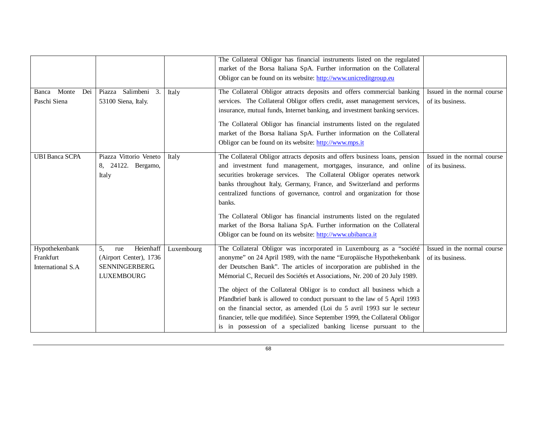|                                                  |                                                                                               |            | The Collateral Obligor has financial instruments listed on the regulated<br>market of the Borsa Italiana SpA. Further information on the Collateral<br>Obligor can be found on its website: http://www.unicreditgroup.eu                                                                                                                                                                                                                                                                                                                                                                                                                                                                     |                                                 |
|--------------------------------------------------|-----------------------------------------------------------------------------------------------|------------|----------------------------------------------------------------------------------------------------------------------------------------------------------------------------------------------------------------------------------------------------------------------------------------------------------------------------------------------------------------------------------------------------------------------------------------------------------------------------------------------------------------------------------------------------------------------------------------------------------------------------------------------------------------------------------------------|-------------------------------------------------|
| Monte<br>Dei<br>Banca<br>Paschi Siena            | Salimbeni 3.<br>Piazza<br>53100 Siena, Italy.                                                 | Italy      | The Collateral Obligor attracts deposits and offers commercial banking<br>services. The Collateral Obligor offers credit, asset management services,<br>insurance, mutual funds, Internet banking, and investment banking services.<br>The Collateral Obligor has financial instruments listed on the regulated<br>market of the Borsa Italiana SpA. Further information on the Collateral<br>Obligor can be found on its website: http://www.mps.it                                                                                                                                                                                                                                         | Issued in the normal course<br>of its business. |
| <b>UBI Banca SCPA</b>                            | Piazza Vittorio Veneto<br>8, 24122. Bergamo,<br>Italy                                         | Italy      | The Collateral Obligor attracts deposits and offers business loans, pension<br>and investment fund management, mortgages, insurance, and online<br>securities brokerage services. The Collateral Obligor operates network<br>banks throughout Italy, Germany, France, and Switzerland and performs<br>centralized functions of governance, control and organization for those<br>banks.<br>The Collateral Obligor has financial instruments listed on the regulated<br>market of the Borsa Italiana SpA. Further information on the Collateral<br>Obligor can be found on its website: http://www.ubibanca.it                                                                                | Issued in the normal course<br>of its business. |
| Hypothekenbank<br>Frankfurt<br>International S.A | 5,<br>Heienhaff<br>rue<br>(Airport Center), 1736<br><b>SENNINGERBERG</b><br><b>LUXEMBOURG</b> | Luxembourg | The Collateral Obligor was incorporated in Luxembourg as a "société<br>anonyme" on 24 April 1989, with the name "Europäische Hypothekenbank<br>der Deutschen Bank". The articles of incorporation are published in the<br>Mémorial C, Recueil des Sociétés et Associations, Nr. 200 of 20 July 1989.<br>The object of the Collateral Obligor is to conduct all business which a<br>Pfandbrief bank is allowed to conduct pursuant to the law of 5 April 1993<br>on the financial sector, as amended (Loi du 5 avril 1993 sur le secteur<br>financier, telle que modifiée). Since September 1999, the Collateral Obligor<br>is in possession of a specialized banking license pursuant to the | Issued in the normal course<br>of its business. |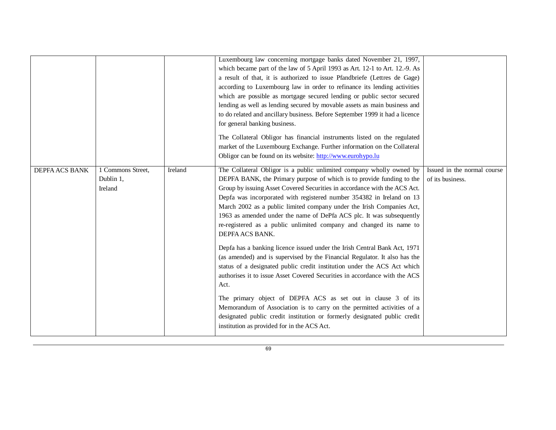|                       |                                           |         | Luxembourg law concerning mortgage banks dated November 21, 1997,<br>which became part of the law of 5 April 1993 as Art. 12-1 to Art. 12.-9. As<br>a result of that, it is authorized to issue Pfandbriefe (Lettres de Gage)<br>according to Luxembourg law in order to refinance its lending activities<br>which are possible as mortgage secured lending or public sector secured<br>lending as well as lending secured by movable assets as main business and<br>to do related and ancillary business. Before September 1999 it had a licence<br>for general banking business.<br>The Collateral Obligor has financial instruments listed on the regulated<br>market of the Luxembourg Exchange. Further information on the Collateral<br>Obligor can be found on its website: http://www.eurohypo.lu |                                                 |
|-----------------------|-------------------------------------------|---------|-----------------------------------------------------------------------------------------------------------------------------------------------------------------------------------------------------------------------------------------------------------------------------------------------------------------------------------------------------------------------------------------------------------------------------------------------------------------------------------------------------------------------------------------------------------------------------------------------------------------------------------------------------------------------------------------------------------------------------------------------------------------------------------------------------------|-------------------------------------------------|
| <b>DEPFA ACS BANK</b> | 1 Commons Street,<br>Dublin 1,<br>Ireland | Ireland | The Collateral Obligor is a public unlimited company wholly owned by<br>DEPFA BANK, the Primary purpose of which is to provide funding to the<br>Group by issuing Asset Covered Securities in accordance with the ACS Act.<br>Depfa was incorporated with registered number 354382 in Ireland on 13<br>March 2002 as a public limited company under the Irish Companies Act,<br>1963 as amended under the name of DePfa ACS plc. It was subsequently<br>re-registered as a public unlimited company and changed its name to<br>DEPFA ACS BANK.                                                                                                                                                                                                                                                            | Issued in the normal course<br>of its business. |
|                       |                                           |         | Depfa has a banking licence issued under the Irish Central Bank Act, 1971<br>(as amended) and is supervised by the Financial Regulator. It also has the<br>status of a designated public credit institution under the ACS Act which<br>authorises it to issue Asset Covered Securities in accordance with the ACS<br>Act.<br>The primary object of DEPFA ACS as set out in clause 3 of its<br>Memorandum of Association is to carry on the permitted activities of a                                                                                                                                                                                                                                                                                                                                      |                                                 |
|                       |                                           |         | designated public credit institution or formerly designated public credit<br>institution as provided for in the ACS Act.                                                                                                                                                                                                                                                                                                                                                                                                                                                                                                                                                                                                                                                                                  |                                                 |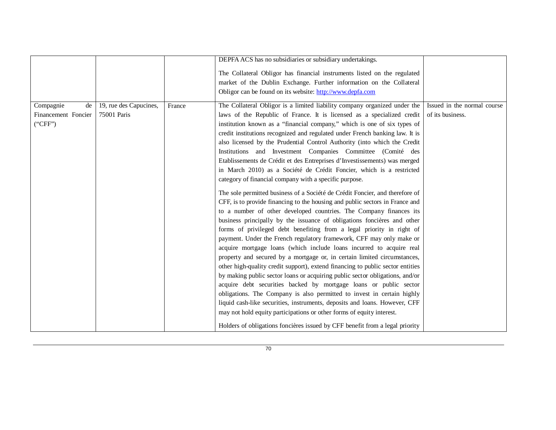|                                                   |                                       |        | DEPFA ACS has no subsidiaries or subsidiary undertakings.                                                                                                                                                                                                                                                                                                                                                                                                                                                                                                                                                                                                                                                                                                                                                                                                                                                                                                                                                                                                                                                                                                                                                                                                                                                                                                                                                                                                                                                                                                                                                                                                                                                                                                                                                                                               |                                                 |
|---------------------------------------------------|---------------------------------------|--------|---------------------------------------------------------------------------------------------------------------------------------------------------------------------------------------------------------------------------------------------------------------------------------------------------------------------------------------------------------------------------------------------------------------------------------------------------------------------------------------------------------------------------------------------------------------------------------------------------------------------------------------------------------------------------------------------------------------------------------------------------------------------------------------------------------------------------------------------------------------------------------------------------------------------------------------------------------------------------------------------------------------------------------------------------------------------------------------------------------------------------------------------------------------------------------------------------------------------------------------------------------------------------------------------------------------------------------------------------------------------------------------------------------------------------------------------------------------------------------------------------------------------------------------------------------------------------------------------------------------------------------------------------------------------------------------------------------------------------------------------------------------------------------------------------------------------------------------------------------|-------------------------------------------------|
|                                                   |                                       |        | The Collateral Obligor has financial instruments listed on the regulated<br>market of the Dublin Exchange. Further information on the Collateral<br>Obligor can be found on its website: http://www.depfa.com                                                                                                                                                                                                                                                                                                                                                                                                                                                                                                                                                                                                                                                                                                                                                                                                                                                                                                                                                                                                                                                                                                                                                                                                                                                                                                                                                                                                                                                                                                                                                                                                                                           |                                                 |
| Compagnie<br>de<br>Financement Foncier<br>("CFF") | 19, rue des Capucines,<br>75001 Paris | France | The Collateral Obligor is a limited liability company organized under the<br>laws of the Republic of France. It is licensed as a specialized credit<br>institution known as a "financial company," which is one of six types of<br>credit institutions recognized and regulated under French banking law. It is<br>also licensed by the Prudential Control Authority (into which the Credit<br>Institutions and Investment Companies Committee (Comité des<br>Etablissements de Crédit et des Entreprises d'Investissements) was merged<br>in March 2010) as a Société de Crédit Foncier, which is a restricted<br>category of financial company with a specific purpose.<br>The sole permitted business of a Société de Crédit Foncier, and therefore of<br>CFF, is to provide financing to the housing and public sectors in France and<br>to a number of other developed countries. The Company finances its<br>business principally by the issuance of obligations foncières and other<br>forms of privileged debt benefiting from a legal priority in right of<br>payment. Under the French regulatory framework, CFF may only make or<br>acquire mortgage loans (which include loans incurred to acquire real<br>property and secured by a mortgage or, in certain limited circumstances,<br>other high-quality credit support), extend financing to public sector entities<br>by making public sector loans or acquiring public sector obligations, and/or<br>acquire debt securities backed by mortgage loans or public sector<br>obligations. The Company is also permitted to invest in certain highly<br>liquid cash-like securities, instruments, deposits and loans. However, CFF<br>may not hold equity participations or other forms of equity interest.<br>Holders of obligations foncières issued by CFF benefit from a legal priority | Issued in the normal course<br>of its business. |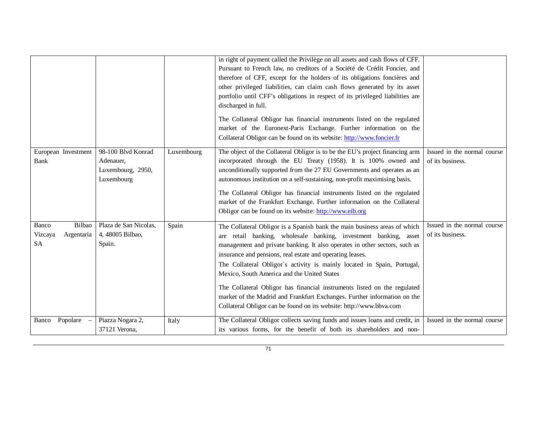|                                                       |                                                                    |            | in right of payment called the Privilège on all assets and cash flows of CFF.<br>Pursuant to French law, no creditors of a Société de Crédit Foncier, and<br>therefore of CFF, except for the holders of its obligations foncières and<br>other privileged liabilities, can claim cash flows generated by its asset<br>portfolio until CFF's obligations in respect of its privileged liabilities are<br>discharged in full.<br>The Collateral Obligor has financial instruments listed on the regulated<br>market of the Euronext-Paris Exchange. Further information on the<br>Collateral Obligor can be found on its website: http://www.foncier.fr |                                                 |
|-------------------------------------------------------|--------------------------------------------------------------------|------------|--------------------------------------------------------------------------------------------------------------------------------------------------------------------------------------------------------------------------------------------------------------------------------------------------------------------------------------------------------------------------------------------------------------------------------------------------------------------------------------------------------------------------------------------------------------------------------------------------------------------------------------------------------|-------------------------------------------------|
| European Investment<br>Bank                           | 98-100 Blvd Konrad<br>Adenauer,<br>Luxembourg, 2950,<br>Luxembourg | Luxembourg | The object of the Collateral Obligor is to be the EU's project financing arm<br>incorporated through the EU Treaty (1958). It is 100% owned and<br>unconditionally supported from the 27 EU Governments and operates as an<br>autonomous institution on a self-sustaining, non-profit maximising basis.<br>The Collateral Obligor has financial instruments listed on the regulated<br>market of the Frankfurt Exchange. Further information on the Collateral<br>Obligor can be found on its website: http://www.eib.org                                                                                                                              | Issued in the normal course<br>of its business. |
| Bilbao<br>Banco<br>Vizcaya<br>Argentaria<br><b>SA</b> | Plaza de San Nicolas,<br>4, 48005 Bilbao,<br>Spain.                | Spain      | The Collateral Obligor is a Spanish bank the main business areas of which<br>are retail banking, wholesale banking, investment banking, asset<br>management and private banking. It also operates in other sectors, such as<br>insurance and pensions, real estate and operating leases.<br>The Collateral Obligor's activity is mainly located in Spain, Portugal,<br>Mexico, South America and the United States<br>The Collateral Obligor has financial instruments listed on the regulated<br>market of the Madrid and Frankfurt Exchanges. Further information on the<br>Collateral Obligor can be found on its website: http://www.bbva.com      | Issued in the normal course<br>of its business. |
| Popolare<br>Banco                                     | Piazza Nogara 2,<br>37121 Verona,                                  | Italy      | The Collateral Obligor collects saving funds and issues loans and credit, in<br>its various forms, for the benefit of both its shareholders and non-                                                                                                                                                                                                                                                                                                                                                                                                                                                                                                   | Issued in the normal course                     |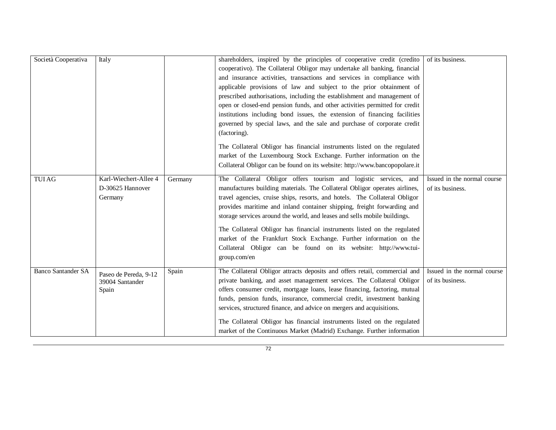| Società Cooperativa       | Italy                                                |         | shareholders, inspired by the principles of cooperative credit (credito<br>cooperativo). The Collateral Obligor may undertake all banking, financial<br>and insurance activities, transactions and services in compliance with<br>applicable provisions of law and subject to the prior obtainment of<br>prescribed authorisations, including the establishment and management of<br>open or closed-end pension funds, and other activities permitted for credit<br>institutions including bond issues, the extension of financing facilities<br>governed by special laws, and the sale and purchase of corporate credit<br>(factoring).<br>The Collateral Obligor has financial instruments listed on the regulated | of its business.                                |
|---------------------------|------------------------------------------------------|---------|----------------------------------------------------------------------------------------------------------------------------------------------------------------------------------------------------------------------------------------------------------------------------------------------------------------------------------------------------------------------------------------------------------------------------------------------------------------------------------------------------------------------------------------------------------------------------------------------------------------------------------------------------------------------------------------------------------------------|-------------------------------------------------|
|                           |                                                      |         | market of the Luxembourg Stock Exchange. Further information on the<br>Collateral Obligor can be found on its website: http://www.bancopopolare.it                                                                                                                                                                                                                                                                                                                                                                                                                                                                                                                                                                   |                                                 |
| <b>TUIAG</b>              | Karl-Wiechert-Allee 4<br>D-30625 Hannover<br>Germany | Germany | The Collateral Obligor offers tourism and logistic services, and<br>manufactures building materials. The Collateral Obligor operates airlines,<br>travel agencies, cruise ships, resorts, and hotels. The Collateral Obligor<br>provides maritime and inland container shipping, freight forwarding and<br>storage services around the world, and leases and sells mobile buildings.<br>The Collateral Obligor has financial instruments listed on the regulated<br>market of the Frankfurt Stock Exchange. Further information on the<br>Collateral Obligor can be found on its website: http://www.tui-<br>group.com/en                                                                                            | Issued in the normal course<br>of its business. |
| <b>Banco Santander SA</b> | Paseo de Pereda, 9-12<br>39004 Santander<br>Spain    | Spain   | The Collateral Obligor attracts deposits and offers retail, commercial and<br>private banking, and asset management services. The Collateral Obligor<br>offers consumer credit, mortgage loans, lease financing, factoring, mutual<br>funds, pension funds, insurance, commercial credit, investment banking<br>services, structured finance, and advice on mergers and acquisitions.<br>The Collateral Obligor has financial instruments listed on the regulated<br>market of the Continuous Market (Madrid) Exchange. Further information                                                                                                                                                                          | Issued in the normal course<br>of its business. |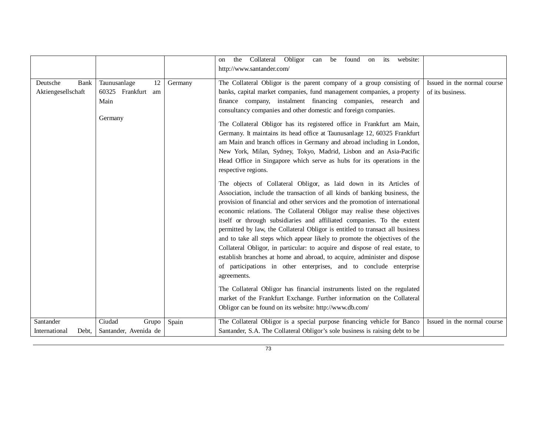|                                               |                                                             |         | Obligor can be found<br>the Collateral<br>website:<br>its<br>on<br>on<br>http://www.santander.com/                                                                                                                                                                                                                                                                                                                                                                                                                                                                                                                                                                                                                                                                                                     |                                                 |
|-----------------------------------------------|-------------------------------------------------------------|---------|--------------------------------------------------------------------------------------------------------------------------------------------------------------------------------------------------------------------------------------------------------------------------------------------------------------------------------------------------------------------------------------------------------------------------------------------------------------------------------------------------------------------------------------------------------------------------------------------------------------------------------------------------------------------------------------------------------------------------------------------------------------------------------------------------------|-------------------------------------------------|
| Deutsche<br><b>Bank</b><br>Aktiengesellschaft | Taunusanlage<br>12<br>60325 Frankfurt am<br>Main<br>Germany | Germany | The Collateral Obligor is the parent company of a group consisting of<br>banks, capital market companies, fund management companies, a property<br>finance company, instalment financing companies, research and<br>consultancy companies and other domestic and foreign companies.<br>The Collateral Obligor has its registered office in Frankfurt am Main,<br>Germany. It maintains its head office at Taunusanlage 12, 60325 Frankfurt<br>am Main and branch offices in Germany and abroad including in London,<br>New York, Milan, Sydney, Tokyo, Madrid, Lisbon and an Asia-Pacific<br>Head Office in Singapore which serve as hubs for its operations in the<br>respective regions.                                                                                                             | Issued in the normal course<br>of its business. |
|                                               |                                                             |         | The objects of Collateral Obligor, as laid down in its Articles of<br>Association, include the transaction of all kinds of banking business, the<br>provision of financial and other services and the promotion of international<br>economic relations. The Collateral Obligor may realise these objectives<br>itself or through subsidiaries and affiliated companies. To the extent<br>permitted by law, the Collateral Obligor is entitled to transact all business<br>and to take all steps which appear likely to promote the objectives of the<br>Collateral Obligor, in particular: to acquire and dispose of real estate, to<br>establish branches at home and abroad, to acquire, administer and dispose<br>of participations in other enterprises, and to conclude enterprise<br>agreements. |                                                 |
|                                               |                                                             |         | The Collateral Obligor has financial instruments listed on the regulated<br>market of the Frankfurt Exchange. Further information on the Collateral<br>Obligor can be found on its website: http://www.db.com/                                                                                                                                                                                                                                                                                                                                                                                                                                                                                                                                                                                         |                                                 |
| Santander<br>International<br>Debt.           | Ciudad<br>Grupo<br>Santander, Avenida de                    | Spain   | The Collateral Obligor is a special purpose financing vehicle for Banco<br>Santander, S.A. The Collateral Obligor's sole business is raising debt to be                                                                                                                                                                                                                                                                                                                                                                                                                                                                                                                                                                                                                                                | Issued in the normal course                     |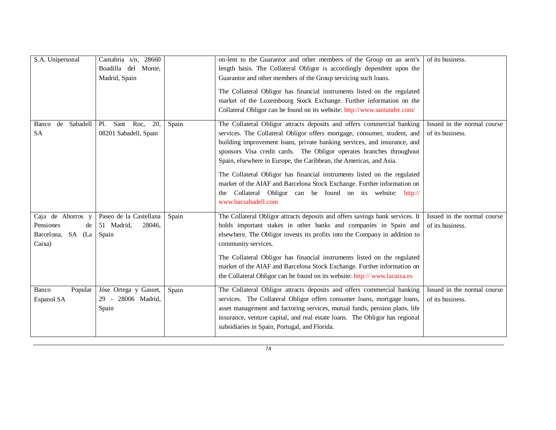| S.A. Unipersonal                                                    | Cantabria s/n, 28660<br>Boadilla del Monte,<br>Madrid, Spain |       | on-lent to the Guarantor and other members of the Group on an arm's<br>length basis. The Collateral Obligor is accordingly dependent upon the<br>Guarantor and other members of the Group servicing such loans.<br>The Collateral Obligor has financial instruments listed on the regulated<br>market of the Luxembourg Stock Exchange. Further information on the<br>Collateral Obligor can be found on its website: http://www.santander.com/                                                                                                                                                                           | of its business.                                |
|---------------------------------------------------------------------|--------------------------------------------------------------|-------|---------------------------------------------------------------------------------------------------------------------------------------------------------------------------------------------------------------------------------------------------------------------------------------------------------------------------------------------------------------------------------------------------------------------------------------------------------------------------------------------------------------------------------------------------------------------------------------------------------------------------|-------------------------------------------------|
| de<br>Sabadell<br>Banco<br><b>SA</b>                                | Sant Roc,<br>P1.<br>20,<br>08201 Sabadell, Spain             | Spain | The Collateral Obligor attracts deposits and offers commercial banking<br>services. The Collateral Obligor offers mortgage, consumer, student, and<br>building improvement loans, private banking services, and insurance, and<br>sponsors Visa credit cards. The Obligor operates branches throughout<br>Spain, elsewhere in Europe, the Caribbean, the Americas, and Asia.<br>The Collateral Obligor has financial instruments listed on the regulated<br>market of the AIAF and Barcelona Stock Exchange. Further information on<br>the Collateral Obligor can be found on its website: http://<br>www.bacsabadell.com | Issued in the normal course<br>of its business. |
| Caja de Ahorros y<br>Pensiones<br>de<br>Barcelona, SA (La<br>Caixa) | Paseo de la Castellana<br>51 Madrid,<br>28046,<br>Spain      | Spain | The Collateral Obligor attracts deposits and offers savings bank services. It<br>holds important stakes in other banks and companies in Spain and<br>elsewhere. The Obligor invests its profits into the Company in addition to<br>community services.<br>The Collateral Obligor has financial instruments listed on the regulated<br>market of the AIAF and Barcelona Stock Exchange. Further information on<br>the Collateral Obligor can be found on its website: http://www.lacaixa.es                                                                                                                                | Issued in the normal course<br>of its business. |
| Banco<br>Popular<br>Espanol SA                                      | Jóse Ortega y Gasset,<br>29 - 28006 Madrid,<br>Spain         | Spain | The Collateral Obligor attracts deposits and offers commercial banking<br>services. The Collateral Obligor offers consumer loans, mortgage loans,<br>asset management and factoring services, mutual funds, pension plans, life<br>insurance, venture capital, and real estate loans. The Obligor has regional<br>subsidiaries in Spain, Portugal, and Florida.                                                                                                                                                                                                                                                           | Issued in the normal course<br>of its business. |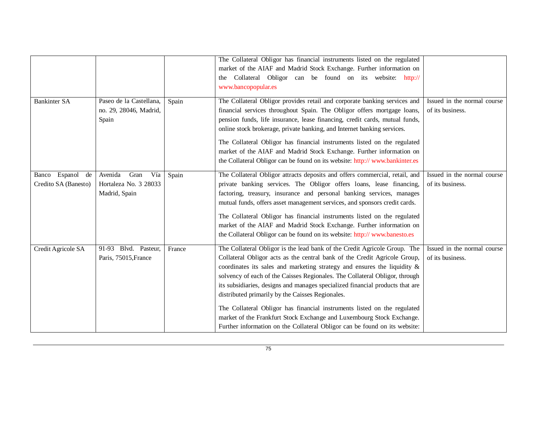|                                                |                                                                  |        | The Collateral Obligor has financial instruments listed on the regulated<br>market of the AIAF and Madrid Stock Exchange. Further information on<br>the Collateral Obligor can be found on its website: http://<br>www.bancopopular.es                                                                                                                                                                                                                                                                                                                                                                                                                                                       |                                                 |
|------------------------------------------------|------------------------------------------------------------------|--------|----------------------------------------------------------------------------------------------------------------------------------------------------------------------------------------------------------------------------------------------------------------------------------------------------------------------------------------------------------------------------------------------------------------------------------------------------------------------------------------------------------------------------------------------------------------------------------------------------------------------------------------------------------------------------------------------|-------------------------------------------------|
| <b>Bankinter SA</b>                            | Paseo de la Castellana,<br>no. 29, 28046, Madrid,<br>Spain       | Spain  | The Collateral Obligor provides retail and corporate banking services and<br>financial services throughout Spain. The Obligor offers mortgage loans,<br>pension funds, life insurance, lease financing, credit cards, mutual funds,<br>online stock brokerage, private banking, and Internet banking services.<br>The Collateral Obligor has financial instruments listed on the regulated<br>market of the AIAF and Madrid Stock Exchange. Further information on<br>the Collateral Obligor can be found on its website: http://www.bankinter.es                                                                                                                                            | Issued in the normal course<br>of its business. |
| Espanol<br>de<br>Banco<br>Credito SA (Banesto) | Avenida<br>Gran<br>Vía<br>Hortaleza No. 3 28033<br>Madrid, Spain | Spain  | The Collateral Obligor attracts deposits and offers commercial, retail, and<br>private banking services. The Obligor offers loans, lease financing,<br>factoring, treasury, insurance and personal banking services, manages<br>mutual funds, offers asset management services, and sponsors credit cards.<br>The Collateral Obligor has financial instruments listed on the regulated<br>market of the AIAF and Madrid Stock Exchange. Further information on<br>the Collateral Obligor can be found on its website: http://www.banesto.es                                                                                                                                                  | Issued in the normal course<br>of its business. |
| Credit Agricole SA                             | 91-93 Blvd. Pasteur,<br>Paris, 75015, France                     | France | The Collateral Obligor is the lead bank of the Credit Agricole Group. The<br>Collateral Obligor acts as the central bank of the Credit Agricole Group,<br>coordinates its sales and marketing strategy and ensures the liquidity $\&$<br>solvency of each of the Caisses Regionales. The Collateral Obligor, through<br>its subsidiaries, designs and manages specialized financial products that are<br>distributed primarily by the Caisses Regionales.<br>The Collateral Obligor has financial instruments listed on the regulated<br>market of the Frankfurt Stock Exchange and Luxembourg Stock Exchange.<br>Further information on the Collateral Obligor can be found on its website: | Issued in the normal course<br>of its business. |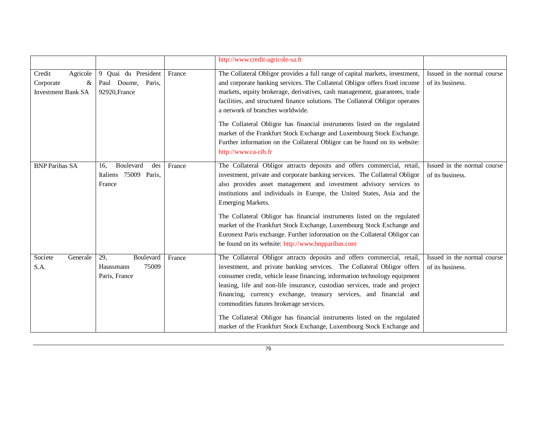|                                                                   |                                                                   |        | http://www.credit-agricole-sa.fr                                                                                                                                                                                                                                                                                                                                                                                                 |                                                 |
|-------------------------------------------------------------------|-------------------------------------------------------------------|--------|----------------------------------------------------------------------------------------------------------------------------------------------------------------------------------------------------------------------------------------------------------------------------------------------------------------------------------------------------------------------------------------------------------------------------------|-------------------------------------------------|
| Credit<br>Agricole<br>Corporate<br>&<br><b>Investment Bank SA</b> | 9 Quai du President<br>Paul Doume, Paris,<br>92920, France        | France | The Collateral Obligor provides a full range of capital markets, investment,<br>and corporate banking services. The Collateral Obligor offers fixed income<br>markets, equity brokerage, derivatives, cash management, guarantees, trade<br>facilities, and structured finance solutions. The Collateral Obligor operates<br>a network of branches worldwide.                                                                    | Issued in the normal course<br>of its business. |
|                                                                   |                                                                   |        | The Collateral Obligor has financial instruments listed on the regulated<br>market of the Frankfurt Stock Exchange and Luxembourg Stock Exchange.<br>Further information on the Collateral Obligor can be found on its website:<br>http://www.ca-cib.fr                                                                                                                                                                          |                                                 |
| <b>BNP Paribas SA</b>                                             | <b>Boulevard</b><br>des<br>16.<br>Italiens 75009 Paris,<br>France | France | The Collateral Obligor attracts deposits and offers commercial, retail,<br>investment, private and corporate banking services. The Collateral Obligor<br>also provides asset management and investment advisory services to<br>institutions and individuals in Europe, the United States, Asia and the<br><b>Emerging Markets.</b>                                                                                               | Issued in the normal course<br>of its business. |
|                                                                   |                                                                   |        | The Collateral Obligor has financial instruments listed on the regulated<br>market of the Frankfurt Stock Exchange, Luxembourg Stock Exchange and<br>Euronext Paris exchange. Further information on the Collateral Obligor can<br>be found on its website: http://www.bnpparibas.com                                                                                                                                            |                                                 |
| Societe<br>Generale<br>S.A.                                       | 29,<br>Boulevard<br>75009<br>Haussmann<br>Paris, France           | France | The Collateral Obligor attracts deposits and offers commercial, retail,<br>investment, and private banking services. The Collateral Obligor offers<br>consumer credit, vehicle lease financing, information technology equipment<br>leasing, life and non-life insurance, custodian services, trade and project<br>financing, currency exchange, treasury services, and financial and<br>commodities futures brokerage services. | Issued in the normal course<br>of its business. |
|                                                                   |                                                                   |        | The Collateral Obligor has financial instruments listed on the regulated<br>market of the Frankfurt Stock Exchange, Luxembourg Stock Exchange and                                                                                                                                                                                                                                                                                |                                                 |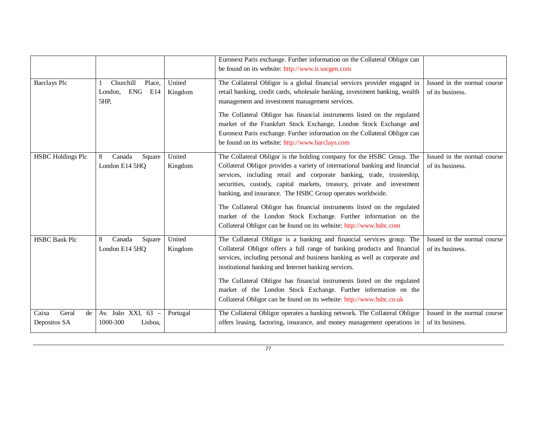|                                      |                                                      |                   | Euronext Paris exchange. Further information on the Collateral Obligor can<br>be found on its website: http://www.ir.socgen.com                                                                                                                                                                                                                                                                                                                                                                                                                                                              |                                                 |
|--------------------------------------|------------------------------------------------------|-------------------|----------------------------------------------------------------------------------------------------------------------------------------------------------------------------------------------------------------------------------------------------------------------------------------------------------------------------------------------------------------------------------------------------------------------------------------------------------------------------------------------------------------------------------------------------------------------------------------------|-------------------------------------------------|
| <b>Barclays Plc</b>                  | Churchill<br>Place,<br>ENG<br>E14<br>London.<br>5HP, | United<br>Kingdom | The Collateral Obligor is a global financial services provider engaged in<br>retail banking, credit cards, wholesale banking, investment banking, wealth<br>management and investment management services.                                                                                                                                                                                                                                                                                                                                                                                   | Issued in the normal course<br>of its business. |
|                                      |                                                      |                   | The Collateral Obligor has financial instruments listed on the regulated<br>market of the Frankfurt Stock Exchange, London Stock Exchange and<br>Euronext Paris exchange. Further information on the Collateral Obligor can<br>be found on its website: http://www.barclays.com                                                                                                                                                                                                                                                                                                              |                                                 |
| <b>HSBC Holdings Plc</b>             | 8<br>Canada<br>Square<br>London E14 5HQ              | United<br>Kingdom | The Collateral Obligor is the holding company for the HSBC Group. The<br>Collateral Obligor provides a variety of international banking and financial<br>services, including retail and corporate banking, trade, trusteeship,<br>securities, custody, capital markets, treasury, private and investment<br>banking, and insurance. The HSBC Group operates worldwide.<br>The Collateral Obligor has financial instruments listed on the regulated<br>market of the London Stock Exchange. Further information on the<br>Collateral Obligor can be found on its website: http://www.hsbc.com | Issued in the normal course<br>of its business. |
| <b>HSBC Bank Plc</b>                 | Canada<br>8<br>Square<br>London E14 5HQ              | United<br>Kingdom | The Collateral Obligor is a banking and financial services group. The<br>Collateral Obligor offers a full range of banking products and financial<br>services, including personal and business banking as well as corporate and<br>institutional banking and Internet banking services.                                                                                                                                                                                                                                                                                                      | Issued in the normal course<br>of its business. |
|                                      |                                                      |                   | The Collateral Obligor has financial instruments listed on the regulated<br>market of the London Stock Exchange. Further information on the<br>Collateral Obligor can be found on its website: http://www.hsbc.co.uk                                                                                                                                                                                                                                                                                                                                                                         |                                                 |
| Geral<br>Caixa<br>de<br>Depositos SA | Av. João XXI, 63 -<br>1000-300<br>Lisboa.            | Portugal          | The Collateral Obligor operates a banking network. The Collateral Obligor<br>offers leasing, factoring, insurance, and money management operations in                                                                                                                                                                                                                                                                                                                                                                                                                                        | Issued in the normal course<br>of its business. |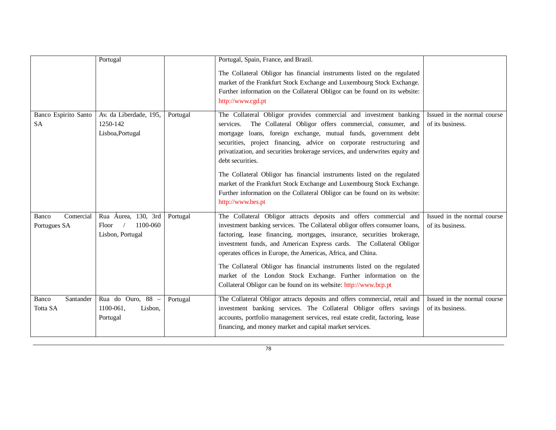|                                          | Portugal                                                     |          | Portugal, Spain, France, and Brazil.<br>The Collateral Obligor has financial instruments listed on the regulated<br>market of the Frankfurt Stock Exchange and Luxembourg Stock Exchange.<br>Further information on the Collateral Obligor can be found on its website:<br>http://www.cgd.pt                                                                                                                                                                                                                                                                                                                                                     |                                                 |
|------------------------------------------|--------------------------------------------------------------|----------|--------------------------------------------------------------------------------------------------------------------------------------------------------------------------------------------------------------------------------------------------------------------------------------------------------------------------------------------------------------------------------------------------------------------------------------------------------------------------------------------------------------------------------------------------------------------------------------------------------------------------------------------------|-------------------------------------------------|
| <b>Banco Espirito Santo</b><br><b>SA</b> | Av. da Liberdade, 195,<br>1250-142<br>Lisboa, Portugal       | Portugal | The Collateral Obligor provides commercial and investment banking<br>The Collateral Obligor offers commercial, consumer, and<br>services.<br>mortgage loans, foreign exchange, mutual funds, government debt<br>securities, project financing, advice on corporate restructuring and<br>privatization, and securities brokerage services, and underwrites equity and<br>debt securities.<br>The Collateral Obligor has financial instruments listed on the regulated<br>market of the Frankfurt Stock Exchange and Luxembourg Stock Exchange.<br>Further information on the Collateral Obligor can be found on its website:<br>http://www.bes.pt | Issued in the normal course<br>of its business. |
| Comercial<br>Banco<br>Portugues SA       | Rua Áurea, 130, 3rd<br>1100-060<br>Floor<br>Lisbon, Portugal | Portugal | The Collateral Obligor attracts deposits and offers commercial and<br>investment banking services. The Collateral obligor offers consumer loans,<br>factoring, lease financing, mortgages, insurance, securities brokerage,<br>investment funds, and American Express cards. The Collateral Obligor<br>operates offices in Europe, the Americas, Africa, and China.<br>The Collateral Obligor has financial instruments listed on the regulated<br>market of the London Stock Exchange. Further information on the<br>Collateral Obligor can be found on its website: http://www.bcp.pt                                                          | Issued in the normal course<br>of its business. |
| Santander<br>Banco<br>Totta SA           | Rua do Ouro, $88 -$<br>1100-061,<br>Lisbon,<br>Portugal      | Portugal | The Collateral Obligor attracts deposits and offers commercial, retail and<br>investment banking services. The Collateral Obligor offers savings<br>accounts, portfolio management services, real estate credit, factoring, lease<br>financing, and money market and capital market services.                                                                                                                                                                                                                                                                                                                                                    | Issued in the normal course<br>of its business. |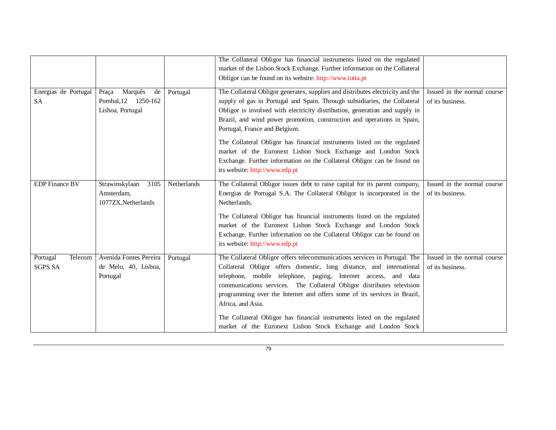|                                       |                                                                      |             | The Collateral Obligor has financial instruments listed on the regulated<br>market of the Lisbon Stock Exchange. Further information on the Collateral<br>Obligor can be found on its website: http://www.totta.pt                                                                                                                                                                              |                                                 |
|---------------------------------------|----------------------------------------------------------------------|-------------|-------------------------------------------------------------------------------------------------------------------------------------------------------------------------------------------------------------------------------------------------------------------------------------------------------------------------------------------------------------------------------------------------|-------------------------------------------------|
| Energias de Portugal<br>SA            | Marquês<br>Praça<br>de<br>Pombal, 12<br>1250-162<br>Lisboa, Portugal | Portugal    | The Collateral Obligor generates, supplies and distributes electricity and the<br>supply of gas in Portugal and Spain. Through subsidiaries, the Collateral<br>Obligor is involved with electricity distribution, generation and supply in<br>Brazil, and wind power promotion, construction and operations in Spain,<br>Portugal, France and Belgium.                                          | Issued in the normal course<br>of its business. |
|                                       |                                                                      |             | The Collateral Obligor has financial instruments listed on the regulated<br>market of the Euronext Lisbon Stock Exchange and London Stock<br>Exchange. Further information on the Collateral Obligor can be found on<br>its website: http://www.edp.pt                                                                                                                                          |                                                 |
| <b>EDP</b> Finance BV                 | Strawinskylaan<br>3105<br>Amsterdam,<br>1077ZX, Netherlands          | Netherlands | The Collateral Obligor issues debt to raise capital for its parent company,<br>Energias de Portugal S.A. The Collateral Obligor is incorporated in the<br>Netherlands.                                                                                                                                                                                                                          | Issued in the normal course<br>of its business. |
|                                       |                                                                      |             | The Collateral Obligor has financial instruments listed on the regulated<br>market of the Euronext Lisbon Stock Exchange and London Stock<br>Exchange. Further information on the Collateral Obligor can be found on<br>its website: http://www.edp.pt                                                                                                                                          |                                                 |
| Telecom<br>Portugal<br><b>SGPS SA</b> | Avenida Fontes Pereira<br>de Melo, 40, Lisboa,<br>Portugal           | Portugal    | The Collateral Obligor offers telecommunications services in Portugal. The<br>Collateral Obligor offers domestic, long distance, and international<br>telephone, mobile telephone, paging, Internet access, and data<br>communications services. The Collateral Obligor distributes television<br>programming over the Internet and offers some of its services in Brazil,<br>Africa, and Asia. | Issued in the normal course<br>of its business. |
|                                       |                                                                      |             | The Collateral Obligor has financial instruments listed on the regulated<br>market of the Euronext Lisbon Stock Exchange and London Stock                                                                                                                                                                                                                                                       |                                                 |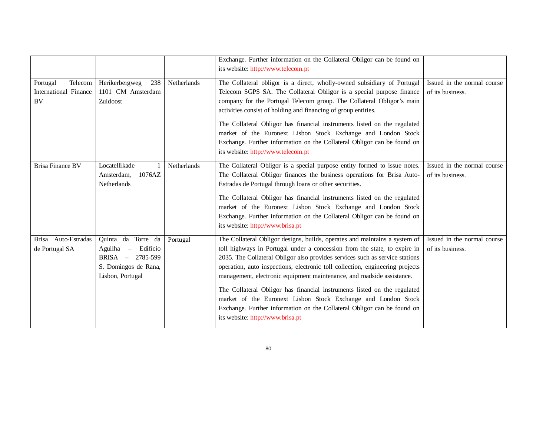|                                                           |                                                                                                                            |             | Exchange. Further information on the Collateral Obligor can be found on<br>its website: http://www.telecom.pt                                                                                                                                                                                                                                                                                                                                                                                                                                                                                                                                                  |                                                 |
|-----------------------------------------------------------|----------------------------------------------------------------------------------------------------------------------------|-------------|----------------------------------------------------------------------------------------------------------------------------------------------------------------------------------------------------------------------------------------------------------------------------------------------------------------------------------------------------------------------------------------------------------------------------------------------------------------------------------------------------------------------------------------------------------------------------------------------------------------------------------------------------------------|-------------------------------------------------|
| Telecom<br>Portugal<br>International Finance<br><b>BV</b> | Herikerbergweg<br>238<br>1101 CM Amsterdam<br>Zuidoost                                                                     | Netherlands | The Collateral obligor is a direct, wholly-owned subsidiary of Portugal<br>Telecom SGPS SA. The Collateral Obligor is a special purpose finance<br>company for the Portugal Telecom group. The Collateral Obligor's main<br>activities consist of holding and financing of group entities.                                                                                                                                                                                                                                                                                                                                                                     | Issued in the normal course<br>of its business. |
|                                                           |                                                                                                                            |             | The Collateral Obligor has financial instruments listed on the regulated<br>market of the Euronext Lisbon Stock Exchange and London Stock<br>Exchange. Further information on the Collateral Obligor can be found on<br>its website: http://www.telecom.pt                                                                                                                                                                                                                                                                                                                                                                                                     |                                                 |
| Brisa Finance BV                                          | Locatellikade<br>1076AZ<br>Amsterdam,<br><b>Netherlands</b>                                                                | Netherlands | The Collateral Obligor is a special purpose entity formed to issue notes.<br>The Collateral Obligor finances the business operations for Brisa Auto-<br>Estradas de Portugal through loans or other securities.<br>The Collateral Obligor has financial instruments listed on the regulated<br>market of the Euronext Lisbon Stock Exchange and London Stock<br>Exchange. Further information on the Collateral Obligor can be found on<br>its website: http://www.brisa.pt                                                                                                                                                                                    | Issued in the normal course<br>of its business. |
| Brisa Auto-Estradas<br>de Portugal SA                     | Quinta da Torre da<br>Edifício<br>Aguilha<br>$\equiv$<br>$BRISA -$<br>2785-599<br>S. Domingos de Rana,<br>Lisbon, Portugal | Portugal    | The Collateral Obligor designs, builds, operates and maintains a system of<br>toll highways in Portugal under a concession from the state, to expire in<br>2035. The Collateral Obligor also provides services such as service stations<br>operation, auto inspections, electronic toll collection, engineering projects<br>management, electronic equipment maintenance, and roadside assistance.<br>The Collateral Obligor has financial instruments listed on the regulated<br>market of the Euronext Lisbon Stock Exchange and London Stock<br>Exchange. Further information on the Collateral Obligor can be found on<br>its website: http://www.brisa.pt | Issued in the normal course<br>of its business. |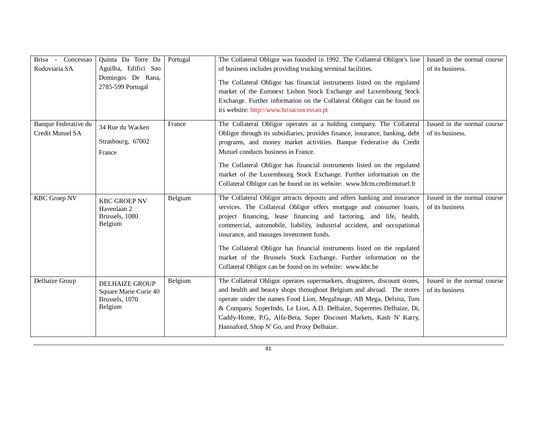| Brisa - Concessao<br>Rodoviaria SA       | Quinta Da Torre Da<br>Aguilha, Edifici Sao<br>Domingos De Rana,<br>2785-599 Portugal | Portugal | The Collateral Obligor was founded in 1992. The Collateral Obligor's line<br>of business includes providing trucking terminal facilities.<br>The Collateral Obligor has financial instruments listed on the regulated<br>market of the Euronext Lisbon Stock Exchange and Luxembourg Stock<br>Exchange. Further information on the Collateral Obligor can be found on<br>its website: http://www.brisaconcessao.pt                                                                                                                                              | Issued in the normal course<br>of its business. |
|------------------------------------------|--------------------------------------------------------------------------------------|----------|-----------------------------------------------------------------------------------------------------------------------------------------------------------------------------------------------------------------------------------------------------------------------------------------------------------------------------------------------------------------------------------------------------------------------------------------------------------------------------------------------------------------------------------------------------------------|-------------------------------------------------|
| Banque Federative du<br>Credit Mutuel SA | 34 Rue du Wacken<br>Strasbourg, 67002<br>France                                      | France   | The Collateral Obligor operates as a holding company. The Collateral<br>Obligor through its subsidiaries, provides finance, insurance, banking, debt<br>programs, and money market activities. Banque Federative du Credit<br>Mutuel conducts business in France.<br>The Collateral Obligor has financial instruments listed on the regulated<br>market of the Luxembourg Stock Exchange. Further information on the<br>Collateral Obligor can be found on its website: www.bfcm.creditmutuel.fr                                                                | Issued in the normal course<br>of its business. |
| <b>KBC</b> Groep NV                      | <b>KBC GROEP NV</b><br>Havenlaan 2<br>Brussels, 1080<br>Belgium                      | Belgium  | The Collateral Obligor attracts deposits and offers banking and insurance<br>services. The Collateral Obligor offers mortgage and consumer loans,<br>project financing, lease financing and factoring, and life, health,<br>commercial, automobile, liability, industrial accident, and occupational<br>insurance, and manages investment funds.<br>The Collateral Obligor has financial instruments listed on the regulated<br>market of the Brussels Stock Exchange. Further information on the<br>Collateral Obligor can be found on its website: www.kbc.be | Issued in the normal course<br>of its business  |
| Delhaize Group                           | <b>DELHAIZE GROUP</b><br>Square Marie Curie 40<br>Brussels, 1070<br>Belgium          | Belgium  | The Collateral Obligor operates supermarkets, drugstores, discount stores,<br>and health and beauty shops throughout Belgium and abroad. The stores<br>operate under the names Food Lion, MegaImage, AB Mega, Delvita, Tom<br>& Company, SuperIndo, Le Lion, A.D. Delhaize, Superettes Delhaize, Di,<br>Caddy-Home, P.G., Alfa-Beta, Super Discount Markets, Kash N' Karry,<br>Hannaford, Shop N' Go, and Proxy Delhaize.                                                                                                                                       | Issued in the normal course<br>of its business  |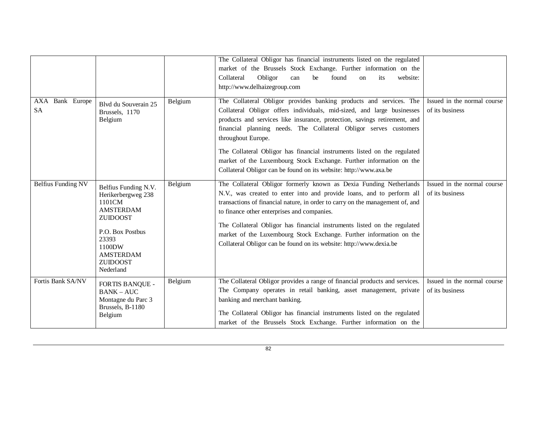|                              |                                                                                                                                                                                        |         | The Collateral Obligor has financial instruments listed on the regulated<br>market of the Brussels Stock Exchange. Further information on the<br>Obligor<br>Collateral<br>found<br>website:<br>be<br>its<br>can<br>on<br>http://www.delhaizegroup.com                                                                                                                                                                                                                                                                                        |                                                |
|------------------------------|----------------------------------------------------------------------------------------------------------------------------------------------------------------------------------------|---------|----------------------------------------------------------------------------------------------------------------------------------------------------------------------------------------------------------------------------------------------------------------------------------------------------------------------------------------------------------------------------------------------------------------------------------------------------------------------------------------------------------------------------------------------|------------------------------------------------|
| AXA Bank Europe<br><b>SA</b> | Blvd du Souverain 25<br>Brussels, 1170<br>Belgium                                                                                                                                      | Belgium | The Collateral Obligor provides banking products and services. The<br>Collateral Obligor offers individuals, mid-sized, and large businesses<br>products and services like insurance, protection, savings retirement, and<br>financial planning needs. The Collateral Obligor serves customers<br>throughout Europe.<br>The Collateral Obligor has financial instruments listed on the regulated<br>market of the Luxembourg Stock Exchange. Further information on the<br>Collateral Obligor can be found on its website: http://www.axa.be | Issued in the normal course<br>of its business |
| <b>Belfius Funding NV</b>    | Belfius Funding N.V.<br>Herikerbergweg 238<br>1101CM<br><b>AMSTERDAM</b><br><b>ZUIDOOST</b><br>P.O. Box Postbus<br>23393<br>1100DW<br><b>AMSTERDAM</b><br><b>ZUIDOOST</b><br>Nederland | Belgium | The Collateral Obligor formerly known as Dexia Funding Netherlands<br>N.V., was created to enter into and provide loans, and to perform all<br>transactions of financial nature, in order to carry on the management of, and<br>to finance other enterprises and companies.<br>The Collateral Obligor has financial instruments listed on the regulated<br>market of the Luxembourg Stock Exchange. Further information on the<br>Collateral Obligor can be found on its website: http://www.dexia.be                                        | Issued in the normal course<br>of its business |
| Fortis Bank SA/NV            | <b>FORTIS BANQUE -</b><br><b>BANK-AUC</b><br>Montagne du Parc 3<br>Brussels, B-1180<br>Belgium                                                                                         | Belgium | The Collateral Obligor provides a range of financial products and services.<br>The Company operates in retail banking, asset management, private<br>banking and merchant banking.<br>The Collateral Obligor has financial instruments listed on the regulated<br>market of the Brussels Stock Exchange. Further information on the                                                                                                                                                                                                           | Issued in the normal course<br>of its business |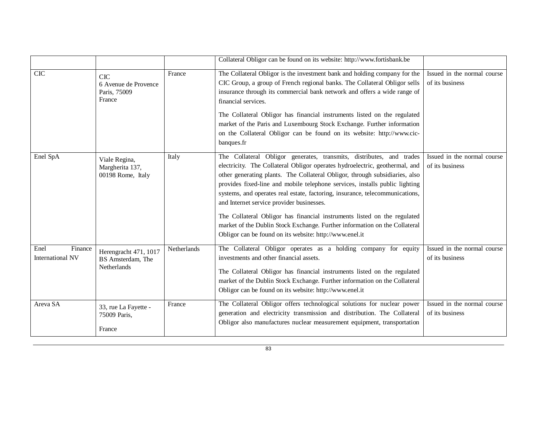|                                            |                                                              |             | Collateral Obligor can be found on its website: http://www.fortisbank.be                                                                                                                                                                                                                                                                                                                                                                                                                                                                                                                                                                                            |                                                |
|--------------------------------------------|--------------------------------------------------------------|-------------|---------------------------------------------------------------------------------------------------------------------------------------------------------------------------------------------------------------------------------------------------------------------------------------------------------------------------------------------------------------------------------------------------------------------------------------------------------------------------------------------------------------------------------------------------------------------------------------------------------------------------------------------------------------------|------------------------------------------------|
| <b>CIC</b>                                 | <b>CIC</b><br>6 Avenue de Provence<br>Paris, 75009<br>France | France      | The Collateral Obligor is the investment bank and holding company for the<br>CIC Group, a group of French regional banks. The Collateral Obligor sells<br>insurance through its commercial bank network and offers a wide range of<br>financial services.<br>The Collateral Obligor has financial instruments listed on the regulated<br>market of the Paris and Luxembourg Stock Exchange. Further information<br>on the Collateral Obligor can be found on its website: http://www.cic-<br>banques.fr                                                                                                                                                             | Issued in the normal course<br>of its business |
| Enel SpA                                   | Viale Regina,<br>Margherita 137,<br>00198 Rome, Italy        | Italy       | The Collateral Obligor generates, transmits, distributes, and trades<br>electricity. The Collateral Obligor operates hydroelectric, geothermal, and<br>other generating plants. The Collateral Obligor, through subsidiaries, also<br>provides fixed-line and mobile telephone services, installs public lighting<br>systems, and operates real estate, factoring, insurance, telecommunications,<br>and Internet service provider businesses.<br>The Collateral Obligor has financial instruments listed on the regulated<br>market of the Dublin Stock Exchange. Further information on the Collateral<br>Obligor can be found on its website: http://www.enel.it | Issued in the normal course<br>of its business |
| Finance<br>Enel<br><b>International NV</b> | Herengracht 471, 1017<br>BS Amsterdam, The<br>Netherlands    | Netherlands | The Collateral Obligor operates as a holding company for equity<br>investments and other financial assets.<br>The Collateral Obligor has financial instruments listed on the regulated<br>market of the Dublin Stock Exchange. Further information on the Collateral<br>Obligor can be found on its website: http://www.enel.it                                                                                                                                                                                                                                                                                                                                     | Issued in the normal course<br>of its business |
| Areva SA                                   | 33, rue La Fayette -<br>75009 Paris,<br>France               | France      | The Collateral Obligor offers technological solutions for nuclear power<br>generation and electricity transmission and distribution. The Collateral<br>Obligor also manufactures nuclear measurement equipment, transportation                                                                                                                                                                                                                                                                                                                                                                                                                                      | Issued in the normal course<br>of its business |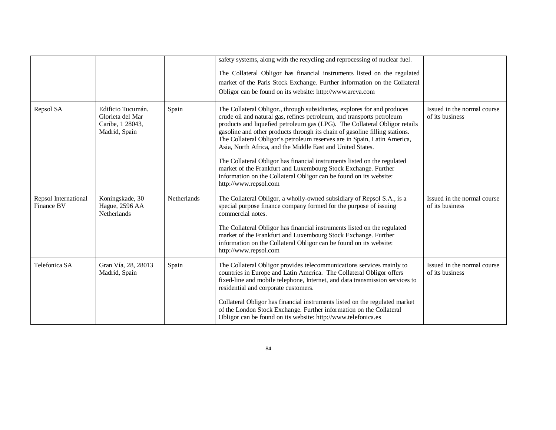|                                    |                                                                            |             | safety systems, along with the recycling and reprocessing of nuclear fuel.<br>The Collateral Obligor has financial instruments listed on the regulated<br>market of the Paris Stock Exchange. Further information on the Collateral<br>Obligor can be found on its website: http://www.areva.com                                                                                                                                                                                                                                                                                                                                                                                                       |                                                |
|------------------------------------|----------------------------------------------------------------------------|-------------|--------------------------------------------------------------------------------------------------------------------------------------------------------------------------------------------------------------------------------------------------------------------------------------------------------------------------------------------------------------------------------------------------------------------------------------------------------------------------------------------------------------------------------------------------------------------------------------------------------------------------------------------------------------------------------------------------------|------------------------------------------------|
| Repsol SA                          | Edificio Tucumán.<br>Glorieta del Mar<br>Caribe, 1 28043,<br>Madrid, Spain | Spain       | The Collateral Obligor., through subsidiaries, explores for and produces<br>crude oil and natural gas, refines petroleum, and transports petroleum<br>products and liquefied petroleum gas (LPG). The Collateral Obligor retails<br>gasoline and other products through its chain of gasoline filling stations.<br>The Collateral Obligor's petroleum reserves are in Spain, Latin America,<br>Asia, North Africa, and the Middle East and United States.<br>The Collateral Obligor has financial instruments listed on the regulated<br>market of the Frankfurt and Luxembourg Stock Exchange. Further<br>information on the Collateral Obligor can be found on its website:<br>http://www.repsol.com | Issued in the normal course<br>of its business |
| Repsol International<br>Finance BV | Koningskade, 30<br>Hague, 2596 AA<br><b>Netherlands</b>                    | Netherlands | The Collateral Obligor, a wholly-owned subsidiary of Repsol S.A., is a<br>special purpose finance company formed for the purpose of issuing<br>commercial notes.<br>The Collateral Obligor has financial instruments listed on the regulated<br>market of the Frankfurt and Luxembourg Stock Exchange. Further<br>information on the Collateral Obligor can be found on its website:<br>http://www.repsol.com                                                                                                                                                                                                                                                                                          | Issued in the normal course<br>of its business |
| Telefonica SA                      | Gran Vía, 28, 28013<br>Madrid, Spain                                       | Spain       | The Collateral Obligor provides telecommunications services mainly to<br>countries in Europe and Latin America. The Collateral Obligor offers<br>fixed-line and mobile telephone, Internet, and data transmission services to<br>residential and corporate customers.<br>Collateral Obligor has financial instruments listed on the regulated market<br>of the London Stock Exchange. Further information on the Collateral<br>Obligor can be found on its website: http://www.telefonica.es                                                                                                                                                                                                           | Issued in the normal course<br>of its business |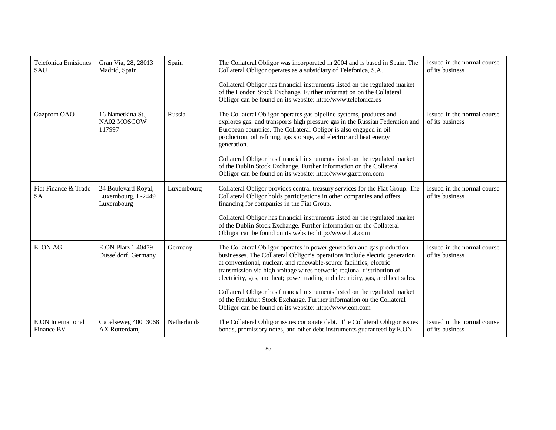| <b>Telefonica Emisiones</b><br><b>SAU</b> | Gran Vía, 28, 28013<br>Madrid, Spain                    | Spain       | The Collateral Obligor was incorporated in 2004 and is based in Spain. The<br>Collateral Obligor operates as a subsidiary of Telefonica, S.A.<br>Collateral Obligor has financial instruments listed on the regulated market<br>of the London Stock Exchange. Further information on the Collateral<br>Obligor can be found on its website: http://www.telefonica.es                                                                                                                                                                                                                                         | Issued in the normal course<br>of its business |
|-------------------------------------------|---------------------------------------------------------|-------------|--------------------------------------------------------------------------------------------------------------------------------------------------------------------------------------------------------------------------------------------------------------------------------------------------------------------------------------------------------------------------------------------------------------------------------------------------------------------------------------------------------------------------------------------------------------------------------------------------------------|------------------------------------------------|
| Gazprom OAO                               | 16 Nametkina St.,<br>NA02 MOSCOW<br>117997              | Russia      | The Collateral Obligor operates gas pipeline systems, produces and<br>explores gas, and transports high pressure gas in the Russian Federation and<br>European countries. The Collateral Obligor is also engaged in oil<br>production, oil refining, gas storage, and electric and heat energy<br>generation.<br>Collateral Obligor has financial instruments listed on the regulated market<br>of the Dublin Stock Exchange. Further information on the Collateral<br>Obligor can be found on its website: http://www.gazprom.com                                                                           | Issued in the normal course<br>of its business |
| Fiat Finance & Trade<br><b>SA</b>         | 24 Boulevard Royal,<br>Luxembourg, L-2449<br>Luxembourg | Luxembourg  | Collateral Obligor provides central treasury services for the Fiat Group. The<br>Collateral Obligor holds participations in other companies and offers<br>financing for companies in the Fiat Group.<br>Collateral Obligor has financial instruments listed on the regulated market<br>of the Dublin Stock Exchange. Further information on the Collateral<br>Obligor can be found on its website: http://www.fiat.com                                                                                                                                                                                       | Issued in the normal course<br>of its business |
| E. ON AG                                  | E.ON-Platz 1 40479<br>Düsseldorf, Germany               | Germany     | The Collateral Obligor operates in power generation and gas production<br>businesses. The Collateral Obligor's operations include electric generation<br>at conventional, nuclear, and renewable-source facilities; electric<br>transmission via high-voltage wires network; regional distribution of<br>electricity, gas, and heat; power trading and electricity, gas, and heat sales.<br>Collateral Obligor has financial instruments listed on the regulated market<br>of the Frankfurt Stock Exchange. Further information on the Collateral<br>Obligor can be found on its website: http://www.eon.com | Issued in the normal course<br>of its business |
| <b>E.ON</b> International<br>Finance BV   | Capelseweg 400 3068<br>AX Rotterdam,                    | Netherlands | The Collateral Obligor issues corporate debt. The Collateral Obligor issues<br>bonds, promissory notes, and other debt instruments guaranteed by E.ON                                                                                                                                                                                                                                                                                                                                                                                                                                                        | Issued in the normal course<br>of its business |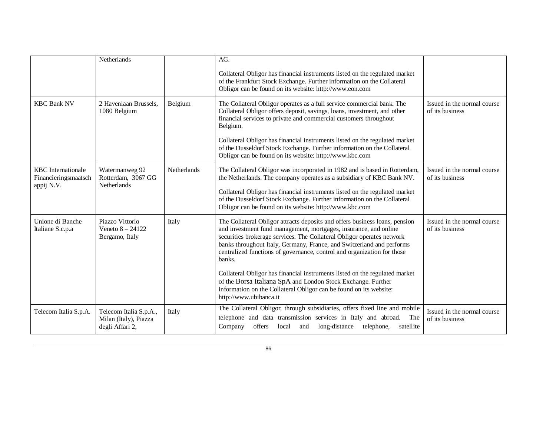|                                                   | Netherlands                                                        |                    | AG.                                                                                                                                                                                                                                                                                                                                                                                     |                                                |
|---------------------------------------------------|--------------------------------------------------------------------|--------------------|-----------------------------------------------------------------------------------------------------------------------------------------------------------------------------------------------------------------------------------------------------------------------------------------------------------------------------------------------------------------------------------------|------------------------------------------------|
|                                                   |                                                                    |                    | Collateral Obligor has financial instruments listed on the regulated market<br>of the Frankfurt Stock Exchange. Further information on the Collateral<br>Obligor can be found on its website: http://www.eon.com                                                                                                                                                                        |                                                |
| <b>KBC Bank NV</b>                                | 2 Havenlaan Brussels.<br>1080 Belgium                              | Belgium            | The Collateral Obligor operates as a full service commercial bank. The<br>Collateral Obligor offers deposit, savings, loans, investment, and other<br>financial services to private and commercial customers throughout<br>Belgium.                                                                                                                                                     | Issued in the normal course<br>of its business |
|                                                   |                                                                    |                    | Collateral Obligor has financial instruments listed on the regulated market<br>of the Dusseldorf Stock Exchange. Further information on the Collateral<br>Obligor can be found on its website: http://www.kbc.com                                                                                                                                                                       |                                                |
| <b>KBC</b> Internationale<br>Financieringsmaatsch | Watermanweg 92<br>Rotterdam, 3067 GG                               | <b>Netherlands</b> | The Collateral Obligor was incorporated in 1982 and is based in Rotterdam,<br>the Netherlands. The company operates as a subsidiary of KBC Bank NV.                                                                                                                                                                                                                                     | Issued in the normal course<br>of its business |
| appij N.V.                                        | Netherlands                                                        |                    | Collateral Obligor has financial instruments listed on the regulated market<br>of the Dusseldorf Stock Exchange. Further information on the Collateral<br>Obligor can be found on its website: http://www.kbc.com                                                                                                                                                                       |                                                |
| Unione di Banche<br>Italiane S.c.p.a              | Piazzo Vittorio<br>Veneto $8 - 24122$<br>Bergamo, Italy            | Italy              | The Collateral Obligor attracts deposits and offers business loans, pension<br>and investment fund management, mortgages, insurance, and online<br>securities brokerage services. The Collateral Obligor operates network<br>banks throughout Italy, Germany, France, and Switzerland and performs<br>centralized functions of governance, control and organization for those<br>banks. | Issued in the normal course<br>of its business |
|                                                   |                                                                    |                    | Collateral Obligor has financial instruments listed on the regulated market<br>of the Borsa Italiana SpA and London Stock Exchange. Further<br>information on the Collateral Obligor can be found on its website:<br>http://www.ubibanca.it                                                                                                                                             |                                                |
| Telecom Italia S.p.A.                             | Telecom Italia S.p.A.,<br>Milan (Italy), Piazza<br>degli Affari 2, | Italy              | The Collateral Obligor, through subsidiaries, offers fixed line and mobile<br>telephone and data transmission services in Italy and abroad.<br>The<br>Company<br>offers local and<br>long-distance<br>telephone,<br>satellite                                                                                                                                                           | Issued in the normal course<br>of its business |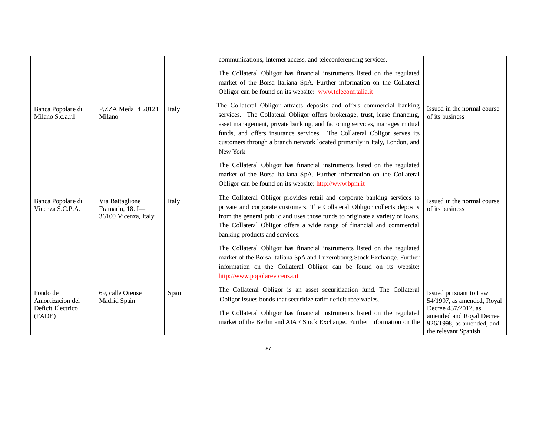|                                                             |                                                             |       | communications, Internet access, and teleconferencing services.                                                                                                                                                                                                                                                                                                                                         |                                                                                                                                                                 |
|-------------------------------------------------------------|-------------------------------------------------------------|-------|---------------------------------------------------------------------------------------------------------------------------------------------------------------------------------------------------------------------------------------------------------------------------------------------------------------------------------------------------------------------------------------------------------|-----------------------------------------------------------------------------------------------------------------------------------------------------------------|
|                                                             |                                                             |       | The Collateral Obligor has financial instruments listed on the regulated<br>market of the Borsa Italiana SpA. Further information on the Collateral<br>Obligor can be found on its website: www.telecomitalia.it                                                                                                                                                                                        |                                                                                                                                                                 |
| Banca Popolare di<br>Milano S.c.a.r.l                       | $P.ZZA$ Meda $420121$<br>Milano                             | Italy | The Collateral Obligor attracts deposits and offers commercial banking<br>services. The Collateral Obligor offers brokerage, trust, lease financing,<br>asset management, private banking, and factoring services, manages mutual<br>funds, and offers insurance services. The Collateral Obligor serves its<br>customers through a branch network located primarily in Italy, London, and<br>New York. | Issued in the normal course<br>of its business                                                                                                                  |
|                                                             |                                                             |       | The Collateral Obligor has financial instruments listed on the regulated<br>market of the Borsa Italiana SpA. Further information on the Collateral<br>Obligor can be found on its website: http://www.bpm.it                                                                                                                                                                                           |                                                                                                                                                                 |
| Banca Popolare di<br>Vicenza S.C.P.A.                       | Via Battaglione<br>Framarin, 18. I-<br>36100 Vicenza, Italy | Italy | The Collateral Obligor provides retail and corporate banking services to<br>private and corporate customers. The Collateral Obligor collects deposits<br>from the general public and uses those funds to originate a variety of loans.<br>The Collateral Obligor offers a wide range of financial and commercial<br>banking products and services.                                                      | Issued in the normal course<br>of its business                                                                                                                  |
|                                                             |                                                             |       | The Collateral Obligor has financial instruments listed on the regulated<br>market of the Borsa Italiana SpA and Luxembourg Stock Exchange. Further<br>information on the Collateral Obligor can be found on its website:<br>http://www.popolarevicenza.it                                                                                                                                              |                                                                                                                                                                 |
| Fondo de<br>Amortizacion del<br>Deficit Electrico<br>(FADE) | 69, calle Orense<br>Madrid Spain                            | Spain | The Collateral Obligor is an asset securitization fund. The Collateral<br>Obligor issues bonds that securitize tariff deficit receivables.<br>The Collateral Obligor has financial instruments listed on the regulated<br>market of the Berlin and AIAF Stock Exchange. Further information on the                                                                                                      | Issued pursuant to Law<br>54/1997, as amended, Royal<br>Decree 437/2012, as<br>amended and Royal Decree<br>$926/1998$ , as amended, and<br>the relevant Spanish |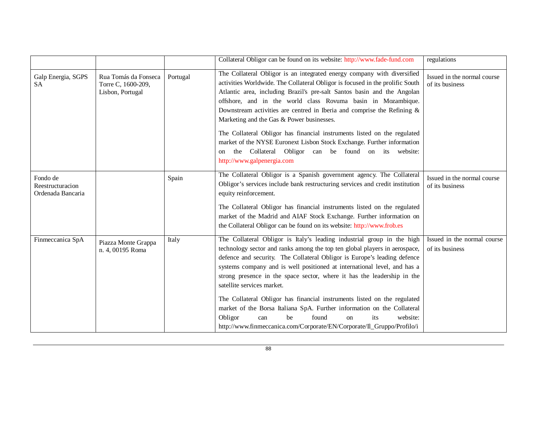|                                                   |                                                                |          | Collateral Obligor can be found on its website: http://www.fade-fund.com                                                                                                                                                                                                                                                                                                                                                                                                                                                                                                                                                                                                                                                    | regulations                                    |
|---------------------------------------------------|----------------------------------------------------------------|----------|-----------------------------------------------------------------------------------------------------------------------------------------------------------------------------------------------------------------------------------------------------------------------------------------------------------------------------------------------------------------------------------------------------------------------------------------------------------------------------------------------------------------------------------------------------------------------------------------------------------------------------------------------------------------------------------------------------------------------------|------------------------------------------------|
| Galp Energia, SGPS<br><b>SA</b>                   | Rua Tomás da Fonseca<br>Torre C, 1600-209,<br>Lisbon, Portugal | Portugal | The Collateral Obligor is an integrated energy company with diversified<br>activities Worldwide. The Collateral Obligor is focused in the prolific South<br>Atlantic area, including Brazil's pre-salt Santos basin and the Angolan<br>offshore, and in the world class Rovuma basin in Mozambique.<br>Downstream activities are centred in Iberia and comprise the Refining $\&$<br>Marketing and the Gas & Power businesses.<br>The Collateral Obligor has financial instruments listed on the regulated<br>market of the NYSE Euronext Lisbon Stock Exchange. Further information<br>the Collateral Obligor can be found on its website:<br><sub>on</sub><br>http://www.galpenergia.com                                  | Issued in the normal course<br>of its business |
| Fondo de<br>Reestructuracion<br>Ordenada Bancaria |                                                                | Spain    | The Collateral Obligor is a Spanish government agency. The Collateral<br>Obligor's services include bank restructuring services and credit institution<br>equity reinforcement.<br>The Collateral Obligor has financial instruments listed on the regulated<br>market of the Madrid and AIAF Stock Exchange. Further information on<br>the Collateral Obligor can be found on its website: http://www.frob.es                                                                                                                                                                                                                                                                                                               | Issued in the normal course<br>of its business |
| Finmeccanica SpA                                  | Piazza Monte Grappa<br>n. 4, 00195 Roma                        | Italy    | The Collateral Obligor is Italy's leading industrial group in the high<br>technology sector and ranks among the top ten global players in aerospace,<br>defence and security. The Collateral Obligor is Europe's leading defence<br>systems company and is well positioned at international level, and has a<br>strong presence in the space sector, where it has the leadership in the<br>satellite services market.<br>The Collateral Obligor has financial instruments listed on the regulated<br>market of the Borsa Italiana SpA. Further information on the Collateral<br>website:<br>Obligor<br>be<br>found<br>its<br>can<br><sub>on</sub><br>http://www.finmeccanica.com/Corporate/EN/Corporate/Il_Gruppo/Profilo/i | Issued in the normal course<br>of its business |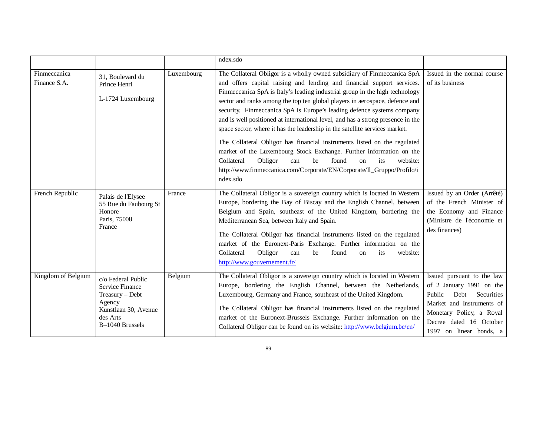|                              |                                                                                                                                  |            | ndex.sdo                                                                                                                                                                                                                                                                                                                                                                                                                                                                                                                                                                                                                                                                                                                                                                                                                                                                                |                                                                                                                                                                                                    |
|------------------------------|----------------------------------------------------------------------------------------------------------------------------------|------------|-----------------------------------------------------------------------------------------------------------------------------------------------------------------------------------------------------------------------------------------------------------------------------------------------------------------------------------------------------------------------------------------------------------------------------------------------------------------------------------------------------------------------------------------------------------------------------------------------------------------------------------------------------------------------------------------------------------------------------------------------------------------------------------------------------------------------------------------------------------------------------------------|----------------------------------------------------------------------------------------------------------------------------------------------------------------------------------------------------|
| Finmeccanica<br>Finance S.A. | 31, Boulevard du<br>Prince Henri<br>L-1724 Luxembourg                                                                            | Luxembourg | The Collateral Obligor is a wholly owned subsidiary of Finmeccanica SpA<br>and offers capital raising and lending and financial support services.<br>Finmeccanica SpA is Italy's leading industrial group in the high technology<br>sector and ranks among the top ten global players in aerospace, defence and<br>security. Finmeccanica SpA is Europe's leading defence systems company<br>and is well positioned at international level, and has a strong presence in the<br>space sector, where it has the leadership in the satellite services market.<br>The Collateral Obligor has financial instruments listed on the regulated<br>market of the Luxembourg Stock Exchange. Further information on the<br>Collateral<br>Obligor<br>found<br>website:<br>can<br>he<br>its<br><sub>on</sub><br>http://www.finmeccanica.com/Corporate/EN/Corporate/II_Gruppo/Profilo/i<br>ndex.sdo | Issued in the normal course<br>of its business                                                                                                                                                     |
| French Republic              | Palais de l'Elysee<br>55 Rue du Faubourg St<br>Honore<br>Paris, 75008<br>France                                                  | France     | The Collateral Obligor is a sovereign country which is located in Western<br>Europe, bordering the Bay of Biscay and the English Channel, between<br>Belgium and Spain, southeast of the United Kingdom, bordering the<br>Mediterranean Sea, between Italy and Spain.<br>The Collateral Obligor has financial instruments listed on the regulated<br>market of the Euronext-Paris Exchange. Further information on the<br>Collateral<br>Obligor<br>website:<br>be<br>found<br>can<br>its<br>on<br>http://www.gouvernement.fr/                                                                                                                                                                                                                                                                                                                                                           | Issued by an Order (Arrêté)<br>of the French Minister of<br>the Economy and Finance<br>(Ministre de l'économie et<br>des finances)                                                                 |
| Kingdom of Belgium           | c/o Federal Public<br><b>Service Finance</b><br>Treasury - Debt<br>Agency<br>Kunstlaan 30, Avenue<br>des Arts<br>B-1040 Brussels | Belgium    | The Collateral Obligor is a sovereign country which is located in Western<br>Europe, bordering the English Channel, between the Netherlands,<br>Luxembourg, Germany and France, southeast of the United Kingdom.<br>The Collateral Obligor has financial instruments listed on the regulated<br>market of the Euronext-Brussels Exchange. Further information on the<br>Collateral Obligor can be found on its website: http://www.belgium.be/en/                                                                                                                                                                                                                                                                                                                                                                                                                                       | Issued pursuant to the law<br>of 2 January 1991 on the<br>Public<br>Debt Securities<br>Market and Instruments of<br>Monetary Policy, a Royal<br>Decree dated 16 October<br>1997 on linear bonds, a |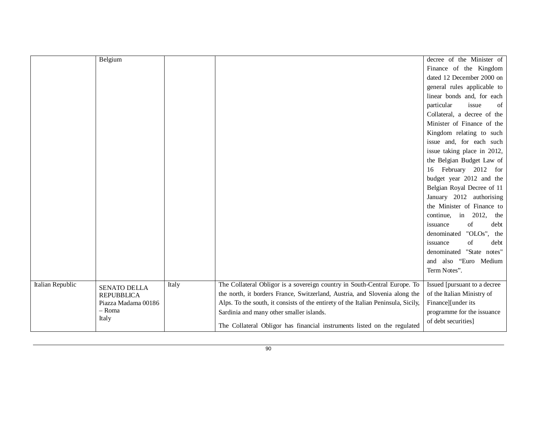|                  | Belgium             |       |                                                                                   | decree of the Minister of     |
|------------------|---------------------|-------|-----------------------------------------------------------------------------------|-------------------------------|
|                  |                     |       |                                                                                   | Finance of the Kingdom        |
|                  |                     |       |                                                                                   | dated 12 December 2000 on     |
|                  |                     |       |                                                                                   | general rules applicable to   |
|                  |                     |       |                                                                                   | linear bonds and, for each    |
|                  |                     |       |                                                                                   | particular<br>issue<br>of     |
|                  |                     |       |                                                                                   | Collateral, a decree of the   |
|                  |                     |       |                                                                                   | Minister of Finance of the    |
|                  |                     |       |                                                                                   | Kingdom relating to such      |
|                  |                     |       |                                                                                   | issue and, for each such      |
|                  |                     |       |                                                                                   | issue taking place in 2012,   |
|                  |                     |       |                                                                                   | the Belgian Budget Law of     |
|                  |                     |       |                                                                                   | 16 February 2012 for          |
|                  |                     |       |                                                                                   | budget year 2012 and the      |
|                  |                     |       |                                                                                   | Belgian Royal Decree of 11    |
|                  |                     |       |                                                                                   | January 2012 authorising      |
|                  |                     |       |                                                                                   | the Minister of Finance to    |
|                  |                     |       |                                                                                   | continue, in 2012,<br>the     |
|                  |                     |       |                                                                                   | debt<br>issuance<br>of        |
|                  |                     |       |                                                                                   | "OLOs",<br>denominated<br>the |
|                  |                     |       |                                                                                   | debt<br>of<br>issuance        |
|                  |                     |       |                                                                                   | denominated "State notes"     |
|                  |                     |       |                                                                                   | and also "Euro Medium         |
|                  |                     |       |                                                                                   | Term Notes".                  |
| Italian Republic | <b>SENATO DELLA</b> | Italy | The Collateral Obligor is a sovereign country in South-Central Europe. To         | Issued [pursuant to a decree  |
|                  | <b>REPUBBLICA</b>   |       | the north, it borders France, Switzerland, Austria, and Slovenia along the        | of the Italian Ministry of    |
|                  | Piazza Madama 00186 |       | Alps. To the south, it consists of the entirety of the Italian Peninsula, Sicily, | Finance][under its            |
|                  | - Roma              |       | Sardinia and many other smaller islands.                                          | programme for the issuance    |
|                  | Italy               |       | The Collateral Obligor has financial instruments listed on the regulated          | of debt securities]           |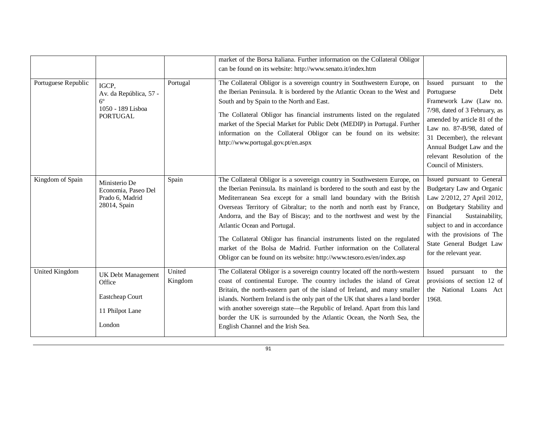|                     |                                                                                        |                   | market of the Borsa Italiana. Further information on the Collateral Obligor<br>can be found on its website: http://www.senato.it/index.htm                                                                                                                                                                                                                                                                                                                                                                                                                                                                                                       |                                                                                                                                                                                                                                                                                                        |
|---------------------|----------------------------------------------------------------------------------------|-------------------|--------------------------------------------------------------------------------------------------------------------------------------------------------------------------------------------------------------------------------------------------------------------------------------------------------------------------------------------------------------------------------------------------------------------------------------------------------------------------------------------------------------------------------------------------------------------------------------------------------------------------------------------------|--------------------------------------------------------------------------------------------------------------------------------------------------------------------------------------------------------------------------------------------------------------------------------------------------------|
| Portuguese Republic | IGCP,<br>Av. da República, 57 -<br>$6^{\circ}$<br>1050 - 189 Lisboa<br><b>PORTUGAL</b> | Portugal          | The Collateral Obligor is a sovereign country in Southwestern Europe, on<br>the Iberian Peninsula. It is bordered by the Atlantic Ocean to the West and<br>South and by Spain to the North and East.<br>The Collateral Obligor has financial instruments listed on the regulated<br>market of the Special Market for Public Debt (MEDIP) in Portugal. Further<br>information on the Collateral Obligor can be found on its website:<br>http://www.portugal.gov.pt/en.aspx                                                                                                                                                                        | <b>Issued</b><br>pursuant<br>to<br>the<br>Portuguese<br>Debt<br>Framework Law (Law no.<br>7/98, dated of 3 February, as<br>amended by article 81 of the<br>Law no. 87-B/98, dated of<br>31 December), the relevant<br>Annual Budget Law and the<br>relevant Resolution of the<br>Council of Ministers. |
| Kingdom of Spain    | Ministerio De<br>Economia, Paseo Del<br>Prado 6, Madrid<br>28014, Spain                | Spain             | The Collateral Obligor is a sovereign country in Southwestern Europe, on<br>the Iberian Peninsula. Its mainland is bordered to the south and east by the<br>Mediterranean Sea except for a small land boundary with the British<br>Overseas Territory of Gibraltar; to the north and north east by France,<br>Andorra, and the Bay of Biscay; and to the northwest and west by the<br>Atlantic Ocean and Portugal.<br>The Collateral Obligor has financial instruments listed on the regulated<br>market of the Bolsa de Madrid. Further information on the Collateral<br>Obligor can be found on its website: http://www.tesoro.es/en/index.asp | Issued pursuant to General<br>Budgetary Law and Organic<br>Law 2/2012, 27 April 2012,<br>on Budgetary Stability and<br>Financial<br>Sustainability,<br>subject to and in accordance<br>with the provisions of The<br>State General Budget Law<br>for the relevant year.                                |
| United Kingdom      | <b>UK Debt Management</b><br>Office<br>Eastcheap Court<br>11 Philpot Lane<br>London    | United<br>Kingdom | The Collateral Obligor is a sovereign country located off the north-western<br>coast of continental Europe. The country includes the island of Great<br>Britain, the north-eastern part of the island of Ireland, and many smaller<br>islands. Northern Ireland is the only part of the UK that shares a land border<br>with another sovereign state—the Republic of Ireland. Apart from this land<br>border the UK is surrounded by the Atlantic Ocean, the North Sea, the<br>English Channel and the Irish Sea.                                                                                                                                | Issued<br>pursuant to<br>the<br>provisions of section 12 of<br>the National Loans Act<br>1968.                                                                                                                                                                                                         |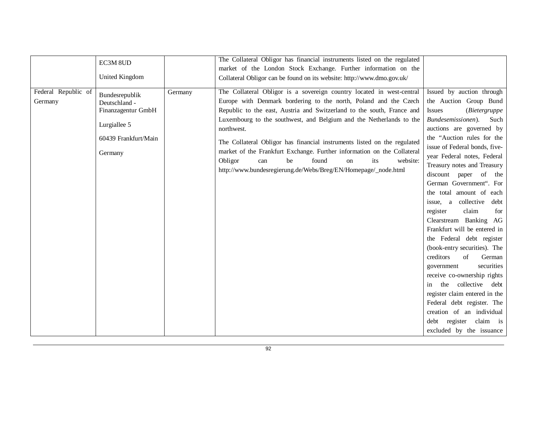|                                | EC3M 8UD<br>United Kingdom                                                                               |         | The Collateral Obligor has financial instruments listed on the regulated<br>market of the London Stock Exchange. Further information on the<br>Collateral Obligor can be found on its website: http://www.dmo.gov.uk/                                                                                                                                                                                                                                                                                                                                                                       |                                                                                                                                                                                                                                                                                                                                                                                                                                                                                                                                                                                                                                                                                                                                                                                                                             |
|--------------------------------|----------------------------------------------------------------------------------------------------------|---------|---------------------------------------------------------------------------------------------------------------------------------------------------------------------------------------------------------------------------------------------------------------------------------------------------------------------------------------------------------------------------------------------------------------------------------------------------------------------------------------------------------------------------------------------------------------------------------------------|-----------------------------------------------------------------------------------------------------------------------------------------------------------------------------------------------------------------------------------------------------------------------------------------------------------------------------------------------------------------------------------------------------------------------------------------------------------------------------------------------------------------------------------------------------------------------------------------------------------------------------------------------------------------------------------------------------------------------------------------------------------------------------------------------------------------------------|
| Federal Republic of<br>Germany | Bundesrepublik<br>Deutschland -<br>Finanzagentur GmbH<br>Lurgiallee 5<br>60439 Frankfurt/Main<br>Germany | Germany | The Collateral Obligor is a sovereign country located in west-central<br>Europe with Denmark bordering to the north, Poland and the Czech<br>Republic to the east, Austria and Switzerland to the south, France and<br>Luxembourg to the southwest, and Belgium and the Netherlands to the<br>northwest.<br>The Collateral Obligor has financial instruments listed on the regulated<br>market of the Frankfurt Exchange. Further information on the Collateral<br>Obligor<br>be<br>found<br>website:<br>can<br>its<br>on<br>http://www.bundesregierung.de/Webs/Breg/EN/Homepage/_node.html | Issued by auction through<br>the Auction Group Bund<br><b>Issues</b><br>(Bietergruppe<br>Bundesemissionen).<br>Such<br>auctions are governed by<br>the "Auction rules for the<br>issue of Federal bonds, five-<br>year Federal notes, Federal<br>Treasury notes and Treasury<br>discount paper of<br>the<br>German Government". For<br>the total amount of each<br>collective<br>debt<br>issue, a<br>claim<br>register<br>for<br>Clearstream Banking AG<br>Frankfurt will be entered in<br>the Federal debt register<br>(book-entry securities). The<br>creditors<br>of<br>German<br>securities<br>government<br>receive co-ownership rights<br>the collective debt<br>in<br>register claim entered in the<br>Federal debt register. The<br>creation of an individual<br>debt register claim is<br>excluded by the issuance |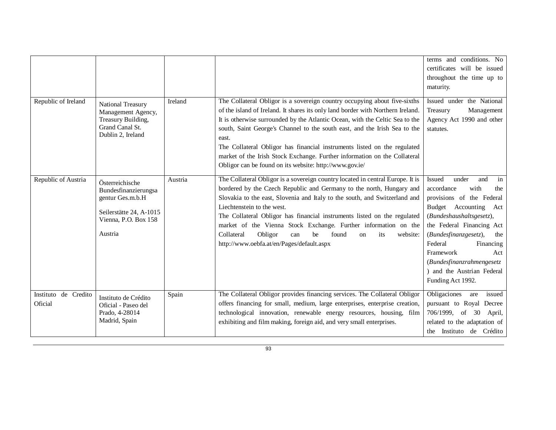|                                 |                                                                                                                           |         |                                                                                                                                                                                                                                                                                                                                                                                                                                                                                                                                                        | terms and conditions. No<br>certificates will be issued<br>throughout the time up to<br>maturity.                                                                                                                                                                                                                                     |
|---------------------------------|---------------------------------------------------------------------------------------------------------------------------|---------|--------------------------------------------------------------------------------------------------------------------------------------------------------------------------------------------------------------------------------------------------------------------------------------------------------------------------------------------------------------------------------------------------------------------------------------------------------------------------------------------------------------------------------------------------------|---------------------------------------------------------------------------------------------------------------------------------------------------------------------------------------------------------------------------------------------------------------------------------------------------------------------------------------|
| Republic of Ireland             | National Treasury<br>Management Agency,<br>Treasury Building,<br>Grand Canal St.<br>Dublin 2, Ireland                     | Ireland | The Collateral Obligor is a sovereign country occupying about five-sixths<br>of the island of Ireland. It shares its only land border with Northern Ireland.<br>It is otherwise surrounded by the Atlantic Ocean, with the Celtic Sea to the<br>south, Saint George's Channel to the south east, and the Irish Sea to the<br>east.<br>The Collateral Obligor has financial instruments listed on the regulated<br>market of the Irish Stock Exchange. Further information on the Collateral<br>Obligor can be found on its website: http://www.gov.ie/ | Issued under the National<br>Treasury<br>Management<br>Agency Act 1990 and other<br>statutes.                                                                                                                                                                                                                                         |
| Republic of Austria             | Österreichische<br>Bundesfinanzierungsa<br>gentur Ges.m.b.H<br>Seilerstätte 24, A-1015<br>Vienna, P.O. Box 158<br>Austria | Austria | The Collateral Obligor is a sovereign country located in central Europe. It is<br>bordered by the Czech Republic and Germany to the north, Hungary and<br>Slovakia to the east, Slovenia and Italy to the south, and Switzerland and<br>Liechtenstein to the west.<br>The Collateral Obligor has financial instruments listed on the regulated<br>market of the Vienna Stock Exchange. Further information on the<br>Obligor<br>Collateral<br>found<br>can<br>be<br>its<br>website:<br><sub>on</sub><br>http://www.oebfa.at/en/Pages/default.aspx      | under<br>Issued<br>and<br>in<br>with<br>accordance<br>the<br>provisions of the Federal<br>Budget Accounting<br>Act<br>(Bundeshaushaltsgesetz),<br>the Federal Financing Act<br>(Bundesfinanzgesetz),<br>the<br>Federal<br>Financing<br>Framework<br>Act<br>(Bundesfinanzrahmengesetz<br>and the Austrian Federal<br>Funding Act 1992. |
| Instituto de Credito<br>Oficial | Instituto de Crédito<br>Oficial - Paseo del<br>Prado, 4-28014<br>Madrid, Spain                                            | Spain   | The Collateral Obligor provides financing services. The Collateral Obligor<br>offers financing for small, medium, large enterprises, enterprise creation,<br>technological innovation, renewable energy resources, housing, film<br>exhibiting and film making, foreign aid, and very small enterprises.                                                                                                                                                                                                                                               | Obligaciones<br>are<br>issued<br>pursuant to Royal Decree<br>706/1999, of 30 April,<br>related to the adaptation of<br>the Instituto de Crédito                                                                                                                                                                                       |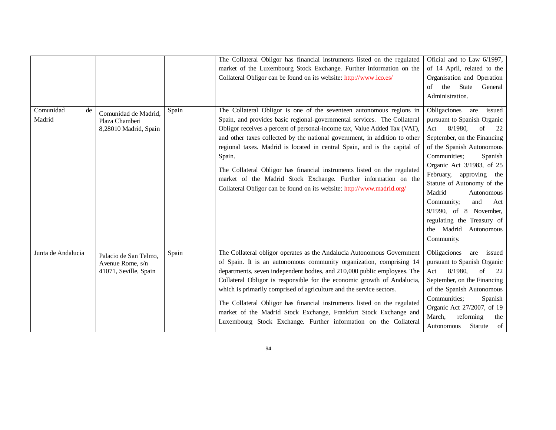|                           |                                                                    |       | The Collateral Obligor has financial instruments listed on the regulated<br>market of the Luxembourg Stock Exchange. Further information on the<br>Collateral Obligor can be found on its website: http://www.ico.es/                                                                                                                                                                                                                                                                                                                                                                                                       | Oficial and to Law 6/1997,<br>of 14 April, related to the<br>Organisation and Operation<br>the<br><b>State</b><br>General<br>of<br>Administration.                                                                                                                                                                                                                                                                               |
|---------------------------|--------------------------------------------------------------------|-------|-----------------------------------------------------------------------------------------------------------------------------------------------------------------------------------------------------------------------------------------------------------------------------------------------------------------------------------------------------------------------------------------------------------------------------------------------------------------------------------------------------------------------------------------------------------------------------------------------------------------------------|----------------------------------------------------------------------------------------------------------------------------------------------------------------------------------------------------------------------------------------------------------------------------------------------------------------------------------------------------------------------------------------------------------------------------------|
| Comunidad<br>de<br>Madrid | Comunidad de Madrid,<br>Plaza Chamberi<br>8,28010 Madrid, Spain    | Spain | The Collateral Obligor is one of the seventeen autonomous regions in<br>Spain, and provides basic regional-governmental services. The Collateral<br>Obligor receives a percent of personal-income tax, Value Added Tax (VAT),<br>and other taxes collected by the national government, in addition to other<br>regional taxes. Madrid is located in central Spain, and is the capital of<br>Spain.<br>The Collateral Obligor has financial instruments listed on the regulated<br>market of the Madrid Stock Exchange. Further information on the<br>Collateral Obligor can be found on its website: http://www.madrid.org/ | Obligaciones<br>issued<br>are<br>pursuant to Spanish Organic<br>8/1980,<br>of<br>Act<br>22<br>September, on the Financing<br>of the Spanish Autonomous<br>Communities;<br>Spanish<br>Organic Act 3/1983, of 25<br>February,<br>approving the<br>Statute of Autonomy of the<br>Madrid<br>Autonomous<br>Community;<br>and<br>Act<br>9/1990, of 8 November,<br>regulating the Treasury of<br>the Madrid<br>Autonomous<br>Community. |
| Junta de Andalucia        | Palacio de San Telmo,<br>Avenue Rome, s/n<br>41071, Seville, Spain | Spain | The Collateral obligor operates as the Andalucia Autonomous Government<br>of Spain. It is an autonomous community organization, comprising 14<br>departments, seven independent bodies, and 210,000 public employees. The<br>Collateral Obligor is responsible for the economic growth of Andalucia,<br>which is primarily comprised of agriculture and the service sectors.<br>The Collateral Obligor has financial instruments listed on the regulated<br>market of the Madrid Stock Exchange, Frankfurt Stock Exchange and<br>Luxembourg Stock Exchange. Further information on the Collateral                           | Obligaciones<br>issued<br>are<br>pursuant to Spanish Organic<br>8/1980,<br>22<br>of<br>Act<br>September, on the Financing<br>of the Spanish Autonomous<br>Communities;<br>Spanish<br>Organic Act 27/2007, of 19<br>reforming<br>March,<br>the<br>of<br>Statute<br>Autonomous                                                                                                                                                     |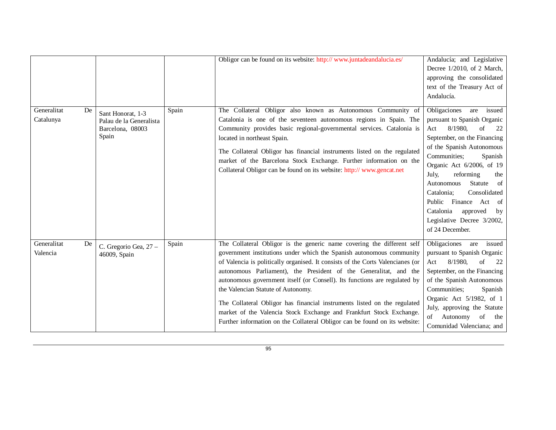| Generalitat<br>De<br>Catalunya | Sant Honorat, 1-3<br>Palau de la Generalista<br>Barcelona, 08003<br>Spain | Spain | Obligor can be found on its website: http:// www.juntadeandalucia.es/<br>The Collateral Obligor also known as Autonomous Community of<br>Catalonia is one of the seventeen autonomous regions in Spain. The<br>Community provides basic regional-governmental services. Catalonia is<br>located in northeast Spain.<br>The Collateral Obligor has financial instruments listed on the regulated<br>market of the Barcelona Stock Exchange. Further information on the<br>Collateral Obligor can be found on its website: http:// www.gencat.net                                                                                                           | Andalucía; and Legislative<br>Decree 1/2010, of 2 March,<br>approving the consolidated<br>text of the Treasury Act of<br>Andalucía.<br>Obligaciones<br>issued<br>are<br>pursuant to Spanish Organic<br>8/1980,<br>of<br>22<br>Act<br>September, on the Financing<br>of the Spanish Autonomous<br>Communities:<br>Spanish<br>Organic Act 6/2006, of 19<br>reforming<br>July,<br>the<br><sub>of</sub><br>Statute<br>Autonomous<br>Consolidated<br>Catalonia:<br>Public Finance Act of |
|--------------------------------|---------------------------------------------------------------------------|-------|-----------------------------------------------------------------------------------------------------------------------------------------------------------------------------------------------------------------------------------------------------------------------------------------------------------------------------------------------------------------------------------------------------------------------------------------------------------------------------------------------------------------------------------------------------------------------------------------------------------------------------------------------------------|-------------------------------------------------------------------------------------------------------------------------------------------------------------------------------------------------------------------------------------------------------------------------------------------------------------------------------------------------------------------------------------------------------------------------------------------------------------------------------------|
| Generalitat<br>De<br>Valencia  | C. Gregorio Gea, 27 -<br>46009, Spain                                     | Spain | The Collateral Obligor is the generic name covering the different self<br>government institutions under which the Spanish autonomous community<br>of Valencia is politically organised. It consists of the Corts Valencianes (or<br>autonomous Parliament), the President of the Generalitat, and the<br>autonomous government itself (or Consell). Its functions are regulated by<br>the Valencian Statute of Autonomy.<br>The Collateral Obligor has financial instruments listed on the regulated<br>market of the Valencia Stock Exchange and Frankfurt Stock Exchange.<br>Further information on the Collateral Obligor can be found on its website: | Catalonia<br>approved<br>by<br>Legislative Decree 3/2002,<br>of 24 December.<br>Obligaciones<br>issued<br>are<br>pursuant to Spanish Organic<br>8/1980,<br>of<br>22<br>Act<br>September, on the Financing<br>of the Spanish Autonomous<br>Communities:<br>Spanish<br>Organic Act 5/1982, of 1<br>July, approving the Statute<br>Autonomy of<br>of<br>the<br>Comunidad Valenciana; and                                                                                               |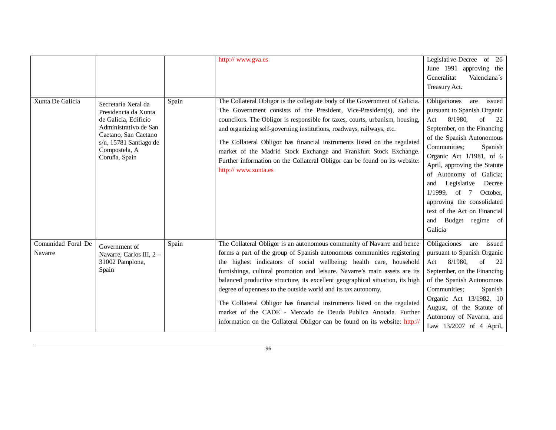|                               |                                                                                                                                                                                  |       | http:// www.gva.es                                                                                                                                                                                                                                                                                                                                                                                                                                                                                                                                                                                                                                                                  | Legislative-Decree of 26<br>June 1991 approving the<br>Generalitat<br>Valenciana's<br>Treasury Act.                                                                                                                                                                                                                                                                                                                                      |
|-------------------------------|----------------------------------------------------------------------------------------------------------------------------------------------------------------------------------|-------|-------------------------------------------------------------------------------------------------------------------------------------------------------------------------------------------------------------------------------------------------------------------------------------------------------------------------------------------------------------------------------------------------------------------------------------------------------------------------------------------------------------------------------------------------------------------------------------------------------------------------------------------------------------------------------------|------------------------------------------------------------------------------------------------------------------------------------------------------------------------------------------------------------------------------------------------------------------------------------------------------------------------------------------------------------------------------------------------------------------------------------------|
| Xunta De Galicia              | Secretaría Xeral da<br>Presidencia da Xunta<br>de Galicia, Edificio<br>Administrativo de San<br>Caetano, San Caetano<br>s/n, 15781 Santiago de<br>Compostela, A<br>Coruña, Spain | Spain | The Collateral Obligor is the collegiate body of the Government of Galicia.<br>The Government consists of the President, Vice-President(s), and the<br>councilors. The Obligor is responsible for taxes, courts, urbanism, housing,<br>and organizing self-governing institutions, roadways, railways, etc.<br>The Collateral Obligor has financial instruments listed on the regulated<br>market of the Madrid Stock Exchange and Frankfurt Stock Exchange.<br>Further information on the Collateral Obligor can be found on its website:<br>http:// www.xunta.es                                                                                                                  | Obligaciones<br>issued<br>are<br>pursuant to Spanish Organic<br>8/1980,<br>of<br>Act<br>22<br>September, on the Financing<br>of the Spanish Autonomous<br>Communities;<br>Spanish<br>Organic Act 1/1981, of 6<br>April, approving the Statute<br>of Autonomy of Galicia;<br>Legislative<br>Decree<br>and<br>$1/1999$ , of 7<br>October,<br>approving the consolidated<br>text of the Act on Financial<br>and Budget regime of<br>Galicia |
| Comunidad Foral De<br>Navarre | Government of<br>Navarre, Carlos III, 2 -<br>31002 Pamplona,<br>Spain                                                                                                            | Spain | The Collateral Obligor is an autonomous community of Navarre and hence<br>forms a part of the group of Spanish autonomous communities registering<br>the highest indicators of social wellbeing: health care, household<br>furnishings, cultural promotion and leisure. Navarre's main assets are its<br>balanced productive structure, its excellent geographical situation, its high<br>degree of openness to the outside world and its tax autonomy.<br>The Collateral Obligor has financial instruments listed on the regulated<br>market of the CADE - Mercado de Deuda Publica Anotada. Further<br>information on the Collateral Obligor can be found on its website: http:// | Obligaciones<br>are issued<br>pursuant to Spanish Organic<br>8/1980,<br>of<br>Act<br>22<br>September, on the Financing<br>of the Spanish Autonomous<br>Communities;<br>Spanish<br>Organic Act 13/1982, 10<br>August, of the Statute of<br>Autonomy of Navarra, and<br>Law 13/2007 of 4 April,                                                                                                                                            |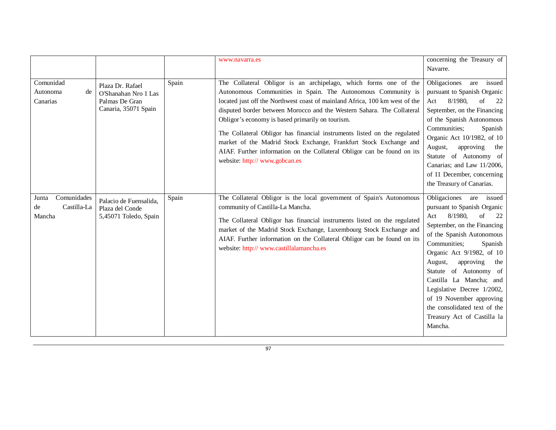|                                                     |                                                                                    |       | www.navarra.es                                                                                                                                                                                                                                                                                                                                                                                                                                                                                                                                                                                              | concerning the Treasury of<br>Navarre.                                                                                                                                                                                                                                                                                                                                                                                                 |
|-----------------------------------------------------|------------------------------------------------------------------------------------|-------|-------------------------------------------------------------------------------------------------------------------------------------------------------------------------------------------------------------------------------------------------------------------------------------------------------------------------------------------------------------------------------------------------------------------------------------------------------------------------------------------------------------------------------------------------------------------------------------------------------------|----------------------------------------------------------------------------------------------------------------------------------------------------------------------------------------------------------------------------------------------------------------------------------------------------------------------------------------------------------------------------------------------------------------------------------------|
| Comunidad<br>Autonoma<br>de<br>Canarias             | Plaza Dr. Rafael<br>O'Shanahan Nro 1 Las<br>Palmas De Gran<br>Canaria, 35071 Spain | Spain | The Collateral Obligor is an archipelago, which forms one of the<br>Autonomous Communities in Spain. The Autonomous Community is<br>located just off the Northwest coast of mainland Africa, 100 km west of the<br>disputed border between Morocco and the Western Sahara. The Collateral<br>Obligor's economy is based primarily on tourism.<br>The Collateral Obligor has financial instruments listed on the regulated<br>market of the Madrid Stock Exchange, Frankfurt Stock Exchange and<br>AIAF. Further information on the Collateral Obligor can be found on its<br>website: http:// www.gobcan.es | Obligaciones<br>are<br>issued<br>pursuant to Spanish Organic<br>8/1980,<br>of<br>22<br>Act<br>September, on the Financing<br>of the Spanish Autonomous<br>Communities;<br>Spanish<br>Organic Act 10/1982, of 10<br>approving<br>August,<br>the<br>Statute of Autonomy of<br>Canarias; and Law 11/2006,<br>of 11 December, concerning<br>the Treasury of Canarias.                                                                      |
| Comunidades<br>Junta<br>Castilla-La<br>de<br>Mancha | Palacio de Fuensalida.<br>Plaza del Conde<br>5,45071 Toledo, Spain                 | Spain | The Collateral Obligor is the local government of Spain's Autonomous<br>community of Castilla-La Mancha.<br>The Collateral Obligor has financial instruments listed on the regulated<br>market of the Madrid Stock Exchange, Luxembourg Stock Exchange and<br>AIAF. Further information on the Collateral Obligor can be found on its<br>website: http:// www.castillalamancha.es                                                                                                                                                                                                                           | Obligaciones<br>are<br>issued<br>pursuant to Spanish Organic<br>8/1980,<br>of<br>Act<br>22<br>September, on the Financing<br>of the Spanish Autonomous<br>Communities;<br>Spanish<br>Organic Act 9/1982, of 10<br>approving<br>August,<br>the<br>Statute of Autonomy of<br>Castilla La Mancha; and<br>Legislative Decree 1/2002,<br>of 19 November approving<br>the consolidated text of the<br>Treasury Act of Castilla la<br>Mancha. |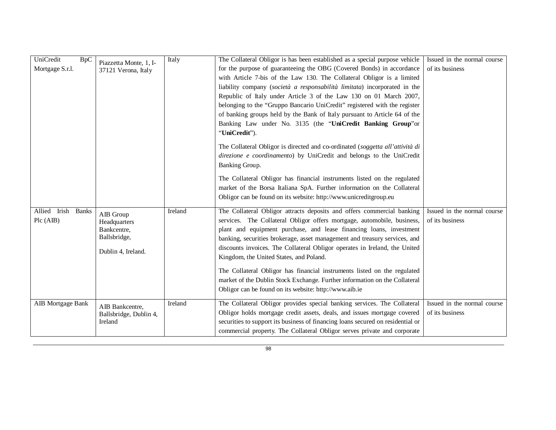| UniCredit<br><b>BpC</b><br>Mortgage S.r.l. | Piazzetta Monte, 1, I-<br>37121 Verona, Italy                                  | Italy   | The Collateral Obligor is has been established as a special purpose vehicle<br>for the purpose of guaranteeing the OBG (Covered Bonds) in accordance<br>with Article 7-bis of the Law 130. The Collateral Obligor is a limited                                                                                                                                                                                                  | Issued in the normal course<br>of its business |
|--------------------------------------------|--------------------------------------------------------------------------------|---------|---------------------------------------------------------------------------------------------------------------------------------------------------------------------------------------------------------------------------------------------------------------------------------------------------------------------------------------------------------------------------------------------------------------------------------|------------------------------------------------|
|                                            |                                                                                |         | liability company (società a responsabilità limitata) incorporated in the<br>Republic of Italy under Article 3 of the Law 130 on 01 March 2007,<br>belonging to the "Gruppo Bancario UniCredit" registered with the register<br>of banking groups held by the Bank of Italy pursuant to Article 64 of the<br>Banking Law under No. 3135 (the "UniCredit Banking Group"or<br>"UniCredit").                                       |                                                |
|                                            |                                                                                |         | The Collateral Obligor is directed and co-ordinated (soggetta all'attività di<br>direzione e coordinamento) by UniCredit and belongs to the UniCredit<br>Banking Group.                                                                                                                                                                                                                                                         |                                                |
|                                            |                                                                                |         | The Collateral Obligor has financial instruments listed on the regulated<br>market of the Borsa Italiana SpA. Further information on the Collateral<br>Obligor can be found on its website: http://www.unicreditgroup.eu                                                                                                                                                                                                        |                                                |
| Allied Irish Banks<br>Pic (AIB)            | AIB Group<br>Headquarters<br>Bankcentre,<br>Ballsbridge,<br>Dublin 4, Ireland. | Ireland | The Collateral Obligor attracts deposits and offers commercial banking<br>services. The Collateral Obligor offers mortgage, automobile, business,<br>plant and equipment purchase, and lease financing loans, investment<br>banking, securities brokerage, asset management and treasury services, and<br>discounts invoices. The Collateral Obligor operates in Ireland, the United<br>Kingdom, the United States, and Poland. | Issued in the normal course<br>of its business |
|                                            |                                                                                |         | The Collateral Obligor has financial instruments listed on the regulated<br>market of the Dublin Stock Exchange. Further information on the Collateral<br>Obligor can be found on its website: http://www.aib.ie                                                                                                                                                                                                                |                                                |
| <b>AIB</b> Mortgage Bank                   | AIB Bankcentre.<br>Ballsbridge, Dublin 4,<br>Ireland                           | Ireland | The Collateral Obligor provides special banking services. The Collateral<br>Obligor holds mortgage credit assets, deals, and issues mortgage covered<br>securities to support its business of financing loans secured on residential or<br>commercial property. The Collateral Obligor serves private and corporate                                                                                                             | Issued in the normal course<br>of its business |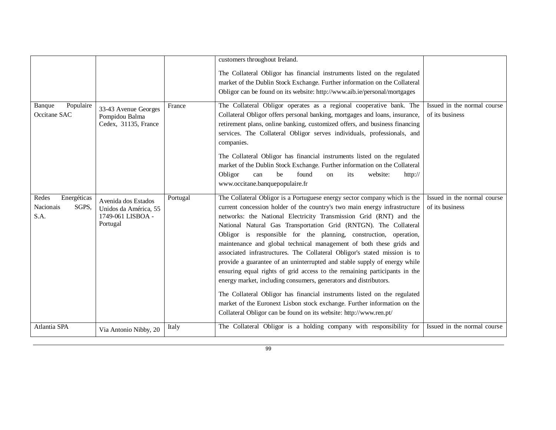|                                                    |                                                                               |          | customers throughout Ireland.                                                                                                                                                                                                                                                                                                                                                                                                                                                                                                                                                                                                                                                                                                                                                                                                                                                                                                                                                         |                                                |
|----------------------------------------------------|-------------------------------------------------------------------------------|----------|---------------------------------------------------------------------------------------------------------------------------------------------------------------------------------------------------------------------------------------------------------------------------------------------------------------------------------------------------------------------------------------------------------------------------------------------------------------------------------------------------------------------------------------------------------------------------------------------------------------------------------------------------------------------------------------------------------------------------------------------------------------------------------------------------------------------------------------------------------------------------------------------------------------------------------------------------------------------------------------|------------------------------------------------|
|                                                    |                                                                               |          | The Collateral Obligor has financial instruments listed on the regulated<br>market of the Dublin Stock Exchange. Further information on the Collateral<br>Obligor can be found on its website: http://www.aib.ie/personal/mortgages                                                                                                                                                                                                                                                                                                                                                                                                                                                                                                                                                                                                                                                                                                                                                   |                                                |
| Populaire<br>Banque<br>Occitane SAC                | 33-43 Avenue Georges<br>Pompidou Balma<br>Cedex, 31135, France                | France   | The Collateral Obligor operates as a regional cooperative bank. The<br>Collateral Obligor offers personal banking, mortgages and loans, insurance,<br>retirement plans, online banking, customized offers, and business financing<br>services. The Collateral Obligor serves individuals, professionals, and<br>companies.<br>The Collateral Obligor has financial instruments listed on the regulated<br>market of the Dublin Stock Exchange. Further information on the Collateral<br>Obligor<br>be<br>found<br>website:<br>can<br>its<br>http://<br>on<br>www.occitane.banquepopulaire.fr                                                                                                                                                                                                                                                                                                                                                                                          | Issued in the normal course<br>of its business |
| Redes<br>Energéticas<br>Nacionais<br>SGPS,<br>S.A. | Avenida dos Estados<br>Unidos da América, 55<br>1749-061 LISBOA -<br>Portugal | Portugal | The Collateral Obligor is a Portuguese energy sector company which is the<br>current concession holder of the country's two main energy infrastructure<br>networks: the National Electricity Transmission Grid (RNT) and the<br>National Natural Gas Transportation Grid (RNTGN). The Collateral<br>Obligor is responsible for the planning, construction, operation,<br>maintenance and global technical management of both these grids and<br>associated infrastructures. The Collateral Obligor's stated mission is to<br>provide a guarantee of an uninterrupted and stable supply of energy while<br>ensuring equal rights of grid access to the remaining participants in the<br>energy market, including consumers, generators and distributors.<br>The Collateral Obligor has financial instruments listed on the regulated<br>market of the Euronext Lisbon stock exchange. Further information on the<br>Collateral Obligor can be found on its website: http://www.ren.pt/ | Issued in the normal course<br>of its business |
| Atlantia SPA                                       | Via Antonio Nibby, 20                                                         | Italy    | The Collateral Obligor is a holding company with responsibility for                                                                                                                                                                                                                                                                                                                                                                                                                                                                                                                                                                                                                                                                                                                                                                                                                                                                                                                   | Issued in the normal course                    |